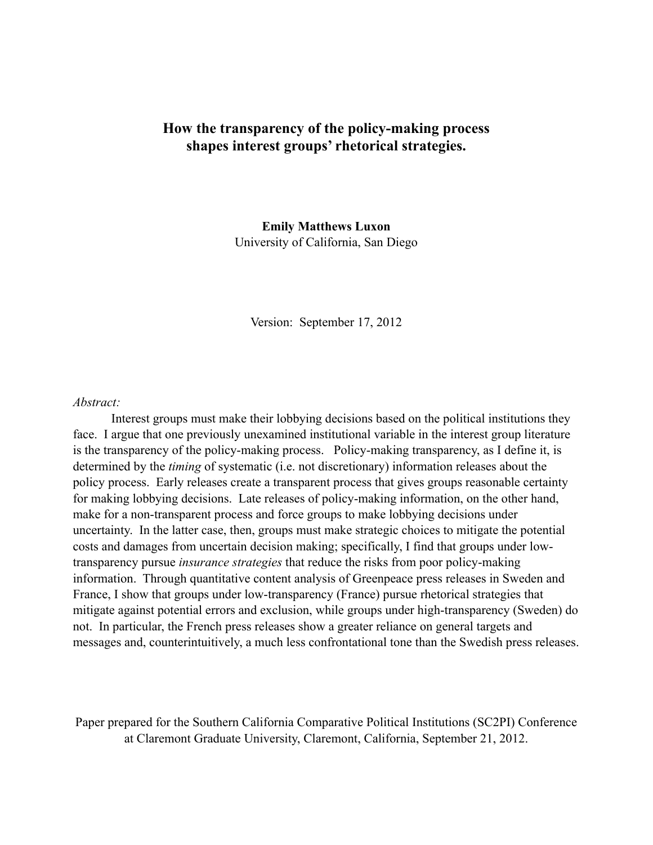# **How the transparency of the policy-making process shapes interest groups' rhetorical strategies.**

**Emily Matthews Luxon**  University of California, San Diego

Version: September 17, 2012

#### *Abstract:*

 Interest groups must make their lobbying decisions based on the political institutions they face. I argue that one previously unexamined institutional variable in the interest group literature is the transparency of the policy-making process. Policy-making transparency, as I define it, is determined by the *timing* of systematic (i.e. not discretionary) information releases about the policy process. Early releases create a transparent process that gives groups reasonable certainty for making lobbying decisions. Late releases of policy-making information, on the other hand, make for a non-transparent process and force groups to make lobbying decisions under uncertainty. In the latter case, then, groups must make strategic choices to mitigate the potential costs and damages from uncertain decision making; specifically, I find that groups under lowtransparency pursue *insurance strategies* that reduce the risks from poor policy-making information. Through quantitative content analysis of Greenpeace press releases in Sweden and France, I show that groups under low-transparency (France) pursue rhetorical strategies that mitigate against potential errors and exclusion, while groups under high-transparency (Sweden) do not. In particular, the French press releases show a greater reliance on general targets and messages and, counterintuitively, a much less confrontational tone than the Swedish press releases.

Paper prepared for the Southern California Comparative Political Institutions (SC2PI) Conference at Claremont Graduate University, Claremont, California, September 21, 2012.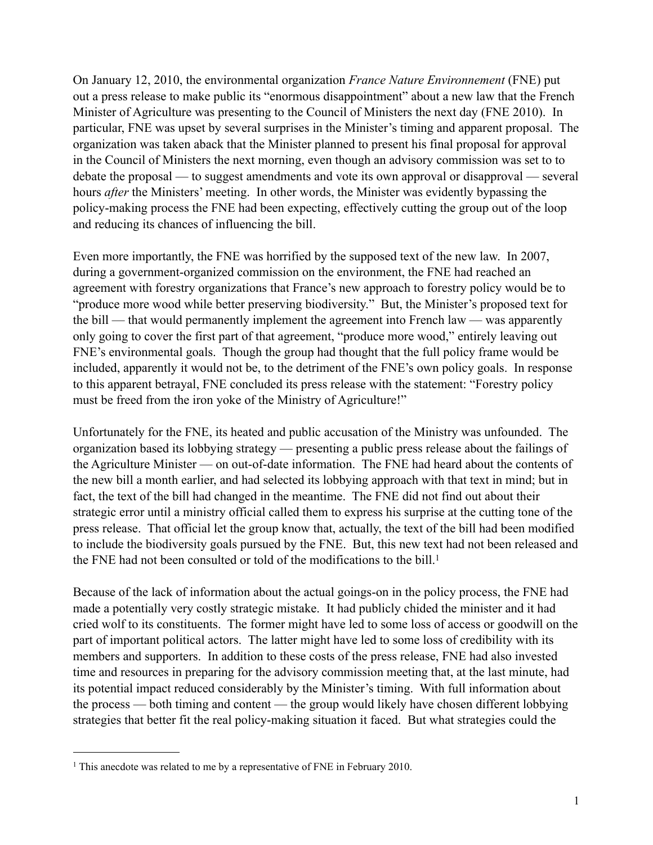On January 12, 2010, the environmental organization *France Nature Environnement* (FNE) put out a press release to make public its "enormous disappointment" about a new law that the French Minister of Agriculture was presenting to the Council of Ministers the next day (FNE 2010). In particular, FNE was upset by several surprises in the Minister's timing and apparent proposal. The organization was taken aback that the Minister planned to present his final proposal for approval in the Council of Ministers the next morning, even though an advisory commission was set to to debate the proposal — to suggest amendments and vote its own approval or disapproval — several hours *after* the Ministers' meeting. In other words, the Minister was evidently bypassing the policy-making process the FNE had been expecting, effectively cutting the group out of the loop and reducing its chances of influencing the bill.

Even more importantly, the FNE was horrified by the supposed text of the new law. In 2007, during a government-organized commission on the environment, the FNE had reached an agreement with forestry organizations that France's new approach to forestry policy would be to "produce more wood while better preserving biodiversity." But, the Minister's proposed text for the bill — that would permanently implement the agreement into French law — was apparently only going to cover the first part of that agreement, "produce more wood," entirely leaving out FNE's environmental goals. Though the group had thought that the full policy frame would be included, apparently it would not be, to the detriment of the FNE's own policy goals. In response to this apparent betrayal, FNE concluded its press release with the statement: "Forestry policy must be freed from the iron yoke of the Ministry of Agriculture!"

Unfortunately for the FNE, its heated and public accusation of the Ministry was unfounded. The organization based its lobbying strategy — presenting a public press release about the failings of the Agriculture Minister — on out-of-date information. The FNE had heard about the contents of the new bill a month earlier, and had selected its lobbying approach with that text in mind; but in fact, the text of the bill had changed in the meantime. The FNE did not find out about their strategic error until a ministry official called them to express his surprise at the cutting tone of the press release. That official let the group know that, actually, the text of the bill had been modified to include the biodiversity goals pursued by the FNE. But, this new text had not been released and the FNE had not been consulted or told of the modifications to the bill.<sup>1</sup>

Because of the lack of information about the actual goings-on in the policy process, the FNE had made a potentially very costly strategic mistake. It had publicly chided the minister and it had cried wolf to its constituents. The former might have led to some loss of access or goodwill on the part of important political actors. The latter might have led to some loss of credibility with its members and supporters. In addition to these costs of the press release, FNE had also invested time and resources in preparing for the advisory commission meeting that, at the last minute, had its potential impact reduced considerably by the Minister's timing. With full information about the process — both timing and content — the group would likely have chosen different lobbying strategies that better fit the real policy-making situation it faced. But what strategies could the

<span id="page-1-0"></span><sup>&</sup>lt;sup>1</sup> This anecdote was related to me by a representative of FNE in February 2010.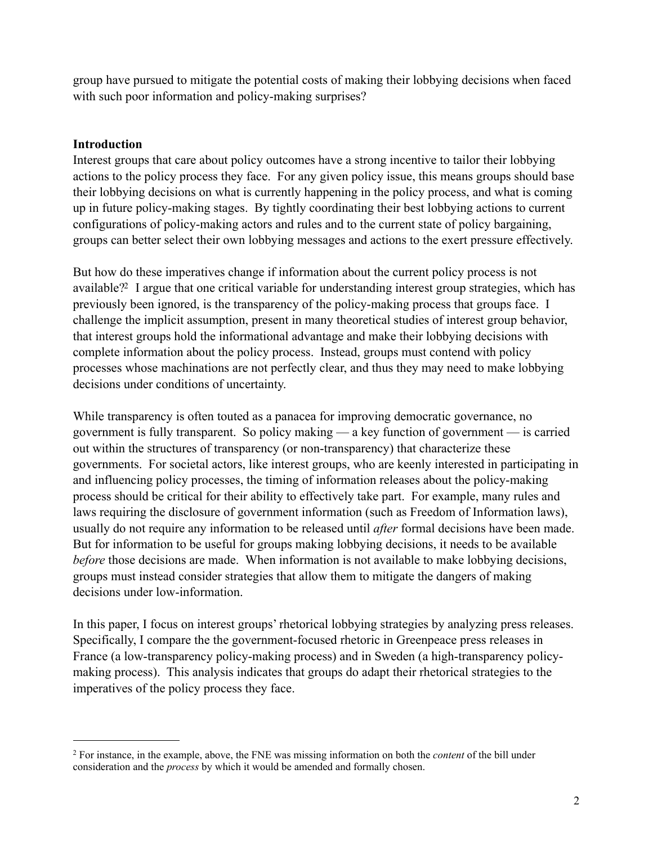group have pursued to mitigate the potential costs of making their lobbying decisions when faced with such poor information and policy-making surprises?

# **Introduction**

Interest groups that care about policy outcomes have a strong incentive to tailor their lobbying actions to the policy process they face. For any given policy issue, this means groups should base their lobbying decisions on what is currently happening in the policy process, and what is coming up in future policy-making stages. By tightly coordinating their best lobbying actions to current configurations of policy-making actors and rules and to the current state of policy bargaining, groups can better select their own lobbying messages and actions to the exert pressure effectively.

But how do these imperatives change if information about the current policy process is not available[?2](#page-2-0) I argue that one critical variable for understanding interest group strategies, which has previously been ignored, is the transparency of the policy-making process that groups face. I challenge the implicit assumption, present in many theoretical studies of interest group behavior, that interest groups hold the informational advantage and make their lobbying decisions with complete information about the policy process. Instead, groups must contend with policy processes whose machinations are not perfectly clear, and thus they may need to make lobbying decisions under conditions of uncertainty.

While transparency is often touted as a panacea for improving democratic governance, no government is fully transparent. So policy making — a key function of government — is carried out within the structures of transparency (or non-transparency) that characterize these governments. For societal actors, like interest groups, who are keenly interested in participating in and influencing policy processes, the timing of information releases about the policy-making process should be critical for their ability to effectively take part. For example, many rules and laws requiring the disclosure of government information (such as Freedom of Information laws), usually do not require any information to be released until *after* formal decisions have been made. But for information to be useful for groups making lobbying decisions, it needs to be available *before* those decisions are made. When information is not available to make lobbying decisions, groups must instead consider strategies that allow them to mitigate the dangers of making decisions under low-information.

In this paper, I focus on interest groups' rhetorical lobbying strategies by analyzing press releases. Specifically, I compare the the government-focused rhetoric in Greenpeace press releases in France (a low-transparency policy-making process) and in Sweden (a high-transparency policymaking process). This analysis indicates that groups do adapt their rhetorical strategies to the imperatives of the policy process they face.

<span id="page-2-0"></span><sup>2</sup> For instance, in the example, above, the FNE was missing information on both the *content* of the bill under consideration and the *process* by which it would be amended and formally chosen.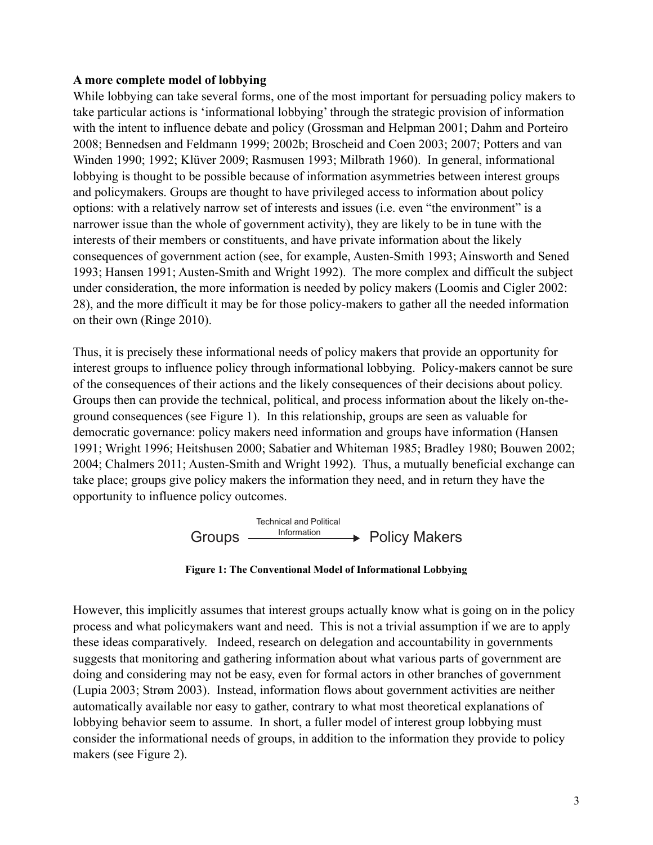#### **A more complete model of lobbying**

While lobbying can take several forms, one of the most important for persuading policy makers to take particular actions is 'informational lobbying' through the strategic provision of information with the intent to influence debate and policy (Grossman and Helpman 2001; Dahm and Porteiro 2008; Bennedsen and Feldmann 1999; 2002b; Broscheid and Coen 2003; 2007; Potters and van Winden 1990; 1992; Klüver 2009; Rasmusen 1993; Milbrath 1960). In general, informational lobbying is thought to be possible because of information asymmetries between interest groups and policymakers. Groups are thought to have privileged access to information about policy options: with a relatively narrow set of interests and issues (i.e. even "the environment" is a narrower issue than the whole of government activity), they are likely to be in tune with the interests of their members or constituents, and have private information about the likely consequences of government action (see, for example, Austen-Smith 1993; Ainsworth and Sened 1993; Hansen 1991; Austen-Smith and Wright 1992). The more complex and difficult the subject under consideration, the more information is needed by policy makers (Loomis and Cigler 2002: 28), and the more difficult it may be for those policy-makers to gather all the needed information on their own (Ringe 2010).

Thus, it is precisely these informational needs of policy makers that provide an opportunity for interest groups to influence policy through informational lobbying. Policy-makers cannot be sure of the consequences of their actions and the likely consequences of their decisions about policy. Groups then can provide the technical, political, and process information about the likely on-theground consequences (see Figure 1). In this relationship, groups are seen as valuable for democratic governance: policy makers need information and groups have information (Hansen 1991; Wright 1996; Heitshusen 2000; Sabatier and Whiteman 1985; Bradley 1980; Bouwen 2002; 2004; Chalmers 2011; Austen-Smith and Wright 1992). Thus, a mutually beneficial exchange can take place; groups give policy makers the information they need, and in return they have the opportunity to influence policy outcomes.





roobying behavior seem to assume. In short, a runer model or interest group loobying must<br>consider the informational needs of groups, in addition to the information they provide to policy  $T_{\text{S}}$  and Political and Political and Political and Political and Political and Political and Political and Political and Political and Political and Political and Political and Political and Political and Political a lobbying behavior seem to assume. In short, a fuller model of interest group lobbying must process and what policymakers want and need. This is not a trivial assumption if we are to apply these ideas comparatively. Indeed, research on delegation and accountability in governments However, this implicitly assumes that interest groups actually know what is going on in the policy suggests that monitoring and gathering information about what various parts of government are doing and considering may not be easy, even for formal actors in other branches of government (Lupia 2003; Strøm 2003). Instead, information flows about government activities are neither automatically available nor easy to gather, contrary to what most theoretical explanations of makers (see Figure 2).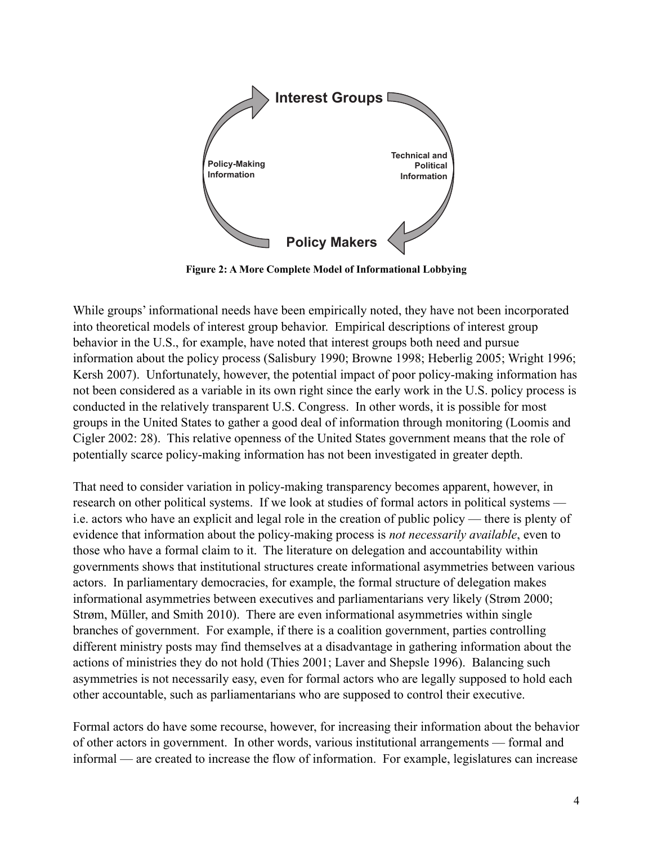

**Figure 2: A More Complete Model of Informational Lobbying**

conducted in the relatively transparent U.S. Congress. In other words, it is possible for most **There** is the United States to gather a good deal of information through monitoring (Loomis and Cigler 2002: 28). This relative openness of the United States government means that the role of **and** Into theoretical models of interest group behavior. Empirical descriptions of interest group While groups' informational needs have been empirically noted, they have not been incorporated behavior in the U.S., for example, have noted that interest groups both need and pursue information about the policy process (Salisbury 1990; Browne 1998; Heberlig 2005; Wright 1996; Kersh 2007). Unfortunately, however, the potential impact of poor policy-making information has not been considered as a variable in its own right since the early work in the U.S. policy process is groups in the United States to gather a good deal of information through monitoring (Loomis and potentially scarce policy-making information has not been investigated in greater depth.

those who have a formal claim to it. The literature on delegation and accountability within That need to consider variation in policy-making transparency becomes apparent, however, in research on other political systems. If we look at studies of formal actors in political systems i.e. actors who have an explicit and legal role in the creation of public policy — there is plenty of evidence that information about the policy-making process is *not necessarily available*, even to **M- ak ni g Information** governments shows that institutional structures create informational asymmetries between various actors. In parliamentary democracies, for example, the formal structure of delegation makes informational asymmetries between executives and parliamentarians very likely (Strøm 2000; Strøm, Müller, and Smith 2010). There are even informational asymmetries within single branches of government. For example, if there is a coalition government, parties controlling different ministry posts may find themselves at a disadvantage in gathering information about the actions of ministries they do not hold (Thies 2001; Laver and Shepsle 1996). Balancing such asymmetries is not necessarily easy, even for formal actors who are legally supposed to hold each other accountable, such as parliamentarians who are supposed to control their executive.

Formal actors do have some recourse, however, for increasing their information about the behavior of other actors in government. In other words, various institutional arrangements — formal and informal — are created to increase the flow of information. For example, legislatures can increase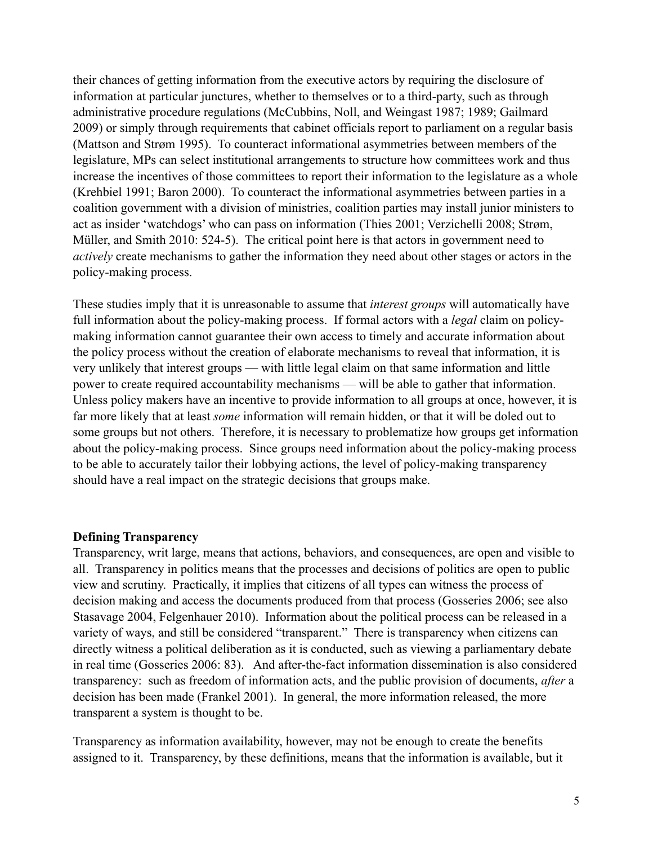their chances of getting information from the executive actors by requiring the disclosure of information at particular junctures, whether to themselves or to a third-party, such as through administrative procedure regulations (McCubbins, Noll, and Weingast 1987; 1989; Gailmard 2009) or simply through requirements that cabinet officials report to parliament on a regular basis (Mattson and Strøm 1995). To counteract informational asymmetries between members of the legislature, MPs can select institutional arrangements to structure how committees work and thus increase the incentives of those committees to report their information to the legislature as a whole (Krehbiel 1991; Baron 2000). To counteract the informational asymmetries between parties in a coalition government with a division of ministries, coalition parties may install junior ministers to act as insider 'watchdogs' who can pass on information (Thies 2001; Verzichelli 2008; Strøm, Müller, and Smith 2010: 524-5). The critical point here is that actors in government need to *actively* create mechanisms to gather the information they need about other stages or actors in the policy-making process.

These studies imply that it is unreasonable to assume that *interest groups* will automatically have full information about the policy-making process. If formal actors with a *legal* claim on policymaking information cannot guarantee their own access to timely and accurate information about the policy process without the creation of elaborate mechanisms to reveal that information, it is very unlikely that interest groups — with little legal claim on that same information and little power to create required accountability mechanisms — will be able to gather that information. Unless policy makers have an incentive to provide information to all groups at once, however, it is far more likely that at least *some* information will remain hidden, or that it will be doled out to some groups but not others. Therefore, it is necessary to problematize how groups get information about the policy-making process. Since groups need information about the policy-making process to be able to accurately tailor their lobbying actions, the level of policy-making transparency should have a real impact on the strategic decisions that groups make.

#### **Defining Transparency**

Transparency, writ large, means that actions, behaviors, and consequences, are open and visible to all. Transparency in politics means that the processes and decisions of politics are open to public view and scrutiny. Practically, it implies that citizens of all types can witness the process of decision making and access the documents produced from that process (Gosseries 2006; see also Stasavage 2004, Felgenhauer 2010). Information about the political process can be released in a variety of ways, and still be considered "transparent." There is transparency when citizens can directly witness a political deliberation as it is conducted, such as viewing a parliamentary debate in real time (Gosseries 2006: 83). And after-the-fact information dissemination is also considered transparency: such as freedom of information acts, and the public provision of documents, *after* a decision has been made (Frankel 2001). In general, the more information released, the more transparent a system is thought to be.

Transparency as information availability, however, may not be enough to create the benefits assigned to it. Transparency, by these definitions, means that the information is available, but it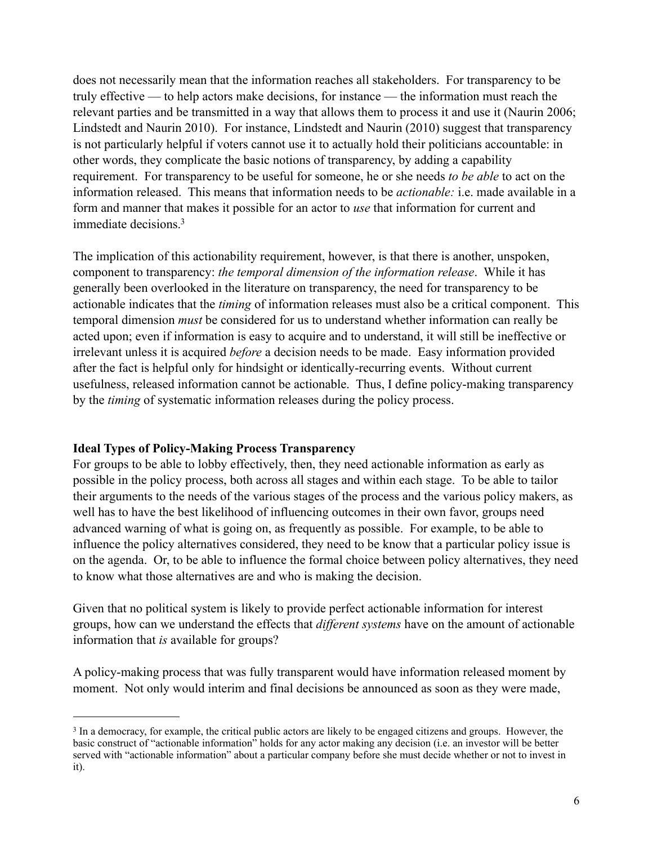does not necessarily mean that the information reaches all stakeholders. For transparency to be truly effective — to help actors make decisions, for instance — the information must reach the relevant parties and be transmitted in a way that allows them to process it and use it (Naurin 2006; Lindstedt and Naurin 2010). For instance, Lindstedt and Naurin (2010) suggest that transparency is not particularly helpful if voters cannot use it to actually hold their politicians accountable: in other words, they complicate the basic notions of transparency, by adding a capability requirement. For transparency to be useful for someone, he or she needs *to be able* to act on the information released. This means that information needs to be *actionable:* i.e. made available in a form and manner that makes it possible for an actor to *use* that information for current and immediate decisions[.3](#page-6-0) 

The implication of this actionability requirement, however, is that there is another, unspoken, component to transparency: *the temporal dimension of the information release*. While it has generally been overlooked in the literature on transparency, the need for transparency to be actionable indicates that the *timing* of information releases must also be a critical component. This temporal dimension *must* be considered for us to understand whether information can really be acted upon; even if information is easy to acquire and to understand, it will still be ineffective or irrelevant unless it is acquired *before* a decision needs to be made. Easy information provided after the fact is helpful only for hindsight or identically-recurring events. Without current usefulness, released information cannot be actionable. Thus, I define policy-making transparency by the *timing* of systematic information releases during the policy process.

## **Ideal Types of Policy-Making Process Transparency**

For groups to be able to lobby effectively, then, they need actionable information as early as possible in the policy process, both across all stages and within each stage. To be able to tailor their arguments to the needs of the various stages of the process and the various policy makers, as well has to have the best likelihood of influencing outcomes in their own favor, groups need advanced warning of what is going on, as frequently as possible. For example, to be able to influence the policy alternatives considered, they need to be know that a particular policy issue is on the agenda. Or, to be able to influence the formal choice between policy alternatives, they need to know what those alternatives are and who is making the decision.

Given that no political system is likely to provide perfect actionable information for interest groups, how can we understand the effects that *different systems* have on the amount of actionable information that *is* available for groups?

A policy-making process that was fully transparent would have information released moment by moment. Not only would interim and final decisions be announced as soon as they were made,

<span id="page-6-0"></span><sup>3</sup> In a democracy, for example, the critical public actors are likely to be engaged citizens and groups. However, the basic construct of "actionable information" holds for any actor making any decision (i.e. an investor will be better served with "actionable information" about a particular company before she must decide whether or not to invest in it).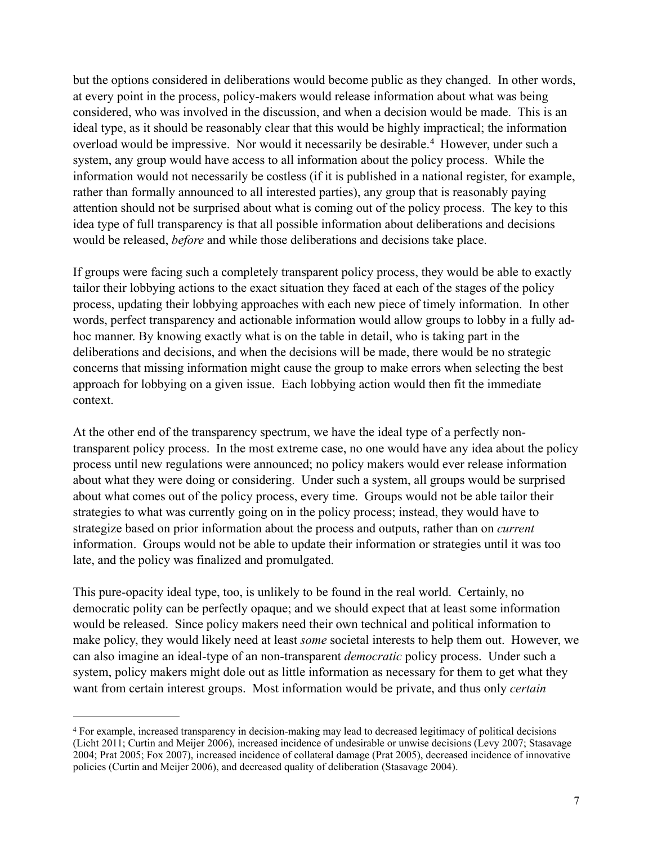but the options considered in deliberations would become public as they changed. In other words, at every point in the process, policy-makers would release information about what was being considered, who was involved in the discussion, and when a decision would be made. This is an ideal type, as it should be reasonably clear that this would be highly impractical; the information overload would be impressive. Nor would it necessarily be desirable.<sup>4</sup> However, under such a system, any group would have access to all information about the policy process. While the information would not necessarily be costless (if it is published in a national register, for example, rather than formally announced to all interested parties), any group that is reasonably paying attention should not be surprised about what is coming out of the policy process. The key to this idea type of full transparency is that all possible information about deliberations and decisions would be released, *before* and while those deliberations and decisions take place.

If groups were facing such a completely transparent policy process, they would be able to exactly tailor their lobbying actions to the exact situation they faced at each of the stages of the policy process, updating their lobbying approaches with each new piece of timely information. In other words, perfect transparency and actionable information would allow groups to lobby in a fully adhoc manner. By knowing exactly what is on the table in detail, who is taking part in the deliberations and decisions, and when the decisions will be made, there would be no strategic concerns that missing information might cause the group to make errors when selecting the best approach for lobbying on a given issue. Each lobbying action would then fit the immediate context.

At the other end of the transparency spectrum, we have the ideal type of a perfectly nontransparent policy process. In the most extreme case, no one would have any idea about the policy process until new regulations were announced; no policy makers would ever release information about what they were doing or considering. Under such a system, all groups would be surprised about what comes out of the policy process, every time. Groups would not be able tailor their strategies to what was currently going on in the policy process; instead, they would have to strategize based on prior information about the process and outputs, rather than on *current* information. Groups would not be able to update their information or strategies until it was too late, and the policy was finalized and promulgated.

This pure-opacity ideal type, too, is unlikely to be found in the real world. Certainly, no democratic polity can be perfectly opaque; and we should expect that at least some information would be released. Since policy makers need their own technical and political information to make policy, they would likely need at least *some* societal interests to help them out. However, we can also imagine an ideal-type of an non-transparent *democratic* policy process. Under such a system, policy makers might dole out as little information as necessary for them to get what they want from certain interest groups. Most information would be private, and thus only *certain*

<span id="page-7-0"></span><sup>4</sup> For example, increased transparency in decision-making may lead to decreased legitimacy of political decisions (Licht 2011; Curtin and Meijer 2006), increased incidence of undesirable or unwise decisions (Levy 2007; Stasavage 2004; Prat 2005; Fox 2007), increased incidence of collateral damage (Prat 2005), decreased incidence of innovative policies (Curtin and Meijer 2006), and decreased quality of deliberation (Stasavage 2004).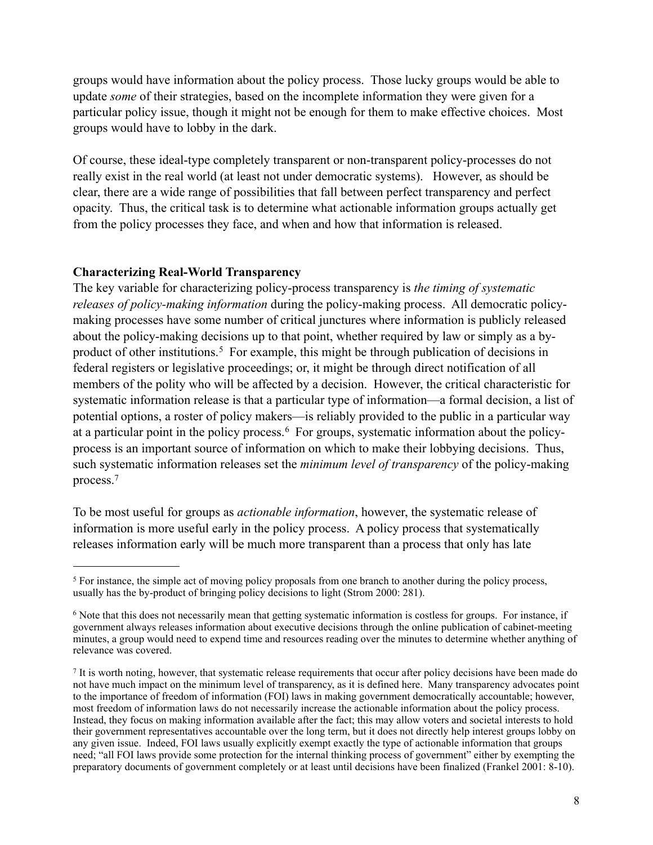groups would have information about the policy process. Those lucky groups would be able to update *some* of their strategies, based on the incomplete information they were given for a particular policy issue, though it might not be enough for them to make effective choices. Most groups would have to lobby in the dark.

Of course, these ideal-type completely transparent or non-transparent policy-processes do not really exist in the real world (at least not under democratic systems). However, as should be clear, there are a wide range of possibilities that fall between perfect transparency and perfect opacity. Thus, the critical task is to determine what actionable information groups actually get from the policy processes they face, and when and how that information is released.

#### **Characterizing Real-World Transparency**

The key variable for characterizing policy-process transparency is *the timing of systematic releases of policy-making information* during the policy-making process. All democratic policymaking processes have some number of critical junctures where information is publicly released about the policy-making decisions up to that point, whether required by law or simply as a byproduct of other institutions.<sup>5</sup> For example, this might be through publication of decisions in federal registers or legislative proceedings; or, it might be through direct notification of all members of the polity who will be affected by a decision. However, the critical characteristic for systematic information release is that a particular type of information—a formal decision, a list of potential options, a roster of policy makers—is reliably provided to the public in a particular way at a particular point in the policy process.[6](#page-8-1) For groups, systematic information about the policyprocess is an important source of information on which to make their lobbying decisions. Thus, such systematic information releases set the *minimum level of transparency* of the policy-making process[.7](#page-8-2)

To be most useful for groups as *actionable information*, however, the systematic release of information is more useful early in the policy process. A policy process that systematically releases information early will be much more transparent than a process that only has late

<span id="page-8-0"></span><sup>&</sup>lt;sup>5</sup> For instance, the simple act of moving policy proposals from one branch to another during the policy process, usually has the by-product of bringing policy decisions to light (Strom 2000: 281).

<span id="page-8-1"></span><sup>6</sup> Note that this does not necessarily mean that getting systematic information is costless for groups. For instance, if government always releases information about executive decisions through the online publication of cabinet-meeting minutes, a group would need to expend time and resources reading over the minutes to determine whether anything of relevance was covered.

<span id="page-8-2"></span><sup>7</sup> It is worth noting, however, that systematic release requirements that occur after policy decisions have been made do not have much impact on the minimum level of transparency, as it is defined here. Many transparency advocates point to the importance of freedom of information (FOI) laws in making government democratically accountable; however, most freedom of information laws do not necessarily increase the actionable information about the policy process. Instead, they focus on making information available after the fact; this may allow voters and societal interests to hold their government representatives accountable over the long term, but it does not directly help interest groups lobby on any given issue. Indeed, FOI laws usually explicitly exempt exactly the type of actionable information that groups need; "all FOI laws provide some protection for the internal thinking process of government" either by exempting the preparatory documents of government completely or at least until decisions have been finalized (Frankel 2001: 8-10).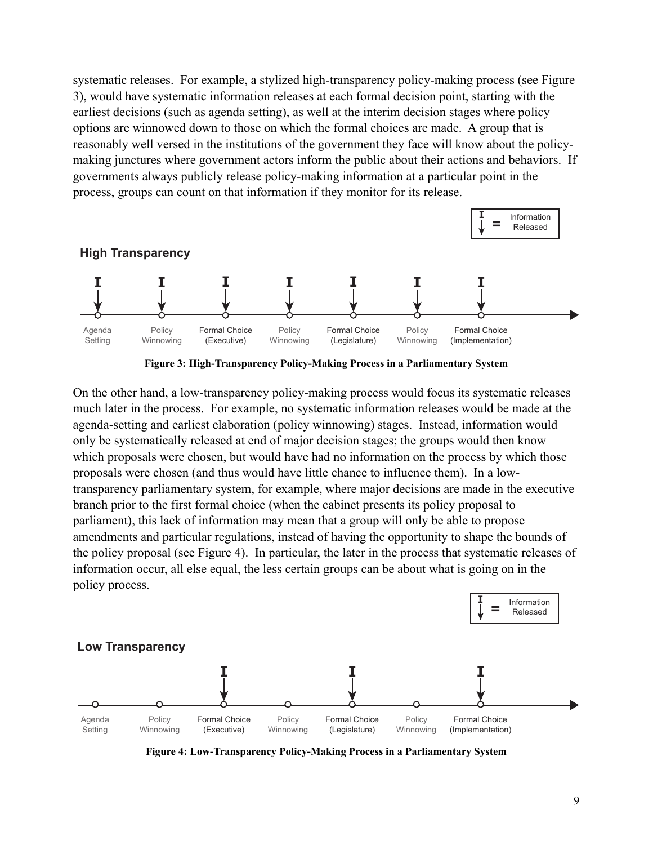systematic releases. For example, a stylized high-transparency policy-making process (see Figure 3), would have systematic information releases at each formal decision point, starting with the earliest decisions (such as agenda setting), as well at the interim decision stages where policy options are winnowed down to those on which the formal choices are made. A group that is reasonably well versed in the institutions of the government they face will know about the policymaking junctures where government actors inform the public about their actions and behaviors. If governments always publicly release policy-making information at a particular point in the process, groups can count on that information if they monitor for its release.



**Figure 3: High-Transparency Policy-Making Process in a Parliamentary System**

On the other hand, a low-transparency policy-making process would focus its systematic releases much later in the process. For example, no systematic information releases would be made at the agenda-setting and earliest elaboration (policy winnowing) stages. Instead, information would only be systematically released at end of major decision stages; the groups would then know which proposals were chosen, but would have had no information on the process by which those proposals were chosen (and thus would have little chance to influence them). In a lowtransparency parliamentary system, for example, where major decisions are made in the executive branch prior to the first formal choice (when the cabinet presents its policy proposal to parliament), this lack of information may mean that a group will only be able to propose amendments and particular regulations, instead of having the opportunity to shape the bounds of the policy proposal (see Figure 4). In particular, the later in the process that systematic releases of information occur, all else equal, the less certain groups can be about what is going on in the policy process.



**Figure 4: Low-Transparency Policy-Making Process in a Parliamentary System**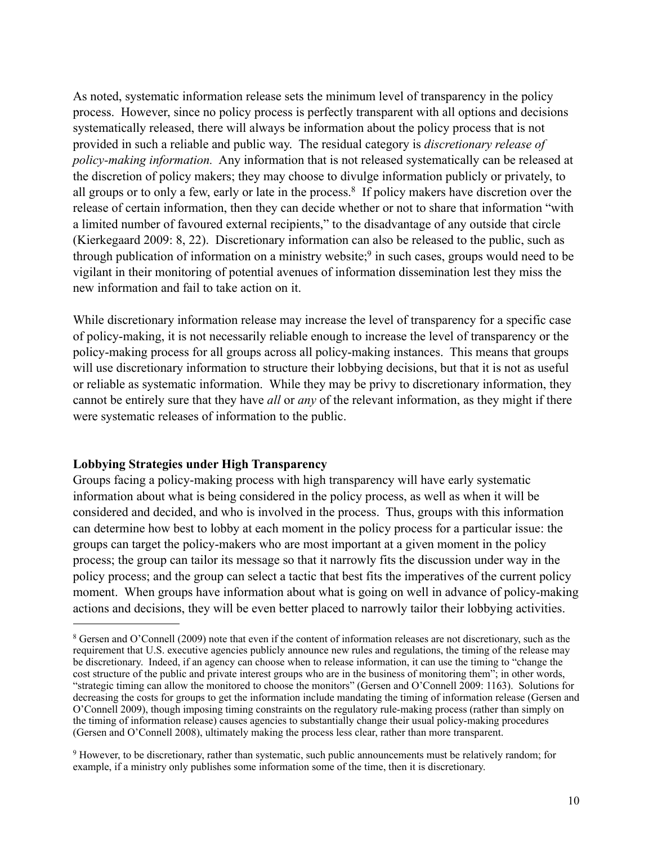As noted, systematic information release sets the minimum level of transparency in the policy process. However, since no policy process is perfectly transparent with all options and decisions systematically released, there will always be information about the policy process that is not provided in such a reliable and public way. The residual category is *discretionary release of policy-making information.* Any information that is not released systematically can be released at the discretion of policy makers; they may choose to divulge information publicly or privately, to all groups or to only a few, early or late in the process.<sup>8</sup> If policy makers have discretion over the release of certain information, then they can decide whether or not to share that information "with a limited number of favoured external recipients," to the disadvantage of any outside that circle (Kierkegaard 2009: 8, 22). Discretionary information can also be released to the public, such as through publication of information on a ministry website; $9$  in such cases, groups would need to be vigilant in their monitoring of potential avenues of information dissemination lest they miss the new information and fail to take action on it.

While discretionary information release may increase the level of transparency for a specific case of policy-making, it is not necessarily reliable enough to increase the level of transparency or the policy-making process for all groups across all policy-making instances. This means that groups will use discretionary information to structure their lobbying decisions, but that it is not as useful or reliable as systematic information. While they may be privy to discretionary information, they cannot be entirely sure that they have *all* or *any* of the relevant information, as they might if there were systematic releases of information to the public.

## **Lobbying Strategies under High Transparency**

Groups facing a policy-making process with high transparency will have early systematic information about what is being considered in the policy process, as well as when it will be considered and decided, and who is involved in the process. Thus, groups with this information can determine how best to lobby at each moment in the policy process for a particular issue: the groups can target the policy-makers who are most important at a given moment in the policy process; the group can tailor its message so that it narrowly fits the discussion under way in the policy process; and the group can select a tactic that best fits the imperatives of the current policy moment. When groups have information about what is going on well in advance of policy-making actions and decisions, they will be even better placed to narrowly tailor their lobbying activities.

<span id="page-10-0"></span><sup>8</sup> Gersen and O'Connell (2009) note that even if the content of information releases are not discretionary, such as the requirement that U.S. executive agencies publicly announce new rules and regulations, the timing of the release may be discretionary. Indeed, if an agency can choose when to release information, it can use the timing to "change the cost structure of the public and private interest groups who are in the business of monitoring them"; in other words, "strategic timing can allow the monitored to choose the monitors" (Gersen and O'Connell 2009: 1163). Solutions for decreasing the costs for groups to get the information include mandating the timing of information release (Gersen and O'Connell 2009), though imposing timing constraints on the regulatory rule-making process (rather than simply on the timing of information release) causes agencies to substantially change their usual policy-making procedures (Gersen and O'Connell 2008), ultimately making the process less clear, rather than more transparent.

<span id="page-10-1"></span><sup>9</sup> However, to be discretionary, rather than systematic, such public announcements must be relatively random; for example, if a ministry only publishes some information some of the time, then it is discretionary.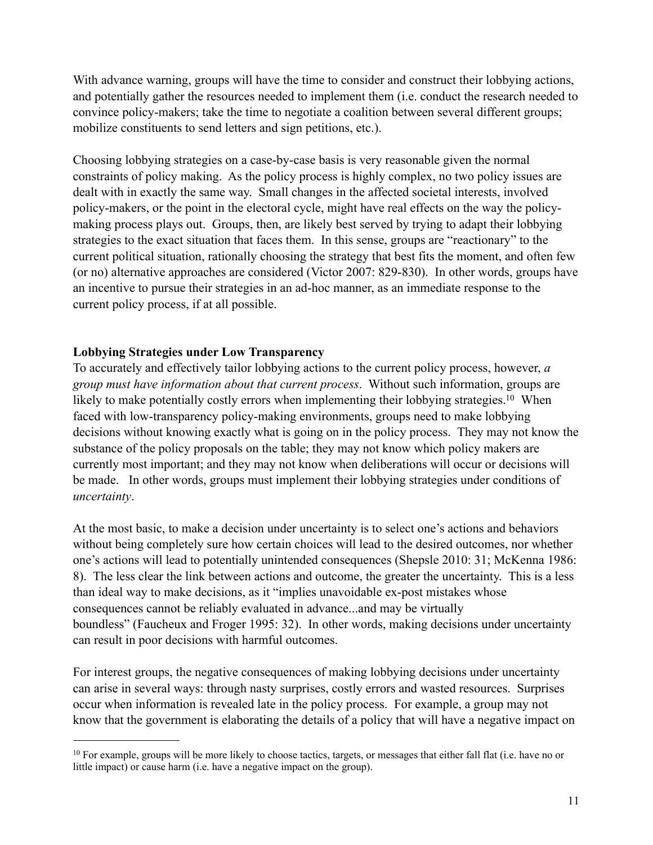With advance warning, groups will have the time to consider and construct their lobbying actions, and potentially gather the resources needed to implement them (i.e. conduct the research needed to convince policy-makers; take the time to negotiate a coalition between several different groups; mobilize constituents to send letters and sign petitions, etc.).

Choosing lobbying strategies on a case-by-case basis is very reasonable given the normal constraints of policy making. As the policy process is highly complex, no two policy issues are dealt with in exactly the same way. Small changes in the affected societal interests, involved policy-makers, or the point in the electoral cycle, might have real effects on the way the policymaking process plays out. Groups, then, are likely best served by trying to adapt their lobbying strategies to the exact situation that faces them. In this sense, groups are "reactionary" to the current political situation, rationally choosing the strategy that best fits the moment, and often few (or no) alternative approaches are considered (Victor 2007: 829-830). In other words, groups have an incentive to pursue their strategies in an ad-hoc manner, as an immediate response to the current policy process, if at all possible.

## **Lobbying Strategies under Low Transparency**

To accurately and effectively tailor lobbying actions to the current policy process, however, *a group must have information about that current process*. Without such information, groups are likely to make potentially costly errors when implementing their lobbying strategies.<sup>10</sup> When faced with low-transparency policy-making environments, groups need to make lobbying decisions without knowing exactly what is going on in the policy process. They may not know the substance of the policy proposals on the table; they may not know which policy makers are currently most important; and they may not know when deliberations will occur or decisions will be made. In other words, groups must implement their lobbying strategies under conditions of *uncertainty*.

At the most basic, to make a decision under uncertainty is to select one's actions and behaviors without being completely sure how certain choices will lead to the desired outcomes, nor whether one's actions will lead to potentially unintended consequences (Shepsle 2010: 31; McKenna 1986: 8). The less clear the link between actions and outcome, the greater the uncertainty. This is a less than ideal way to make decisions, as it "implies unavoidable ex-post mistakes whose consequences cannot be reliably evaluated in advance...and may be virtually boundless" (Faucheux and Froger 1995: 32). In other words, making decisions under uncertainty can result in poor decisions with harmful outcomes.

For interest groups, the negative consequences of making lobbying decisions under uncertainty can arise in several ways: through nasty surprises, costly errors and wasted resources. Surprises occur when information is revealed late in the policy process. For example, a group may not know that the government is elaborating the details of a policy that will have a negative impact on

<span id="page-11-0"></span> $10$  For example, groups will be more likely to choose tactics, targets, or messages that either fall flat (i.e. have no or little impact) or cause harm (i.e. have a negative impact on the group).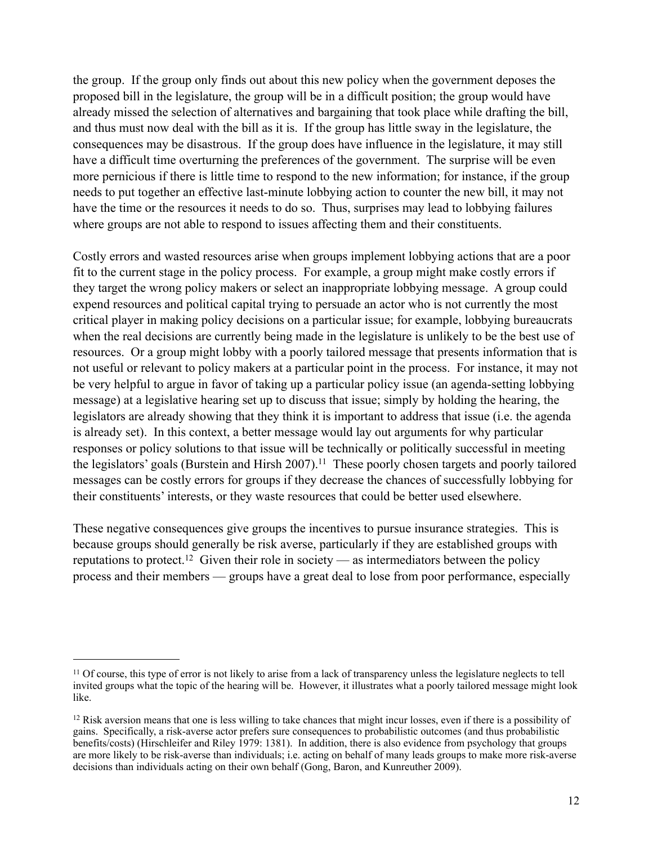the group. If the group only finds out about this new policy when the government deposes the proposed bill in the legislature, the group will be in a difficult position; the group would have already missed the selection of alternatives and bargaining that took place while drafting the bill, and thus must now deal with the bill as it is. If the group has little sway in the legislature, the consequences may be disastrous. If the group does have influence in the legislature, it may still have a difficult time overturning the preferences of the government. The surprise will be even more pernicious if there is little time to respond to the new information; for instance, if the group needs to put together an effective last-minute lobbying action to counter the new bill, it may not have the time or the resources it needs to do so. Thus, surprises may lead to lobbying failures where groups are not able to respond to issues affecting them and their constituents.

Costly errors and wasted resources arise when groups implement lobbying actions that are a poor fit to the current stage in the policy process. For example, a group might make costly errors if they target the wrong policy makers or select an inappropriate lobbying message. A group could expend resources and political capital trying to persuade an actor who is not currently the most critical player in making policy decisions on a particular issue; for example, lobbying bureaucrats when the real decisions are currently being made in the legislature is unlikely to be the best use of resources. Or a group might lobby with a poorly tailored message that presents information that is not useful or relevant to policy makers at a particular point in the process. For instance, it may not be very helpful to argue in favor of taking up a particular policy issue (an agenda-setting lobbying message) at a legislative hearing set up to discuss that issue; simply by holding the hearing, the legislators are already showing that they think it is important to address that issue (i.e. the agenda is already set). In this context, a better message would lay out arguments for why particular responses or policy solutions to that issue will be technically or politically successful in meeting the legislators' goals (Burstein and Hirsh 2007).<sup>11</sup> These poorly chosen targets and poorly tailored messages can be costly errors for groups if they decrease the chances of successfully lobbying for their constituents' interests, or they waste resources that could be better used elsewhere.

These negative consequences give groups the incentives to pursue insurance strategies. This is because groups should generally be risk averse, particularly if they are established groups with reputations to protect.<sup>12</sup> Given their role in society — as intermediators between the policy process and their members — groups have a great deal to lose from poor performance, especially

<span id="page-12-0"></span><sup>&</sup>lt;sup>11</sup> Of course, this type of error is not likely to arise from a lack of transparency unless the legislature neglects to tell invited groups what the topic of the hearing will be. However, it illustrates what a poorly tailored message might look like.

<span id="page-12-1"></span><sup>&</sup>lt;sup>12</sup> Risk aversion means that one is less willing to take chances that might incur losses, even if there is a possibility of gains. Specifically, a risk-averse actor prefers sure consequences to probabilistic outcomes (and thus probabilistic benefits/costs) (Hirschleifer and Riley 1979: 1381). In addition, there is also evidence from psychology that groups are more likely to be risk-averse than individuals; i.e. acting on behalf of many leads groups to make more risk-averse decisions than individuals acting on their own behalf (Gong, Baron, and Kunreuther 2009).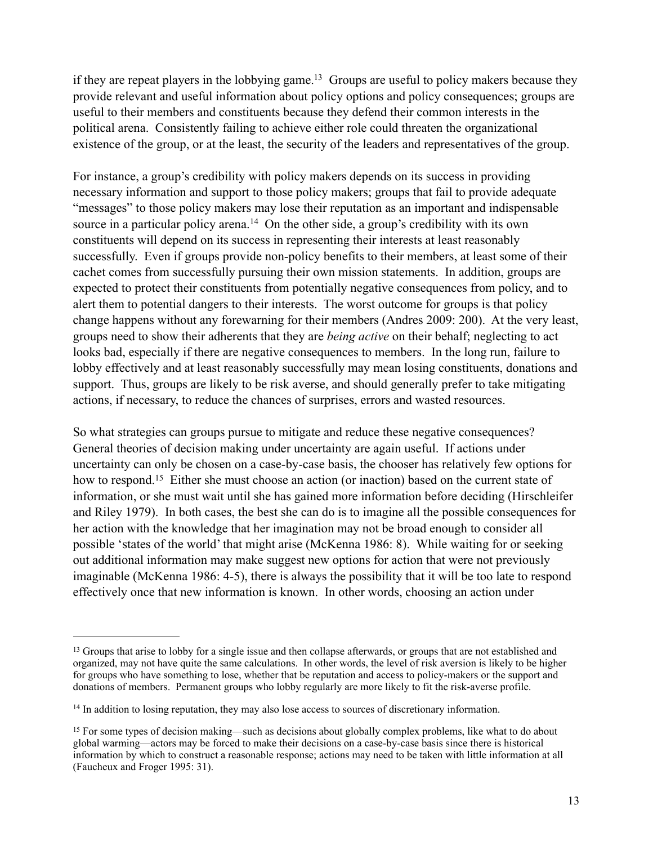if they are repeat players in the lobbying game.<sup>13</sup> Groups are useful to policy makers because they provide relevant and useful information about policy options and policy consequences; groups are useful to their members and constituents because they defend their common interests in the political arena. Consistently failing to achieve either role could threaten the organizational existence of the group, or at the least, the security of the leaders and representatives of the group.

For instance, a group's credibility with policy makers depends on its success in providing necessary information and support to those policy makers; groups that fail to provide adequate "messages" to those policy makers may lose their reputation as an important and indispensable source in a particular policy arena.<sup>14</sup> On the other side, a group's credibility with its own constituents will depend on its success in representing their interests at least reasonably successfully. Even if groups provide non-policy benefits to their members, at least some of their cachet comes from successfully pursuing their own mission statements. In addition, groups are expected to protect their constituents from potentially negative consequences from policy, and to alert them to potential dangers to their interests. The worst outcome for groups is that policy change happens without any forewarning for their members (Andres 2009: 200). At the very least, groups need to show their adherents that they are *being active* on their behalf; neglecting to act looks bad, especially if there are negative consequences to members. In the long run, failure to lobby effectively and at least reasonably successfully may mean losing constituents, donations and support. Thus, groups are likely to be risk averse, and should generally prefer to take mitigating actions, if necessary, to reduce the chances of surprises, errors and wasted resources.

So what strategies can groups pursue to mitigate and reduce these negative consequences? General theories of decision making under uncertainty are again useful. If actions under uncertainty can only be chosen on a case-by-case basis, the chooser has relatively few options for how to respond.<sup>15</sup> Either she must choose an action (or inaction) based on the current state of information, or she must wait until she has gained more information before deciding (Hirschleifer and Riley 1979). In both cases, the best she can do is to imagine all the possible consequences for her action with the knowledge that her imagination may not be broad enough to consider all possible 'states of the world' that might arise (McKenna 1986: 8). While waiting for or seeking out additional information may make suggest new options for action that were not previously imaginable (McKenna 1986: 4-5), there is always the possibility that it will be too late to respond effectively once that new information is known. In other words, choosing an action under

<span id="page-13-0"></span><sup>&</sup>lt;sup>13</sup> Groups that arise to lobby for a single issue and then collapse afterwards, or groups that are not established and organized, may not have quite the same calculations. In other words, the level of risk aversion is likely to be higher for groups who have something to lose, whether that be reputation and access to policy-makers or the support and donations of members. Permanent groups who lobby regularly are more likely to fit the risk-averse profile.

<span id="page-13-1"></span><sup>&</sup>lt;sup>14</sup> In addition to losing reputation, they may also lose access to sources of discretionary information.

<span id="page-13-2"></span><sup>&</sup>lt;sup>15</sup> For some types of decision making—such as decisions about globally complex problems, like what to do about global warming—actors may be forced to make their decisions on a case-by-case basis since there is historical information by which to construct a reasonable response; actions may need to be taken with little information at all (Faucheux and Froger 1995: 31).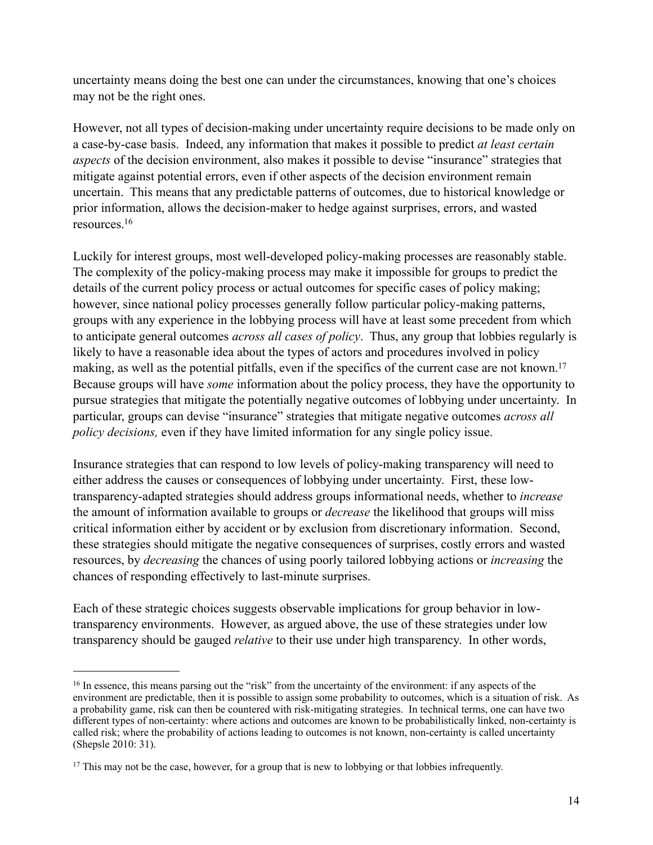uncertainty means doing the best one can under the circumstances, knowing that one's choices may not be the right ones.

However, not all types of decision-making under uncertainty require decisions to be made only on a case-by-case basis. Indeed, any information that makes it possible to predict *at least certain aspects* of the decision environment, also makes it possible to devise "insurance" strategies that mitigate against potential errors, even if other aspects of the decision environment remain uncertain. This means that any predictable patterns of outcomes, due to historical knowledge or prior information, allows the decision-maker to hedge against surprises, errors, and wasted resources[.16](#page-14-0) 

Luckily for interest groups, most well-developed policy-making processes are reasonably stable. The complexity of the policy-making process may make it impossible for groups to predict the details of the current policy process or actual outcomes for specific cases of policy making; however, since national policy processes generally follow particular policy-making patterns, groups with any experience in the lobbying process will have at least some precedent from which to anticipate general outcomes *across all cases of policy*. Thus, any group that lobbies regularly is likely to have a reasonable idea about the types of actors and procedures involved in policy making, as well as the potential pitfalls, even if the specifics of the current case are not known.<sup>17</sup> Because groups will have *some* information about the policy process, they have the opportunity to pursue strategies that mitigate the potentially negative outcomes of lobbying under uncertainty. In particular, groups can devise "insurance" strategies that mitigate negative outcomes *across all policy decisions,* even if they have limited information for any single policy issue.

Insurance strategies that can respond to low levels of policy-making transparency will need to either address the causes or consequences of lobbying under uncertainty. First, these lowtransparency-adapted strategies should address groups informational needs, whether to *increase*  the amount of information available to groups or *decrease* the likelihood that groups will miss critical information either by accident or by exclusion from discretionary information. Second, these strategies should mitigate the negative consequences of surprises, costly errors and wasted resources, by *decreasing* the chances of using poorly tailored lobbying actions or *increasing* the chances of responding effectively to last-minute surprises.

Each of these strategic choices suggests observable implications for group behavior in lowtransparency environments. However, as argued above, the use of these strategies under low transparency should be gauged *relative* to their use under high transparency. In other words,

<span id="page-14-0"></span><sup>16</sup> In essence, this means parsing out the "risk" from the uncertainty of the environment: if any aspects of the environment are predictable, then it is possible to assign some probability to outcomes, which is a situation of risk. As a probability game, risk can then be countered with risk-mitigating strategies. In technical terms, one can have two different types of non-certainty: where actions and outcomes are known to be probabilistically linked, non-certainty is called risk; where the probability of actions leading to outcomes is not known, non-certainty is called uncertainty (Shepsle 2010: 31).

<span id="page-14-1"></span><sup>&</sup>lt;sup>17</sup> This may not be the case, however, for a group that is new to lobbying or that lobbies infrequently.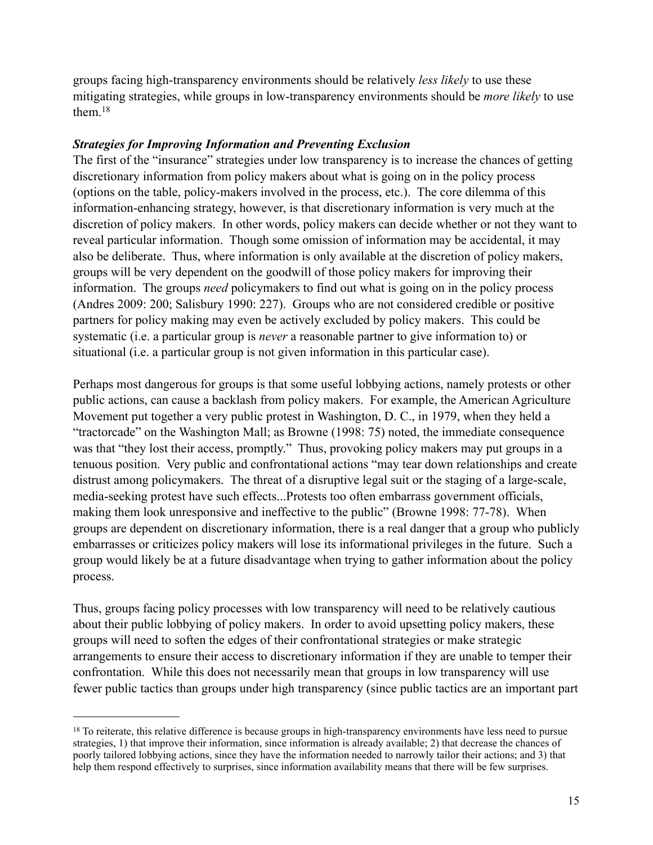groups facing high-transparency environments should be relatively *less likely* to use these mitigating strategies, while groups in low-transparency environments should be *more likely* to use them[.18](#page-15-0)

## *Strategies for Improving Information and Preventing Exclusion*

The first of the "insurance" strategies under low transparency is to increase the chances of getting discretionary information from policy makers about what is going on in the policy process (options on the table, policy-makers involved in the process, etc.). The core dilemma of this information-enhancing strategy, however, is that discretionary information is very much at the discretion of policy makers. In other words, policy makers can decide whether or not they want to reveal particular information. Though some omission of information may be accidental, it may also be deliberate. Thus, where information is only available at the discretion of policy makers, groups will be very dependent on the goodwill of those policy makers for improving their information. The groups *need* policymakers to find out what is going on in the policy process (Andres 2009: 200; Salisbury 1990: 227). Groups who are not considered credible or positive partners for policy making may even be actively excluded by policy makers. This could be systematic (i.e. a particular group is *never* a reasonable partner to give information to) or situational (i.e. a particular group is not given information in this particular case).

Perhaps most dangerous for groups is that some useful lobbying actions, namely protests or other public actions, can cause a backlash from policy makers. For example, the American Agriculture Movement put together a very public protest in Washington, D. C., in 1979, when they held a "tractorcade" on the Washington Mall; as Browne (1998: 75) noted, the immediate consequence was that "they lost their access, promptly." Thus, provoking policy makers may put groups in a tenuous position. Very public and confrontational actions "may tear down relationships and create distrust among policymakers. The threat of a disruptive legal suit or the staging of a large-scale, media-seeking protest have such effects...Protests too often embarrass government officials, making them look unresponsive and ineffective to the public" (Browne 1998: 77-78). When groups are dependent on discretionary information, there is a real danger that a group who publicly embarrasses or criticizes policy makers will lose its informational privileges in the future. Such a group would likely be at a future disadvantage when trying to gather information about the policy process.

Thus, groups facing policy processes with low transparency will need to be relatively cautious about their public lobbying of policy makers. In order to avoid upsetting policy makers, these groups will need to soften the edges of their confrontational strategies or make strategic arrangements to ensure their access to discretionary information if they are unable to temper their confrontation. While this does not necessarily mean that groups in low transparency will use fewer public tactics than groups under high transparency (since public tactics are an important part

<span id="page-15-0"></span><sup>&</sup>lt;sup>18</sup> To reiterate, this relative difference is because groups in high-transparency environments have less need to pursue strategies, 1) that improve their information, since information is already available; 2) that decrease the chances of poorly tailored lobbying actions, since they have the information needed to narrowly tailor their actions; and 3) that help them respond effectively to surprises, since information availability means that there will be few surprises.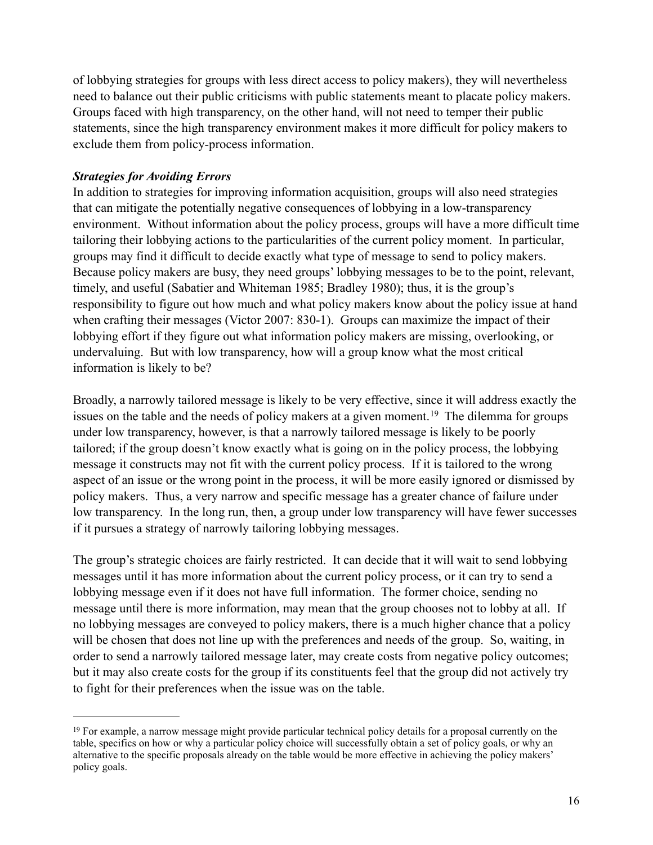of lobbying strategies for groups with less direct access to policy makers), they will nevertheless need to balance out their public criticisms with public statements meant to placate policy makers. Groups faced with high transparency, on the other hand, will not need to temper their public statements, since the high transparency environment makes it more difficult for policy makers to exclude them from policy-process information.

#### *Strategies for Avoiding Errors*

In addition to strategies for improving information acquisition, groups will also need strategies that can mitigate the potentially negative consequences of lobbying in a low-transparency environment. Without information about the policy process, groups will have a more difficult time tailoring their lobbying actions to the particularities of the current policy moment. In particular, groups may find it difficult to decide exactly what type of message to send to policy makers. Because policy makers are busy, they need groups' lobbying messages to be to the point, relevant, timely, and useful (Sabatier and Whiteman 1985; Bradley 1980); thus, it is the group's responsibility to figure out how much and what policy makers know about the policy issue at hand when crafting their messages (Victor 2007: 830-1). Groups can maximize the impact of their lobbying effort if they figure out what information policy makers are missing, overlooking, or undervaluing. But with low transparency, how will a group know what the most critical information is likely to be?

Broadly, a narrowly tailored message is likely to be very effective, since it will address exactly the issues on the table and the needs of policy makers at a given moment.<sup>19</sup> The dilemma for groups under low transparency, however, is that a narrowly tailored message is likely to be poorly tailored; if the group doesn't know exactly what is going on in the policy process, the lobbying message it constructs may not fit with the current policy process. If it is tailored to the wrong aspect of an issue or the wrong point in the process, it will be more easily ignored or dismissed by policy makers. Thus, a very narrow and specific message has a greater chance of failure under low transparency. In the long run, then, a group under low transparency will have fewer successes if it pursues a strategy of narrowly tailoring lobbying messages.

The group's strategic choices are fairly restricted. It can decide that it will wait to send lobbying messages until it has more information about the current policy process, or it can try to send a lobbying message even if it does not have full information. The former choice, sending no message until there is more information, may mean that the group chooses not to lobby at all. If no lobbying messages are conveyed to policy makers, there is a much higher chance that a policy will be chosen that does not line up with the preferences and needs of the group. So, waiting, in order to send a narrowly tailored message later, may create costs from negative policy outcomes; but it may also create costs for the group if its constituents feel that the group did not actively try to fight for their preferences when the issue was on the table.

<span id="page-16-0"></span><sup>19</sup> For example, a narrow message might provide particular technical policy details for a proposal currently on the table, specifics on how or why a particular policy choice will successfully obtain a set of policy goals, or why an alternative to the specific proposals already on the table would be more effective in achieving the policy makers' policy goals.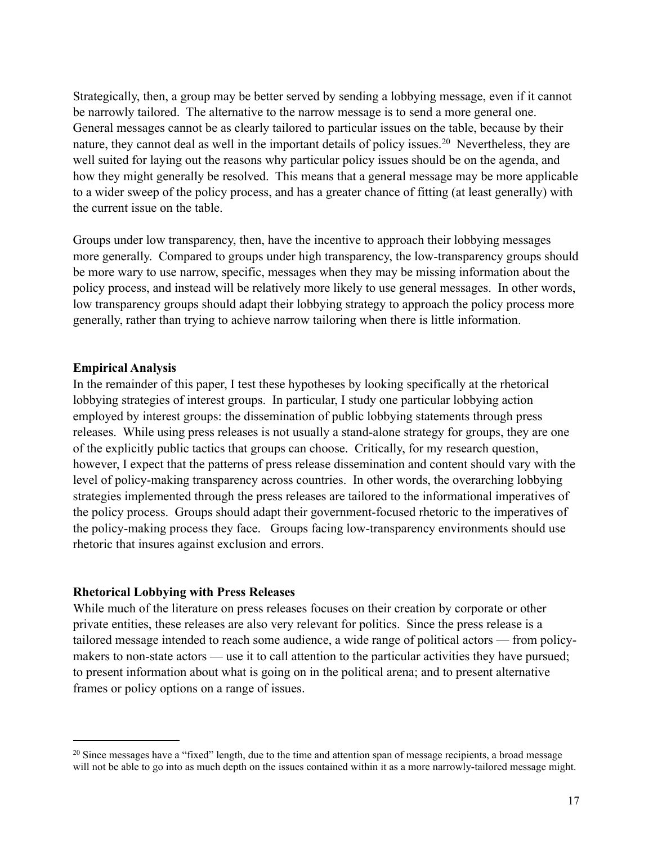Strategically, then, a group may be better served by sending a lobbying message, even if it cannot be narrowly tailored. The alternative to the narrow message is to send a more general one. General messages cannot be as clearly tailored to particular issues on the table, because by their nature, they cannot deal as well in the important details of policy issues.<sup>20</sup> Nevertheless, they are well suited for laying out the reasons why particular policy issues should be on the agenda, and how they might generally be resolved. This means that a general message may be more applicable to a wider sweep of the policy process, and has a greater chance of fitting (at least generally) with the current issue on the table.

Groups under low transparency, then, have the incentive to approach their lobbying messages more generally. Compared to groups under high transparency, the low-transparency groups should be more wary to use narrow, specific, messages when they may be missing information about the policy process, and instead will be relatively more likely to use general messages. In other words, low transparency groups should adapt their lobbying strategy to approach the policy process more generally, rather than trying to achieve narrow tailoring when there is little information.

#### **Empirical Analysis**

In the remainder of this paper, I test these hypotheses by looking specifically at the rhetorical lobbying strategies of interest groups. In particular, I study one particular lobbying action employed by interest groups: the dissemination of public lobbying statements through press releases. While using press releases is not usually a stand-alone strategy for groups, they are one of the explicitly public tactics that groups can choose. Critically, for my research question, however, I expect that the patterns of press release dissemination and content should vary with the level of policy-making transparency across countries. In other words, the overarching lobbying strategies implemented through the press releases are tailored to the informational imperatives of the policy process. Groups should adapt their government-focused rhetoric to the imperatives of the policy-making process they face. Groups facing low-transparency environments should use rhetoric that insures against exclusion and errors.

#### **Rhetorical Lobbying with Press Releases**

While much of the literature on press releases focuses on their creation by corporate or other private entities, these releases are also very relevant for politics. Since the press release is a tailored message intended to reach some audience, a wide range of political actors — from policymakers to non-state actors — use it to call attention to the particular activities they have pursued; to present information about what is going on in the political arena; and to present alternative frames or policy options on a range of issues.

<span id="page-17-0"></span><sup>&</sup>lt;sup>20</sup> Since messages have a "fixed" length, due to the time and attention span of message recipients, a broad message will not be able to go into as much depth on the issues contained within it as a more narrowly-tailored message might.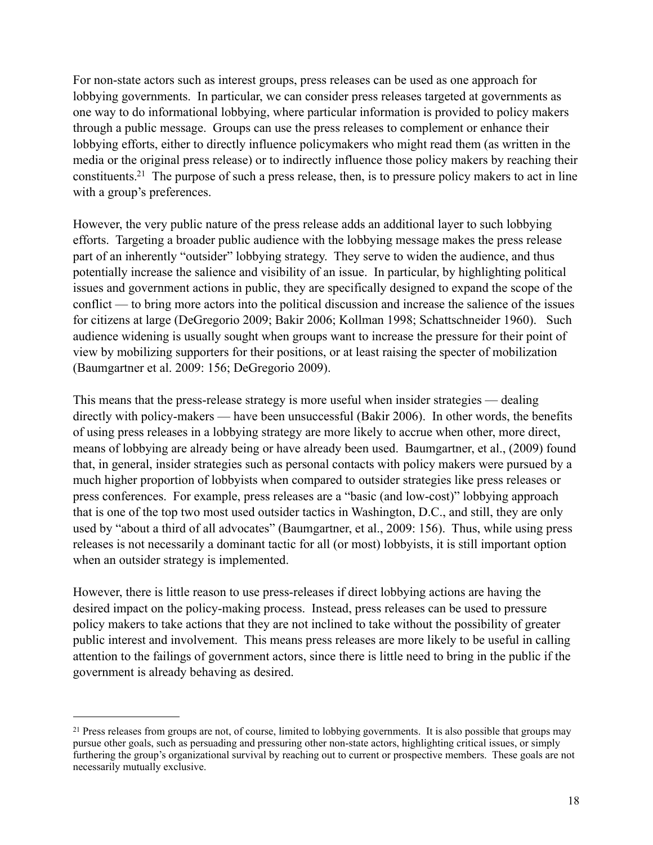For non-state actors such as interest groups, press releases can be used as one approach for lobbying governments. In particular, we can consider press releases targeted at governments as one way to do informational lobbying, where particular information is provided to policy makers through a public message. Groups can use the press releases to complement or enhance their lobbying efforts, either to directly influence policymakers who might read them (as written in the media or the original press release) or to indirectly influence those policy makers by reaching their constituents[.21](#page-18-0) The purpose of such a press release, then, is to pressure policy makers to act in line with a group's preferences.

However, the very public nature of the press release adds an additional layer to such lobbying efforts. Targeting a broader public audience with the lobbying message makes the press release part of an inherently "outsider" lobbying strategy. They serve to widen the audience, and thus potentially increase the salience and visibility of an issue. In particular, by highlighting political issues and government actions in public, they are specifically designed to expand the scope of the conflict — to bring more actors into the political discussion and increase the salience of the issues for citizens at large (DeGregorio 2009; Bakir 2006; Kollman 1998; Schattschneider 1960). Such audience widening is usually sought when groups want to increase the pressure for their point of view by mobilizing supporters for their positions, or at least raising the specter of mobilization (Baumgartner et al. 2009: 156; DeGregorio 2009).

This means that the press-release strategy is more useful when insider strategies — dealing directly with policy-makers — have been unsuccessful (Bakir 2006). In other words, the benefits of using press releases in a lobbying strategy are more likely to accrue when other, more direct, means of lobbying are already being or have already been used. Baumgartner, et al., (2009) found that, in general, insider strategies such as personal contacts with policy makers were pursued by a much higher proportion of lobbyists when compared to outsider strategies like press releases or press conferences. For example, press releases are a "basic (and low-cost)" lobbying approach that is one of the top two most used outsider tactics in Washington, D.C., and still, they are only used by "about a third of all advocates" (Baumgartner, et al., 2009: 156). Thus, while using press releases is not necessarily a dominant tactic for all (or most) lobbyists, it is still important option when an outsider strategy is implemented.

However, there is little reason to use press-releases if direct lobbying actions are having the desired impact on the policy-making process. Instead, press releases can be used to pressure policy makers to take actions that they are not inclined to take without the possibility of greater public interest and involvement. This means press releases are more likely to be useful in calling attention to the failings of government actors, since there is little need to bring in the public if the government is already behaving as desired.

<span id="page-18-0"></span><sup>&</sup>lt;sup>21</sup> Press releases from groups are not, of course, limited to lobbying governments. It is also possible that groups may pursue other goals, such as persuading and pressuring other non-state actors, highlighting critical issues, or simply furthering the group's organizational survival by reaching out to current or prospective members. These goals are not necessarily mutually exclusive.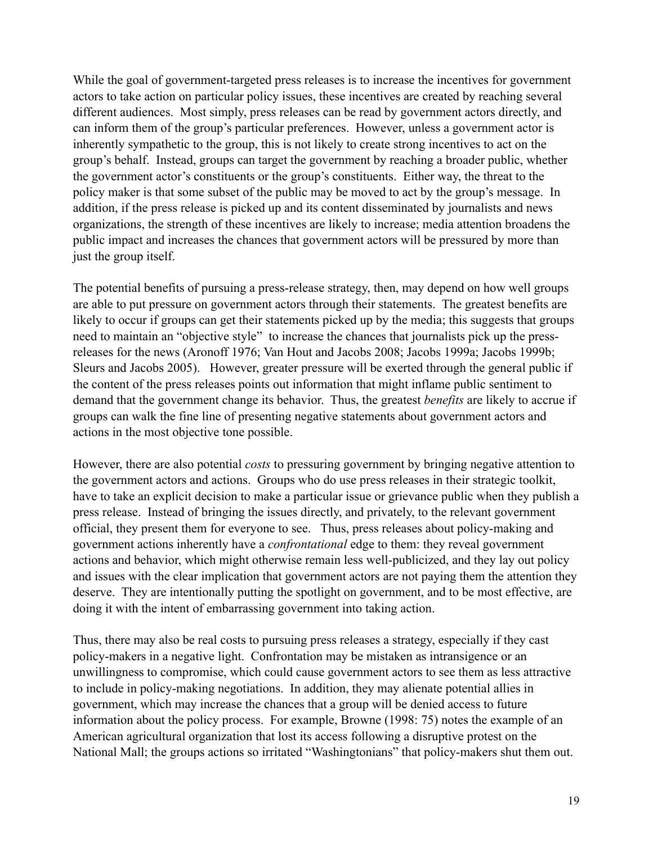While the goal of government-targeted press releases is to increase the incentives for government actors to take action on particular policy issues, these incentives are created by reaching several different audiences. Most simply, press releases can be read by government actors directly, and can inform them of the group's particular preferences. However, unless a government actor is inherently sympathetic to the group, this is not likely to create strong incentives to act on the group's behalf. Instead, groups can target the government by reaching a broader public, whether the government actor's constituents or the group's constituents. Either way, the threat to the policy maker is that some subset of the public may be moved to act by the group's message. In addition, if the press release is picked up and its content disseminated by journalists and news organizations, the strength of these incentives are likely to increase; media attention broadens the public impact and increases the chances that government actors will be pressured by more than just the group itself.

The potential benefits of pursuing a press-release strategy, then, may depend on how well groups are able to put pressure on government actors through their statements. The greatest benefits are likely to occur if groups can get their statements picked up by the media; this suggests that groups need to maintain an "objective style" to increase the chances that journalists pick up the pressreleases for the news (Aronoff 1976; Van Hout and Jacobs 2008; Jacobs 1999a; Jacobs 1999b; Sleurs and Jacobs 2005). However, greater pressure will be exerted through the general public if the content of the press releases points out information that might inflame public sentiment to demand that the government change its behavior. Thus, the greatest *benefits* are likely to accrue if groups can walk the fine line of presenting negative statements about government actors and actions in the most objective tone possible.

However, there are also potential *costs* to pressuring government by bringing negative attention to the government actors and actions. Groups who do use press releases in their strategic toolkit, have to take an explicit decision to make a particular issue or grievance public when they publish a press release. Instead of bringing the issues directly, and privately, to the relevant government official, they present them for everyone to see. Thus, press releases about policy-making and government actions inherently have a *confrontational* edge to them: they reveal government actions and behavior, which might otherwise remain less well-publicized, and they lay out policy and issues with the clear implication that government actors are not paying them the attention they deserve. They are intentionally putting the spotlight on government, and to be most effective, are doing it with the intent of embarrassing government into taking action.

Thus, there may also be real costs to pursuing press releases a strategy, especially if they cast policy-makers in a negative light. Confrontation may be mistaken as intransigence or an unwillingness to compromise, which could cause government actors to see them as less attractive to include in policy-making negotiations. In addition, they may alienate potential allies in government, which may increase the chances that a group will be denied access to future information about the policy process. For example, Browne (1998: 75) notes the example of an American agricultural organization that lost its access following a disruptive protest on the National Mall; the groups actions so irritated "Washingtonians" that policy-makers shut them out.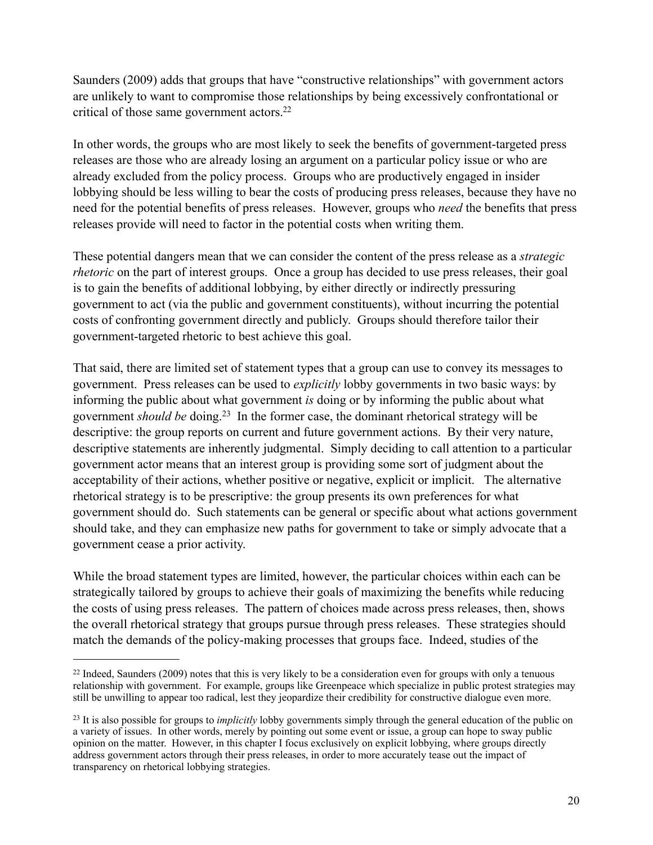Saunders (2009) adds that groups that have "constructive relationships" with government actors are unlikely to want to compromise those relationships by being excessively confrontational or critical of those same government actors[.22](#page-20-0)

In other words, the groups who are most likely to seek the benefits of government-targeted press releases are those who are already losing an argument on a particular policy issue or who are already excluded from the policy process. Groups who are productively engaged in insider lobbying should be less willing to bear the costs of producing press releases, because they have no need for the potential benefits of press releases. However, groups who *need* the benefits that press releases provide will need to factor in the potential costs when writing them.

These potential dangers mean that we can consider the content of the press release as a *strategic rhetoric* on the part of interest groups. Once a group has decided to use press releases, their goal is to gain the benefits of additional lobbying, by either directly or indirectly pressuring government to act (via the public and government constituents), without incurring the potential costs of confronting government directly and publicly. Groups should therefore tailor their government-targeted rhetoric to best achieve this goal.

That said, there are limited set of statement types that a group can use to convey its messages to government. Press releases can be used to *explicitly* lobby governments in two basic ways: by informing the public about what government *is* doing or by informing the public about what government *should be* doing[.23](#page-20-1) In the former case, the dominant rhetorical strategy will be descriptive: the group reports on current and future government actions. By their very nature, descriptive statements are inherently judgmental. Simply deciding to call attention to a particular government actor means that an interest group is providing some sort of judgment about the acceptability of their actions, whether positive or negative, explicit or implicit. The alternative rhetorical strategy is to be prescriptive: the group presents its own preferences for what government should do. Such statements can be general or specific about what actions government should take, and they can emphasize new paths for government to take or simply advocate that a government cease a prior activity.

While the broad statement types are limited, however, the particular choices within each can be strategically tailored by groups to achieve their goals of maximizing the benefits while reducing the costs of using press releases. The pattern of choices made across press releases, then, shows the overall rhetorical strategy that groups pursue through press releases. These strategies should match the demands of the policy-making processes that groups face. Indeed, studies of the

<span id="page-20-0"></span><sup>&</sup>lt;sup>22</sup> Indeed, Saunders (2009) notes that this is very likely to be a consideration even for groups with only a tenuous relationship with government. For example, groups like Greenpeace which specialize in public protest strategies may still be unwilling to appear too radical, lest they jeopardize their credibility for constructive dialogue even more.

<span id="page-20-1"></span><sup>23</sup> It is also possible for groups to *implicitly* lobby governments simply through the general education of the public on a variety of issues. In other words, merely by pointing out some event or issue, a group can hope to sway public opinion on the matter. However, in this chapter I focus exclusively on explicit lobbying, where groups directly address government actors through their press releases, in order to more accurately tease out the impact of transparency on rhetorical lobbying strategies.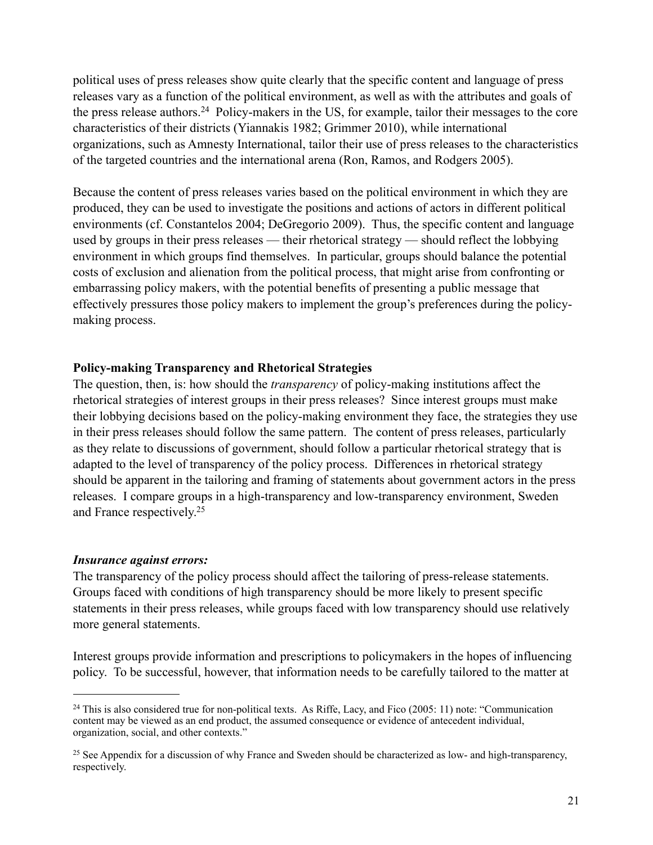political uses of press releases show quite clearly that the specific content and language of press releases vary as a function of the political environment, as well as with the attributes and goals of the press release authors[.24](#page-21-0) Policy-makers in the US, for example, tailor their messages to the core characteristics of their districts (Yiannakis 1982; Grimmer 2010), while international organizations, such as Amnesty International, tailor their use of press releases to the characteristics of the targeted countries and the international arena (Ron, Ramos, and Rodgers 2005).

Because the content of press releases varies based on the political environment in which they are produced, they can be used to investigate the positions and actions of actors in different political environments (cf. Constantelos 2004; DeGregorio 2009). Thus, the specific content and language used by groups in their press releases — their rhetorical strategy — should reflect the lobbying environment in which groups find themselves. In particular, groups should balance the potential costs of exclusion and alienation from the political process, that might arise from confronting or embarrassing policy makers, with the potential benefits of presenting a public message that effectively pressures those policy makers to implement the group's preferences during the policymaking process.

#### **Policy-making Transparency and Rhetorical Strategies**

The question, then, is: how should the *transparency* of policy-making institutions affect the rhetorical strategies of interest groups in their press releases? Since interest groups must make their lobbying decisions based on the policy-making environment they face, the strategies they use in their press releases should follow the same pattern. The content of press releases, particularly as they relate to discussions of government, should follow a particular rhetorical strategy that is adapted to the level of transparency of the policy process. Differences in rhetorical strategy should be apparent in the tailoring and framing of statements about government actors in the press releases. I compare groups in a high-transparency and low-transparency environment, Sweden and France respectively[.25](#page-21-1) 

## *Insurance against errors:*

The transparency of the policy process should affect the tailoring of press-release statements. Groups faced with conditions of high transparency should be more likely to present specific statements in their press releases, while groups faced with low transparency should use relatively more general statements.

Interest groups provide information and prescriptions to policymakers in the hopes of influencing policy. To be successful, however, that information needs to be carefully tailored to the matter at

<span id="page-21-0"></span><sup>&</sup>lt;sup>24</sup> This is also considered true for non-political texts. As Riffe, Lacy, and Fico (2005: 11) note: "Communication content may be viewed as an end product, the assumed consequence or evidence of antecedent individual, organization, social, and other contexts."

<span id="page-21-1"></span><sup>&</sup>lt;sup>25</sup> See Appendix for a discussion of why France and Sweden should be characterized as low- and high-transparency, respectively.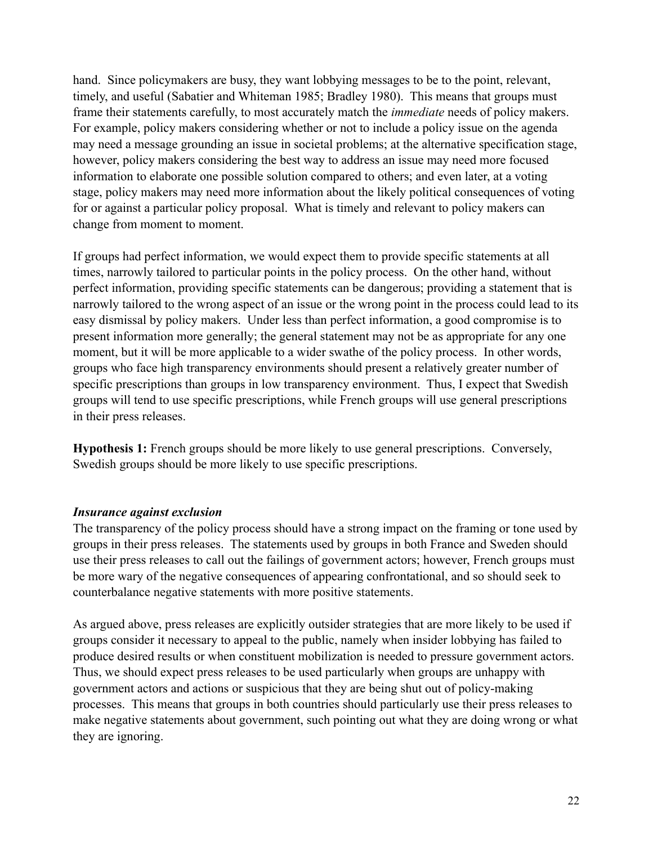hand. Since policymakers are busy, they want lobbying messages to be to the point, relevant, timely, and useful (Sabatier and Whiteman 1985; Bradley 1980). This means that groups must frame their statements carefully, to most accurately match the *immediate* needs of policy makers. For example, policy makers considering whether or not to include a policy issue on the agenda may need a message grounding an issue in societal problems; at the alternative specification stage, however, policy makers considering the best way to address an issue may need more focused information to elaborate one possible solution compared to others; and even later, at a voting stage, policy makers may need more information about the likely political consequences of voting for or against a particular policy proposal. What is timely and relevant to policy makers can change from moment to moment.

If groups had perfect information, we would expect them to provide specific statements at all times, narrowly tailored to particular points in the policy process. On the other hand, without perfect information, providing specific statements can be dangerous; providing a statement that is narrowly tailored to the wrong aspect of an issue or the wrong point in the process could lead to its easy dismissal by policy makers. Under less than perfect information, a good compromise is to present information more generally; the general statement may not be as appropriate for any one moment, but it will be more applicable to a wider swathe of the policy process. In other words, groups who face high transparency environments should present a relatively greater number of specific prescriptions than groups in low transparency environment. Thus, I expect that Swedish groups will tend to use specific prescriptions, while French groups will use general prescriptions in their press releases.

**Hypothesis 1:** French groups should be more likely to use general prescriptions. Conversely, Swedish groups should be more likely to use specific prescriptions.

#### *Insurance against exclusion*

The transparency of the policy process should have a strong impact on the framing or tone used by groups in their press releases. The statements used by groups in both France and Sweden should use their press releases to call out the failings of government actors; however, French groups must be more wary of the negative consequences of appearing confrontational, and so should seek to counterbalance negative statements with more positive statements.

As argued above, press releases are explicitly outsider strategies that are more likely to be used if groups consider it necessary to appeal to the public, namely when insider lobbying has failed to produce desired results or when constituent mobilization is needed to pressure government actors. Thus, we should expect press releases to be used particularly when groups are unhappy with government actors and actions or suspicious that they are being shut out of policy-making processes. This means that groups in both countries should particularly use their press releases to make negative statements about government, such pointing out what they are doing wrong or what they are ignoring.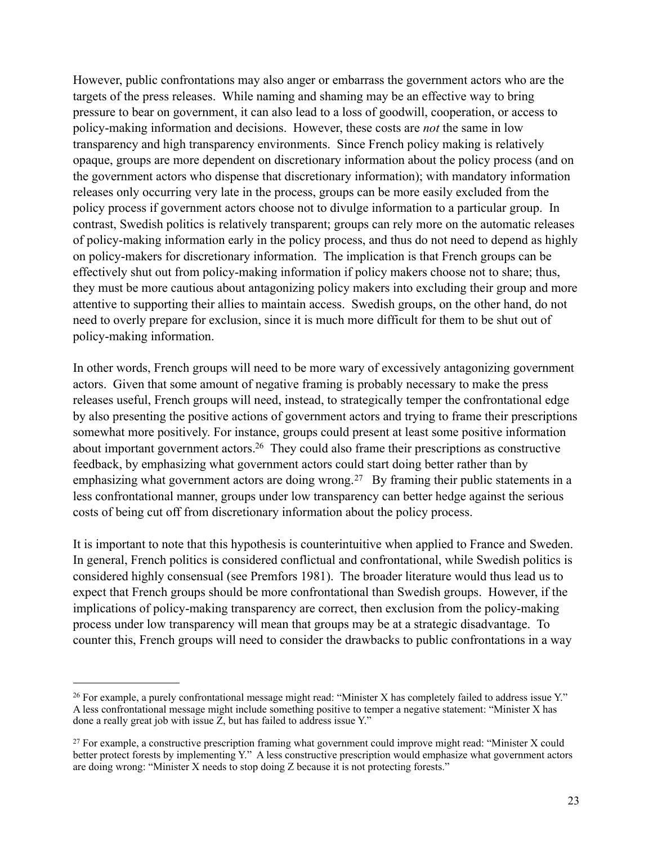However, public confrontations may also anger or embarrass the government actors who are the targets of the press releases. While naming and shaming may be an effective way to bring pressure to bear on government, it can also lead to a loss of goodwill, cooperation, or access to policy-making information and decisions. However, these costs are *not* the same in low transparency and high transparency environments. Since French policy making is relatively opaque, groups are more dependent on discretionary information about the policy process (and on the government actors who dispense that discretionary information); with mandatory information releases only occurring very late in the process, groups can be more easily excluded from the policy process if government actors choose not to divulge information to a particular group. In contrast, Swedish politics is relatively transparent; groups can rely more on the automatic releases of policy-making information early in the policy process, and thus do not need to depend as highly on policy-makers for discretionary information. The implication is that French groups can be effectively shut out from policy-making information if policy makers choose not to share; thus, they must be more cautious about antagonizing policy makers into excluding their group and more attentive to supporting their allies to maintain access. Swedish groups, on the other hand, do not need to overly prepare for exclusion, since it is much more difficult for them to be shut out of policy-making information.

In other words, French groups will need to be more wary of excessively antagonizing government actors. Given that some amount of negative framing is probably necessary to make the press releases useful, French groups will need, instead, to strategically temper the confrontational edge by also presenting the positive actions of government actors and trying to frame their prescriptions somewhat more positively. For instance, groups could present at least some positive information about important government actors[.26](#page-23-0) They could also frame their prescriptions as constructive feedback, by emphasizing what government actors could start doing better rather than by emphasizing what government actors are doing wrong.<sup>27</sup> By framing their public statements in a less confrontational manner, groups under low transparency can better hedge against the serious costs of being cut off from discretionary information about the policy process.

It is important to note that this hypothesis is counterintuitive when applied to France and Sweden. In general, French politics is considered conflictual and confrontational, while Swedish politics is considered highly consensual (see Premfors 1981). The broader literature would thus lead us to expect that French groups should be more confrontational than Swedish groups. However, if the implications of policy-making transparency are correct, then exclusion from the policy-making process under low transparency will mean that groups may be at a strategic disadvantage. To counter this, French groups will need to consider the drawbacks to public confrontations in a way

<span id="page-23-0"></span><sup>26</sup> For example, a purely confrontational message might read: "Minister X has completely failed to address issue Y." A less confrontational message might include something positive to temper a negative statement: "Minister X has done a really great job with issue  $\overline{Z}$ , but has failed to address issue Y."

<span id="page-23-1"></span> $27$  For example, a constructive prescription framing what government could improve might read: "Minister X could better protect forests by implementing Y." A less constructive prescription would emphasize what government actors are doing wrong: "Minister X needs to stop doing Z because it is not protecting forests."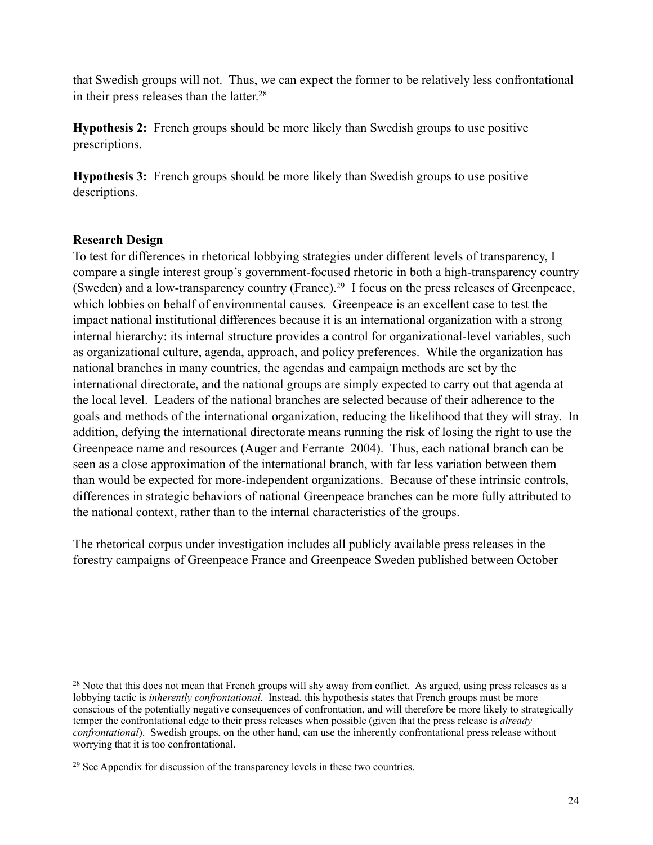that Swedish groups will not. Thus, we can expect the former to be relatively less confrontational in their press releases than the latter[.28](#page-24-0) 

**Hypothesis 2:** French groups should be more likely than Swedish groups to use positive prescriptions.

**Hypothesis 3:** French groups should be more likely than Swedish groups to use positive descriptions.

## **Research Design**

To test for differences in rhetorical lobbying strategies under different levels of transparency, I compare a single interest group's government-focused rhetoric in both a high-transparency country (Sweden) and a low-transparency country (France)[.29](#page-24-1) I focus on the press releases of Greenpeace, which lobbies on behalf of environmental causes. Greenpeace is an excellent case to test the impact national institutional differences because it is an international organization with a strong internal hierarchy: its internal structure provides a control for organizational-level variables, such as organizational culture, agenda, approach, and policy preferences. While the organization has national branches in many countries, the agendas and campaign methods are set by the international directorate, and the national groups are simply expected to carry out that agenda at the local level. Leaders of the national branches are selected because of their adherence to the goals and methods of the international organization, reducing the likelihood that they will stray. In addition, defying the international directorate means running the risk of losing the right to use the Greenpeace name and resources (Auger and Ferrante 2004). Thus, each national branch can be seen as a close approximation of the international branch, with far less variation between them than would be expected for more-independent organizations. Because of these intrinsic controls, differences in strategic behaviors of national Greenpeace branches can be more fully attributed to the national context, rather than to the internal characteristics of the groups.

The rhetorical corpus under investigation includes all publicly available press releases in the forestry campaigns of Greenpeace France and Greenpeace Sweden published between October

<span id="page-24-0"></span><sup>&</sup>lt;sup>28</sup> Note that this does not mean that French groups will shy away from conflict. As argued, using press releases as a lobbying tactic is *inherently confrontational*. Instead, this hypothesis states that French groups must be more conscious of the potentially negative consequences of confrontation, and will therefore be more likely to strategically temper the confrontational edge to their press releases when possible (given that the press release is *already confrontational*). Swedish groups, on the other hand, can use the inherently confrontational press release without worrying that it is too confrontational.

<span id="page-24-1"></span><sup>&</sup>lt;sup>29</sup> See Appendix for discussion of the transparency levels in these two countries.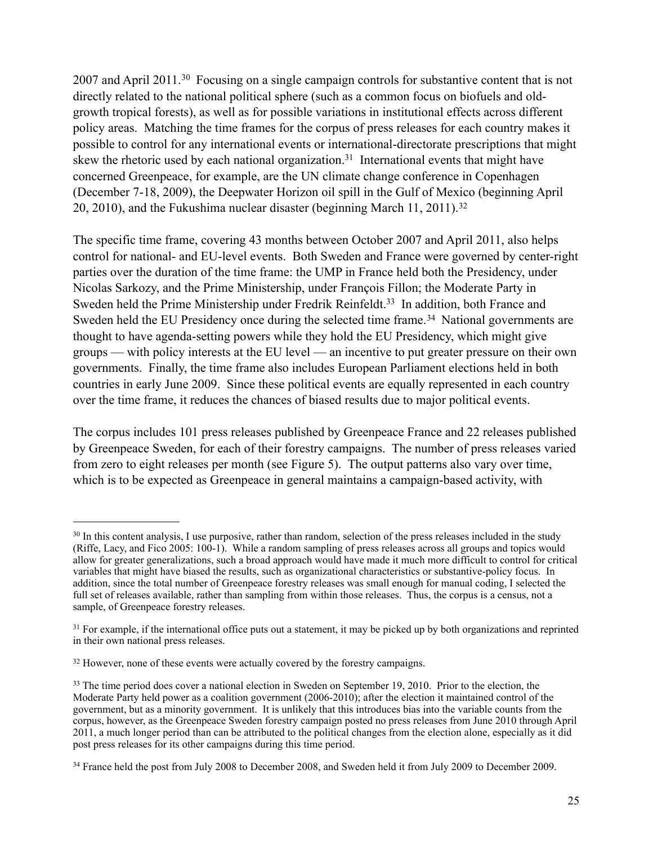2007 and April 2011.[30](#page-25-0) Focusing on a single campaign controls for substantive content that is not directly related to the national political sphere (such as a common focus on biofuels and oldgrowth tropical forests), as well as for possible variations in institutional effects across different policy areas. Matching the time frames for the corpus of press releases for each country makes it possible to control for any international events or international-directorate prescriptions that might skew the rhetoric used by each national organization.<sup>31</sup> International events that might have concerned Greenpeace, for example, are the UN climate change conference in Copenhagen (December 7-18, 2009), the Deepwater Horizon oil spill in the Gulf of Mexico (beginning April 20, 2010), and the Fukushima nuclear disaster (beginning March 11, 2011).<sup>32</sup>

The specific time frame, covering 43 months between October 2007 and April 2011, also helps control for national- and EU-level events. Both Sweden and France were governed by center-right parties over the duration of the time frame: the UMP in France held both the Presidency, under Nicolas Sarkozy, and the Prime Ministership, under François Fillon; the Moderate Party in Sweden held the Prime Ministership under Fredrik Reinfeldt.<sup>33</sup> In addition, both France and Sweden held the EU Presidency once during the selected time frame.<sup>34</sup> National governments are thought to have agenda-setting powers while they hold the EU Presidency, which might give groups — with policy interests at the EU level — an incentive to put greater pressure on their own governments. Finally, the time frame also includes European Parliament elections held in both countries in early June 2009. Since these political events are equally represented in each country over the time frame, it reduces the chances of biased results due to major political events.

The corpus includes 101 press releases published by Greenpeace France and 22 releases published by Greenpeace Sweden, for each of their forestry campaigns. The number of press releases varied from zero to eight releases per month (see Figure 5). The output patterns also vary over time, which is to be expected as Greenpeace in general maintains a campaign-based activity, with

<span id="page-25-0"></span><sup>&</sup>lt;sup>30</sup> In this content analysis, I use purposive, rather than random, selection of the press releases included in the study (Riffe, Lacy, and Fico 2005: 100-1). While a random sampling of press releases across all groups and topics would allow for greater generalizations, such a broad approach would have made it much more difficult to control for critical variables that might have biased the results, such as organizational characteristics or substantive-policy focus. In addition, since the total number of Greenpeace forestry releases was small enough for manual coding, I selected the full set of releases available, rather than sampling from within those releases. Thus, the corpus is a census, not a sample, of Greenpeace forestry releases.

<span id="page-25-1"></span><sup>&</sup>lt;sup>31</sup> For example, if the international office puts out a statement, it may be picked up by both organizations and reprinted in their own national press releases.

<span id="page-25-2"></span><sup>&</sup>lt;sup>32</sup> However, none of these events were actually covered by the forestry campaigns.

<span id="page-25-3"></span><sup>&</sup>lt;sup>33</sup> The time period does cover a national election in Sweden on September 19, 2010. Prior to the election, the Moderate Party held power as a coalition government (2006-2010); after the election it maintained control of the government, but as a minority government. It is unlikely that this introduces bias into the variable counts from the corpus, however, as the Greenpeace Sweden forestry campaign posted no press releases from June 2010 through April 2011, a much longer period than can be attributed to the political changes from the election alone, especially as it did post press releases for its other campaigns during this time period.

<span id="page-25-4"></span><sup>34</sup> France held the post from July 2008 to December 2008, and Sweden held it from July 2009 to December 2009.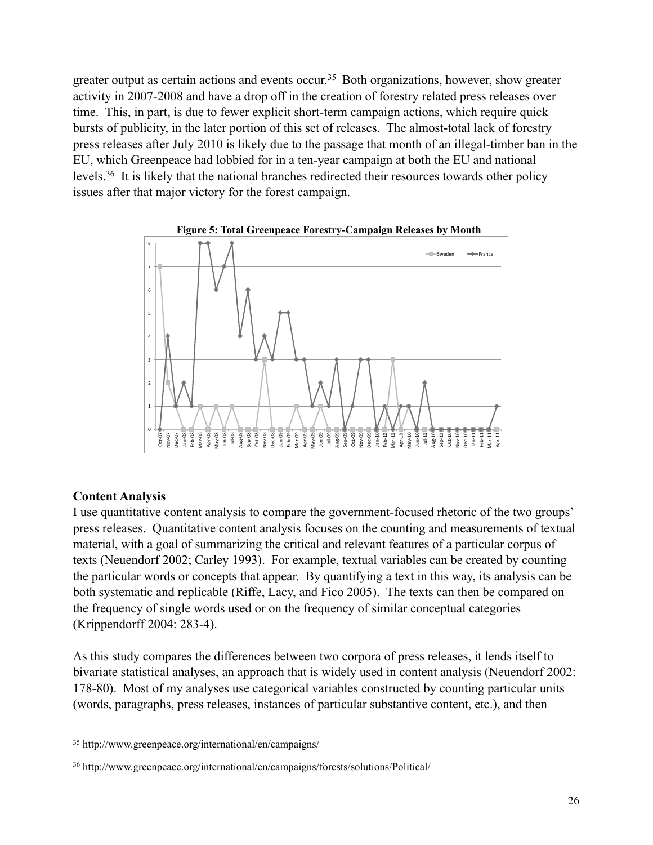greater output as certain actions and events occur.<sup>35</sup> Both organizations, however, show greater activity in 2007-2008 and have a drop off in the creation of forestry related press releases over time. This, in part, is due to fewer explicit short-term campaign actions, which require quick bursts of publicity, in the later portion of this set of releases. The almost-total lack of forestry press releases after July 2010 is likely due to the passage that month of an illegal-timber ban in the EU, which Greenpeace had lobbied for in a ten-year campaign at both the EU and national levels[.36](#page-26-1) It is likely that the national branches redirected their resources towards other policy issues after that major victory for the forest campaign.



# **Content Analysis**

I use quantitative content analysis to compare the government-focused rhetoric of the two groups' press releases. Quantitative content analysis focuses on the counting and measurements of textual material, with a goal of summarizing the critical and relevant features of a particular corpus of texts (Neuendorf 2002; Carley 1993). For example, textual variables can be created by counting the particular words or concepts that appear. By quantifying a text in this way, its analysis can be both systematic and replicable (Riffe, Lacy, and Fico 2005). The texts can then be compared on the frequency of single words used or on the frequency of similar conceptual categories (Krippendorff 2004: 283-4).

As this study compares the differences between two corpora of press releases, it lends itself to bivariate statistical analyses, an approach that is widely used in content analysis (Neuendorf 2002: 178-80). Most of my analyses use categorical variables constructed by counting particular units (words, paragraphs, press releases, instances of particular substantive content, etc.), and then

<span id="page-26-0"></span><sup>35</sup> <http://www.greenpeace.org/international/en/campaigns/>

<span id="page-26-1"></span><sup>36</sup> <http://www.greenpeace.org/international/en/campaigns/forests/solutions/Political/>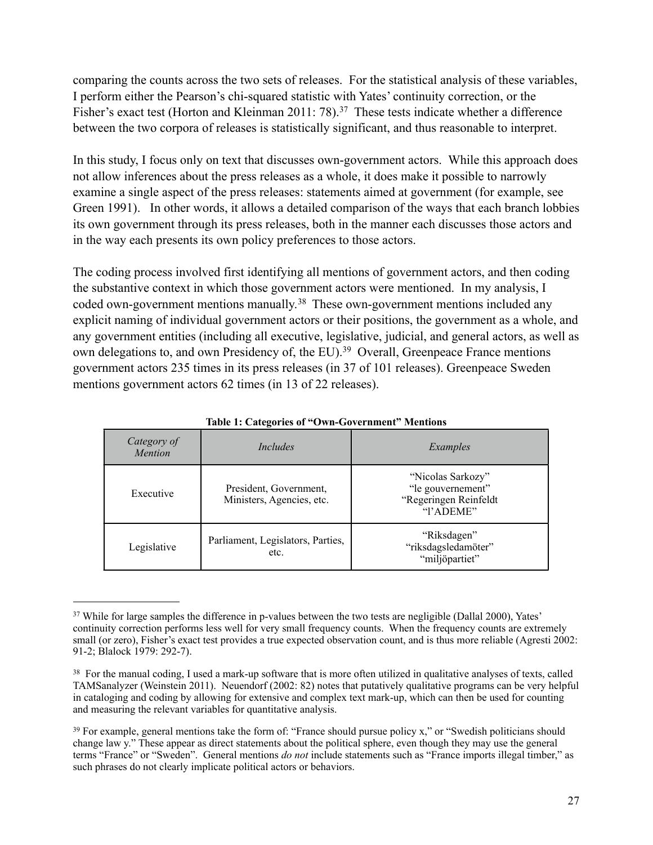comparing the counts across the two sets of releases. For the statistical analysis of these variables, I perform either the Pearson's chi-squared statistic with Yates' continuity correction, or the Fisher's exact test (Horton and Kleinman 2011: 78).<sup>37</sup> These tests indicate whether a difference between the two corpora of releases is statistically significant, and thus reasonable to interpret.

In this study, I focus only on text that discusses own-government actors. While this approach does not allow inferences about the press releases as a whole, it does make it possible to narrowly examine a single aspect of the press releases: statements aimed at government (for example, see Green 1991). In other words, it allows a detailed comparison of the ways that each branch lobbies its own government through its press releases, both in the manner each discusses those actors and in the way each presents its own policy preferences to those actors.

The coding process involved first identifying all mentions of government actors, and then coding the substantive context in which those government actors were mentioned. In my analysis, I coded own-government mentions manually.<sup>38</sup> These own-government mentions included any explicit naming of individual government actors or their positions, the government as a whole, and any government entities (including all executive, legislative, judicial, and general actors, as well as own delegations to, and own Presidency of, the EU).<sup>39</sup> Overall, Greenpeace France mentions government actors 235 times in its press releases (in 37 of 101 releases). Greenpeace Sweden mentions government actors 62 times (in 13 of 22 releases).

| Category of<br><b>Mention</b> | Includes                                            | Examples                                                                     |
|-------------------------------|-----------------------------------------------------|------------------------------------------------------------------------------|
| Executive                     | President, Government,<br>Ministers, Agencies, etc. | "Nicolas Sarkozy"<br>"le gouvernement"<br>"Regeringen Reinfeldt<br>"l'ADEME" |
| Legislative                   | Parliament, Legislators, Parties,<br>etc.           | "Riksdagen"<br>"riksdagsledamöter"<br>"miljöpartiet"                         |

#### **Table 1: Categories of "Own-Government" Mentions**

<span id="page-27-0"></span><sup>&</sup>lt;sup>37</sup> While for large samples the difference in p-values between the two tests are negligible (Dallal 2000), Yates' continuity correction performs less well for very small frequency counts. When the frequency counts are extremely small (or zero), Fisher's exact test provides a true expected observation count, and is thus more reliable (Agresti 2002: 91-2; Blalock 1979: 292-7).

<span id="page-27-1"></span><sup>&</sup>lt;sup>38</sup> For the manual coding, I used a mark-up software that is more often utilized in qualitative analyses of texts, called TAMSanalyzer (Weinstein 2011). Neuendorf (2002: 82) notes that putatively qualitative programs can be very helpful in cataloging and coding by allowing for extensive and complex text mark-up, which can then be used for counting and measuring the relevant variables for quantitative analysis.

<span id="page-27-2"></span><sup>39</sup> For example, general mentions take the form of: "France should pursue policy x," or "Swedish politicians should change law y." These appear as direct statements about the political sphere, even though they may use the general terms "France" or "Sweden". General mentions *do not* include statements such as "France imports illegal timber," as such phrases do not clearly implicate political actors or behaviors.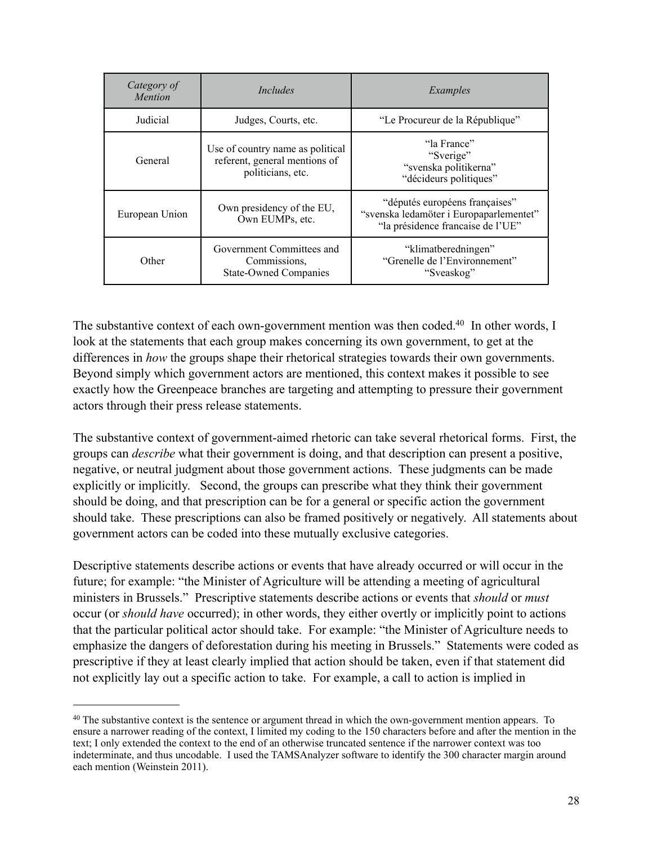| Category of<br><i>Mention</i> | Includes                                                                               | Examples                                                                                                       |  |
|-------------------------------|----------------------------------------------------------------------------------------|----------------------------------------------------------------------------------------------------------------|--|
| Judicial                      | Judges, Courts, etc.                                                                   | "Le Procureur de la République"                                                                                |  |
| General                       | Use of country name as political<br>referent, general mentions of<br>politicians, etc. | "la France"<br>"Sverige"<br>"svenska politikerna"<br>"décideurs politiques"                                    |  |
| European Union                | Own presidency of the EU,<br>Own EUMPs, etc.                                           | "députés européens françaises"<br>"svenska ledamöter i Europaparlementet"<br>"la présidence francaise de l'UE" |  |
| Other                         | Government Committees and<br>Commissions.<br><b>State-Owned Companies</b>              | "klimatberedningen"<br>"Grenelle de l'Environnement"<br>"Sveaskog"                                             |  |

The substantive context of each own-government mention was then coded.<sup>40</sup> In other words, I look at the statements that each group makes concerning its own government, to get at the differences in *how* the groups shape their rhetorical strategies towards their own governments. Beyond simply which government actors are mentioned, this context makes it possible to see exactly how the Greenpeace branches are targeting and attempting to pressure their government actors through their press release statements.

The substantive context of government-aimed rhetoric can take several rhetorical forms. First, the groups can *describe* what their government is doing, and that description can present a positive, negative, or neutral judgment about those government actions. These judgments can be made explicitly or implicitly. Second, the groups can prescribe what they think their government should be doing, and that prescription can be for a general or specific action the government should take. These prescriptions can also be framed positively or negatively. All statements about government actors can be coded into these mutually exclusive categories.

Descriptive statements describe actions or events that have already occurred or will occur in the future; for example: "the Minister of Agriculture will be attending a meeting of agricultural ministers in Brussels." Prescriptive statements describe actions or events that *should* or *must*  occur (or *should have* occurred); in other words, they either overtly or implicitly point to actions that the particular political actor should take. For example: "the Minister of Agriculture needs to emphasize the dangers of deforestation during his meeting in Brussels." Statements were coded as prescriptive if they at least clearly implied that action should be taken, even if that statement did not explicitly lay out a specific action to take. For example, a call to action is implied in

<span id="page-28-0"></span><sup>40</sup> The substantive context is the sentence or argument thread in which the own-government mention appears. To ensure a narrower reading of the context, I limited my coding to the 150 characters before and after the mention in the text; I only extended the context to the end of an otherwise truncated sentence if the narrower context was too indeterminate, and thus uncodable. I used the TAMSAnalyzer software to identify the 300 character margin around each mention (Weinstein 2011).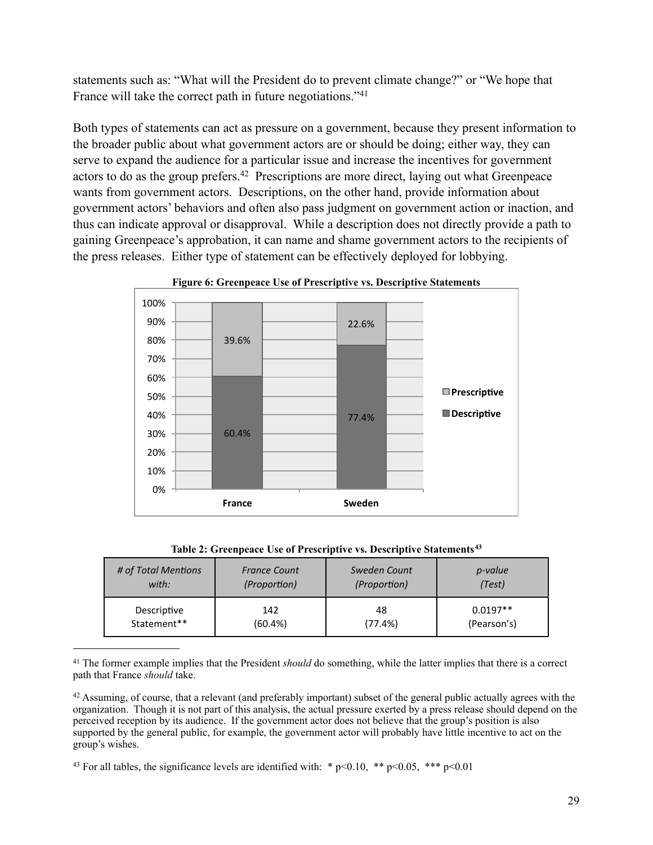statements such as: "What will the President do to prevent climate change?" or "We hope that France will take the correct path in future negotiations.["41](#page-29-0)

Both types of statements can act as pressure on a government, because they present information to the broader public about what government actors are or should be doing; either way, they can serve to expand the audience for a particular issue and increase the incentives for government actors to do as the group prefers[.42](#page-29-1) Prescriptions are more direct, laying out what Greenpeace wants from government actors. Descriptions, on the other hand, provide information about government actors' behaviors and often also pass judgment on government action or inaction, and thus can indicate approval or disapproval. While a description does not directly provide a path to gaining Greenpeace's approbation, it can name and shame government actors to the recipients of the press releases. Either type of statement can be effectively deployed for lobbying.



**Figure 6: Greenpeace Use of Prescriptive vs. Descriptive Statements**

|  |  |  |  | Table 2: Greenpeace Use of Prescriptive vs. Descriptive Statements <sup>43</sup> |  |
|--|--|--|--|----------------------------------------------------------------------------------|--|
|--|--|--|--|----------------------------------------------------------------------------------|--|

| # of Total Mentions | <b>France Count</b> | Sweden Count | <i>p-value</i> |
|---------------------|---------------------|--------------|----------------|
| with:               | (Proportion)        | (Proportion) | (Test)         |
| Descriptive         | 142                 | 48           | $0.0197**$     |
| Statement**         | (60.4%)             | (77.4%)      | (Pearson's)    |

<span id="page-29-0"></span><sup>41</sup> The former example implies that the President *should* do something, while the latter implies that there is a correct path that France *should* take.

<span id="page-29-1"></span><sup>42</sup> Assuming, of course, that a relevant (and preferably important) subset of the general public actually agrees with the organization. Though it is not part of this analysis, the actual pressure exerted by a press release should depend on the perceived reception by its audience. If the government actor does not believe that the group's position is also supported by the general public, for example, the government actor will probably have little incentive to act on the group's wishes.

<span id="page-29-2"></span><sup>43</sup> For all tables, the significance levels are identified with: \*  $p<0.10$ , \*\*  $p<0.05$ , \*\*\*  $p<0.01$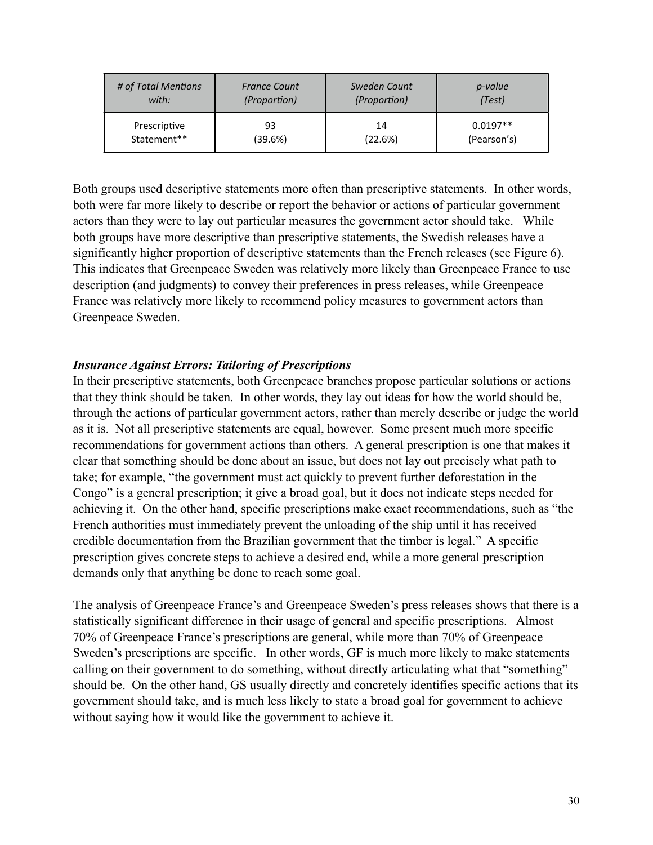| # of Total Mentions | <b>France Count</b> | Sweden Count | <i>p</i> -value |
|---------------------|---------------------|--------------|-----------------|
| with:               | (Proportion)        | (Proportion) | (Test)          |
| Prescriptive        | 93                  | 14           | $0.0197**$      |
| Statement**         | (39.6%)             | (22.6%)      | (Pearson's)     |

Both groups used descriptive statements more often than prescriptive statements. In other words, both were far more likely to describe or report the behavior or actions of particular government actors than they were to lay out particular measures the government actor should take. While both groups have more descriptive than prescriptive statements, the Swedish releases have a significantly higher proportion of descriptive statements than the French releases (see Figure 6). This indicates that Greenpeace Sweden was relatively more likely than Greenpeace France to use description (and judgments) to convey their preferences in press releases, while Greenpeace France was relatively more likely to recommend policy measures to government actors than Greenpeace Sweden.

## *Insurance Against Errors: Tailoring of Prescriptions*

In their prescriptive statements, both Greenpeace branches propose particular solutions or actions that they think should be taken. In other words, they lay out ideas for how the world should be, through the actions of particular government actors, rather than merely describe or judge the world as it is. Not all prescriptive statements are equal, however. Some present much more specific recommendations for government actions than others. A general prescription is one that makes it clear that something should be done about an issue, but does not lay out precisely what path to take; for example, "the government must act quickly to prevent further deforestation in the Congo" is a general prescription; it give a broad goal, but it does not indicate steps needed for achieving it. On the other hand, specific prescriptions make exact recommendations, such as "the French authorities must immediately prevent the unloading of the ship until it has received credible documentation from the Brazilian government that the timber is legal." A specific prescription gives concrete steps to achieve a desired end, while a more general prescription demands only that anything be done to reach some goal.

The analysis of Greenpeace France's and Greenpeace Sweden's press releases shows that there is a statistically significant difference in their usage of general and specific prescriptions. Almost 70% of Greenpeace France's prescriptions are general, while more than 70% of Greenpeace Sweden's prescriptions are specific. In other words, GF is much more likely to make statements calling on their government to do something, without directly articulating what that "something" should be. On the other hand, GS usually directly and concretely identifies specific actions that its government should take, and is much less likely to state a broad goal for government to achieve without saying how it would like the government to achieve it.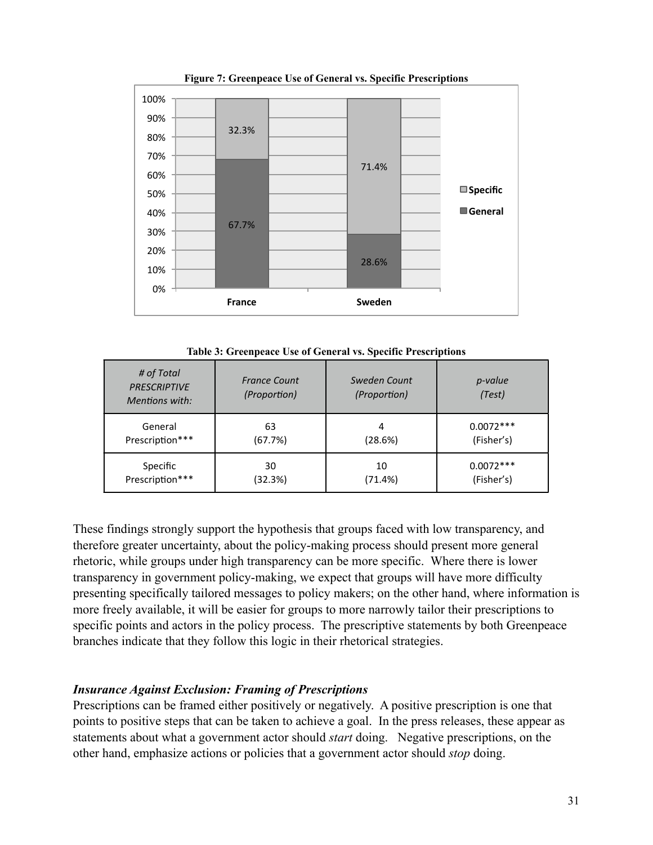

**Figure 7: Greenpeace Use of General vs. Specific Prescriptions**

**Table 3: Greenpeace Use of General vs. Specific Prescriptions**

| # of Total<br><b>PRESCRIPTIVE</b><br>Mentions with: | <b>France Count</b><br>(Proportion) | Sweden Count<br>(Proportion) | p-value<br>(Test) |
|-----------------------------------------------------|-------------------------------------|------------------------------|-------------------|
| General                                             | 63                                  | 4                            | $0.0072***$       |
| Prescription***                                     | (67.7%)                             | (28.6%)                      | (Fisher's)        |
| Specific                                            | 30                                  | 10                           | $0.0072***$       |
| Prescription***                                     | (32.3%)                             | (71.4%)                      | (Fisher's)        |

These findings strongly support the hypothesis that groups faced with low transparency, and therefore greater uncertainty, about the policy-making process should present more general rhetoric, while groups under high transparency can be more specific. Where there is lower transparency in government policy-making, we expect that groups will have more difficulty presenting specifically tailored messages to policy makers; on the other hand, where information is more freely available, it will be easier for groups to more narrowly tailor their prescriptions to specific points and actors in the policy process. The prescriptive statements by both Greenpeace branches indicate that they follow this logic in their rhetorical strategies.

## *Insurance Against Exclusion: Framing of Prescriptions*

Prescriptions can be framed either positively or negatively. A positive prescription is one that points to positive steps that can be taken to achieve a goal. In the press releases, these appear as statements about what a government actor should *start* doing. Negative prescriptions, on the other hand, emphasize actions or policies that a government actor should *stop* doing.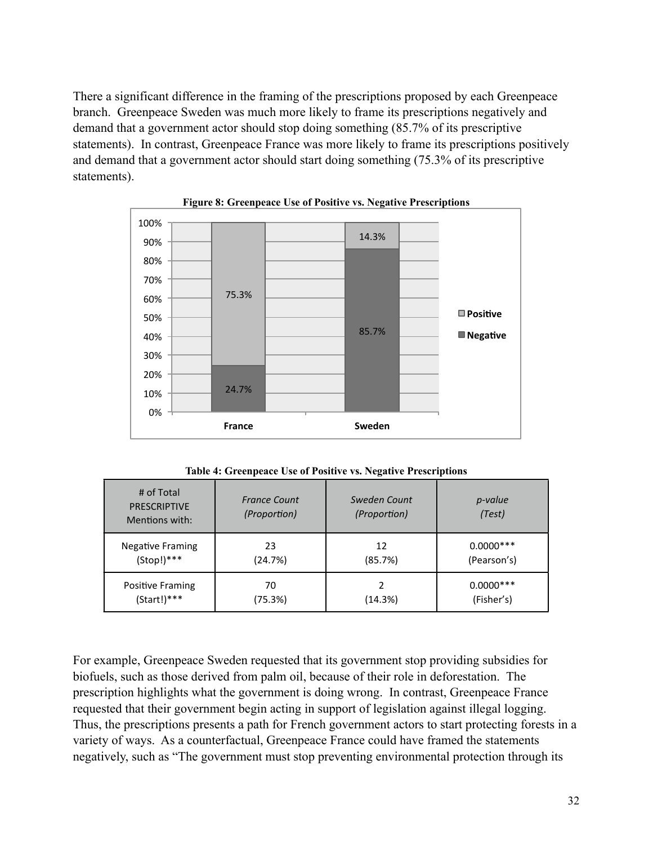There a significant difference in the framing of the prescriptions proposed by each Greenpeace branch. Greenpeace Sweden was much more likely to frame its prescriptions negatively and demand that a government actor should stop doing something (85.7% of its prescriptive statements). In contrast, Greenpeace France was more likely to frame its prescriptions positively and demand that a government actor should start doing something (75.3% of its prescriptive statements).





**Table 4: Greenpeace Use of Positive vs. Negative Prescriptions**

| # of Total<br><b>PRESCRIPTIVE</b><br>Mentions with: | <b>France Count</b><br>(Proportion) | Sweden Count<br>(Proportion) | <i>p-value</i><br>(Test) |
|-----------------------------------------------------|-------------------------------------|------------------------------|--------------------------|
| <b>Negative Framing</b>                             | 23                                  | 12                           | $0.0000***$              |
| $(Stop!)***$                                        | (24.7%)                             | (85.7%)                      | (Pearson's)              |
| <b>Positive Framing</b>                             | 70                                  | (14.3%)                      | $0.0000***$              |
| $(Start!)***$                                       | (75.3%)                             |                              | (Fisher's)               |

For example, Greenpeace Sweden requested that its government stop providing subsidies for biofuels, such as those derived from palm oil, because of their role in deforestation. The prescription highlights what the government is doing wrong. In contrast, Greenpeace France requested that their government begin acting in support of legislation against illegal logging. Thus, the prescriptions presents a path for French government actors to start protecting forests in a variety of ways. As a counterfactual, Greenpeace France could have framed the statements negatively, such as "The government must stop preventing environmental protection through its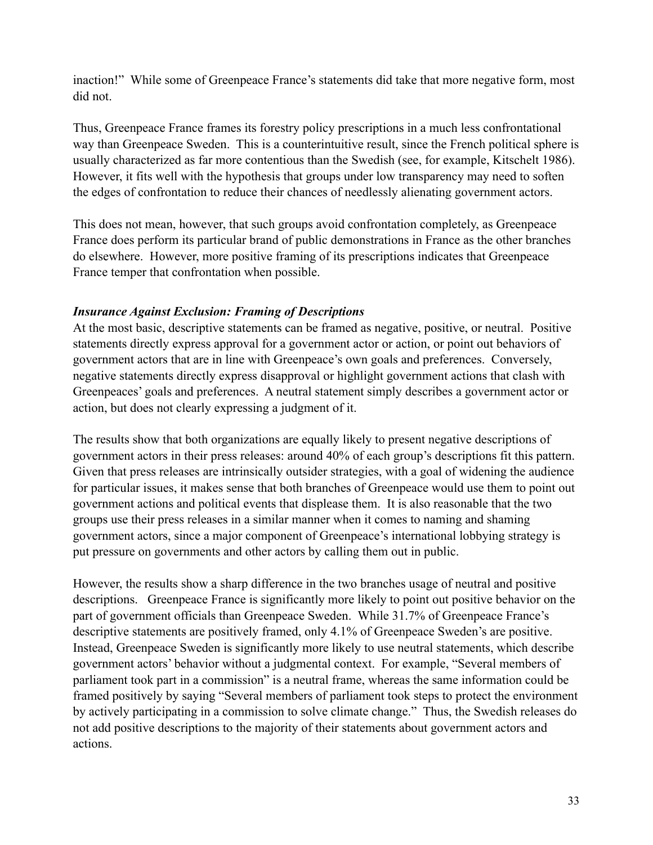inaction!" While some of Greenpeace France's statements did take that more negative form, most did not.

Thus, Greenpeace France frames its forestry policy prescriptions in a much less confrontational way than Greenpeace Sweden. This is a counterintuitive result, since the French political sphere is usually characterized as far more contentious than the Swedish (see, for example, Kitschelt 1986). However, it fits well with the hypothesis that groups under low transparency may need to soften the edges of confrontation to reduce their chances of needlessly alienating government actors.

This does not mean, however, that such groups avoid confrontation completely, as Greenpeace France does perform its particular brand of public demonstrations in France as the other branches do elsewhere. However, more positive framing of its prescriptions indicates that Greenpeace France temper that confrontation when possible.

## *Insurance Against Exclusion: Framing of Descriptions*

At the most basic, descriptive statements can be framed as negative, positive, or neutral. Positive statements directly express approval for a government actor or action, or point out behaviors of government actors that are in line with Greenpeace's own goals and preferences. Conversely, negative statements directly express disapproval or highlight government actions that clash with Greenpeaces' goals and preferences. A neutral statement simply describes a government actor or action, but does not clearly expressing a judgment of it.

The results show that both organizations are equally likely to present negative descriptions of government actors in their press releases: around 40% of each group's descriptions fit this pattern. Given that press releases are intrinsically outsider strategies, with a goal of widening the audience for particular issues, it makes sense that both branches of Greenpeace would use them to point out government actions and political events that displease them. It is also reasonable that the two groups use their press releases in a similar manner when it comes to naming and shaming government actors, since a major component of Greenpeace's international lobbying strategy is put pressure on governments and other actors by calling them out in public.

However, the results show a sharp difference in the two branches usage of neutral and positive descriptions. Greenpeace France is significantly more likely to point out positive behavior on the part of government officials than Greenpeace Sweden. While 31.7% of Greenpeace France's descriptive statements are positively framed, only 4.1% of Greenpeace Sweden's are positive. Instead, Greenpeace Sweden is significantly more likely to use neutral statements, which describe government actors' behavior without a judgmental context. For example, "Several members of parliament took part in a commission" is a neutral frame, whereas the same information could be framed positively by saying "Several members of parliament took steps to protect the environment by actively participating in a commission to solve climate change." Thus, the Swedish releases do not add positive descriptions to the majority of their statements about government actors and actions.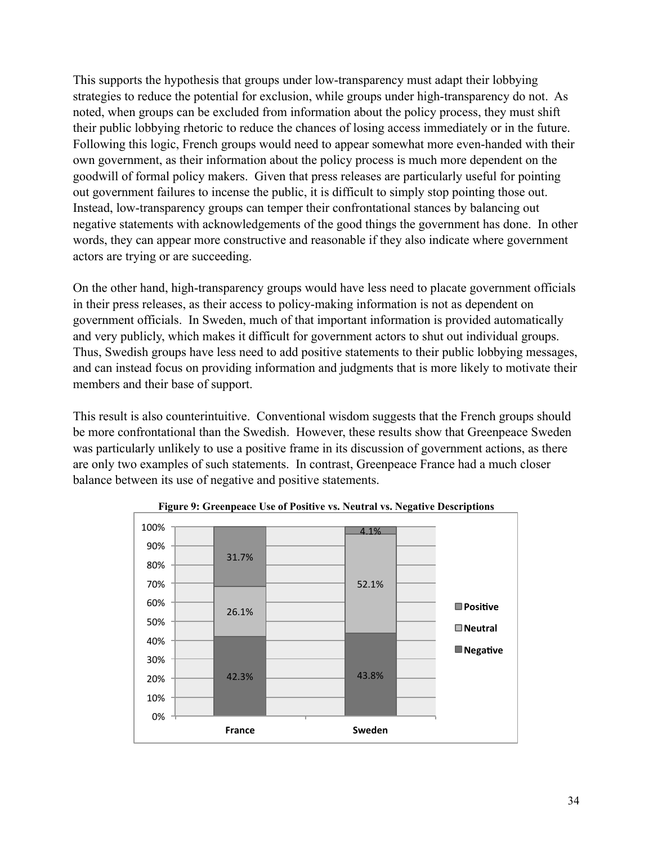This supports the hypothesis that groups under low-transparency must adapt their lobbying strategies to reduce the potential for exclusion, while groups under high-transparency do not. As noted, when groups can be excluded from information about the policy process, they must shift their public lobbying rhetoric to reduce the chances of losing access immediately or in the future. Following this logic, French groups would need to appear somewhat more even-handed with their own government, as their information about the policy process is much more dependent on the goodwill of formal policy makers. Given that press releases are particularly useful for pointing out government failures to incense the public, it is difficult to simply stop pointing those out. Instead, low-transparency groups can temper their confrontational stances by balancing out negative statements with acknowledgements of the good things the government has done. In other words, they can appear more constructive and reasonable if they also indicate where government actors are trying or are succeeding.

On the other hand, high-transparency groups would have less need to placate government officials in their press releases, as their access to policy-making information is not as dependent on government officials. In Sweden, much of that important information is provided automatically and very publicly, which makes it difficult for government actors to shut out individual groups. Thus, Swedish groups have less need to add positive statements to their public lobbying messages, and can instead focus on providing information and judgments that is more likely to motivate their members and their base of support.

This result is also counterintuitive. Conventional wisdom suggests that the French groups should be more confrontational than the Swedish. However, these results show that Greenpeace Sweden was particularly unlikely to use a positive frame in its discussion of government actions, as there are only two examples of such statements. In contrast, Greenpeace France had a much closer balance between its use of negative and positive statements.



**Figure 9: Greenpeace Use of Positive vs. Neutral vs. Negative Descriptions**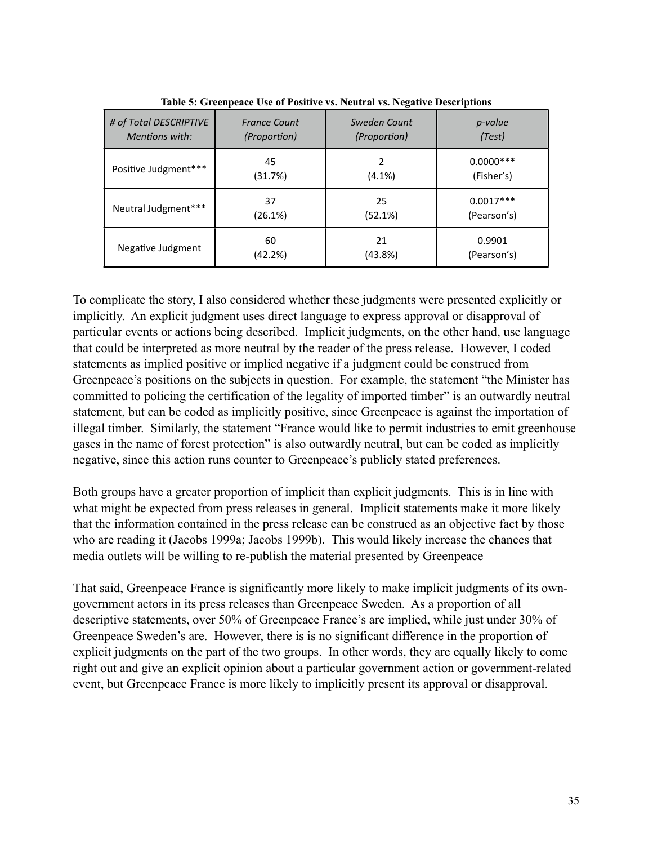| # of Total DESCRIPTIVE | <b>France Count</b> | Sweden Count | <i>p-value</i> |
|------------------------|---------------------|--------------|----------------|
| <b>Mentions with:</b>  | (Proportion)        | (Proportion) | (Test)         |
| Positive Judgment***   | 45                  | 2            | $0.0000***$    |
|                        | (31.7%)             | (4.1%)       | (Fisher's)     |
| Neutral Judgment***    | 37                  | 25           | $0.0017***$    |
|                        | (26.1%)             | (52.1%)      | (Pearson's)    |
| Negative Judgment      | 60                  | 21           | 0.9901         |
|                        | (42.2%)             | (43.8%)      | (Pearson's)    |

**Table 5: Greenpeace Use of Positive vs. Neutral vs. Negative Descriptions**

To complicate the story, I also considered whether these judgments were presented explicitly or implicitly. An explicit judgment uses direct language to express approval or disapproval of particular events or actions being described. Implicit judgments, on the other hand, use language that could be interpreted as more neutral by the reader of the press release. However, I coded statements as implied positive or implied negative if a judgment could be construed from Greenpeace's positions on the subjects in question. For example, the statement "the Minister has committed to policing the certification of the legality of imported timber" is an outwardly neutral statement, but can be coded as implicitly positive, since Greenpeace is against the importation of illegal timber. Similarly, the statement "France would like to permit industries to emit greenhouse gases in the name of forest protection" is also outwardly neutral, but can be coded as implicitly negative, since this action runs counter to Greenpeace's publicly stated preferences.

Both groups have a greater proportion of implicit than explicit judgments. This is in line with what might be expected from press releases in general. Implicit statements make it more likely that the information contained in the press release can be construed as an objective fact by those who are reading it (Jacobs 1999a; Jacobs 1999b). This would likely increase the chances that media outlets will be willing to re-publish the material presented by Greenpeace

That said, Greenpeace France is significantly more likely to make implicit judgments of its owngovernment actors in its press releases than Greenpeace Sweden. As a proportion of all descriptive statements, over 50% of Greenpeace France's are implied, while just under 30% of Greenpeace Sweden's are. However, there is is no significant difference in the proportion of explicit judgments on the part of the two groups. In other words, they are equally likely to come right out and give an explicit opinion about a particular government action or government-related event, but Greenpeace France is more likely to implicitly present its approval or disapproval.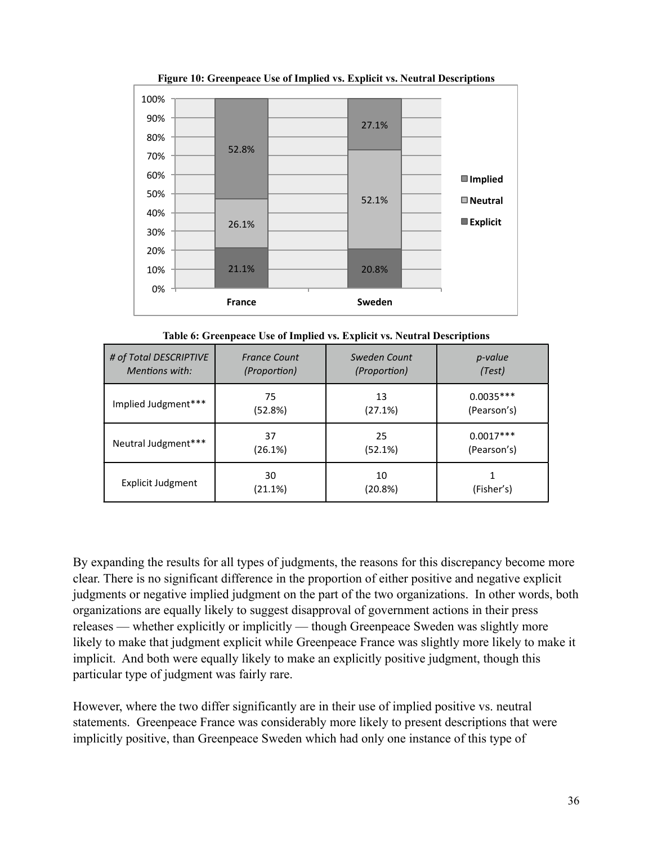

**Figure 10: Greenpeace Use of Implied vs. Explicit vs. Neutral Descriptions**

**Table 6: Greenpeace Use of Implied vs. Explicit vs. Neutral Descriptions**

| # of Total DESCRIPTIVE   | <b>France Count</b> | Sweden Count  | <i>p-value</i> |
|--------------------------|---------------------|---------------|----------------|
| Mentions with:           | (Proportion)        | (Proportion)  | (Test)         |
| Implied Judgment***      | 75                  | 13            | $0.0035***$    |
|                          | (52.8%)             | (27.1%)       | (Pearson's)    |
| Neutral Judgment***      | 37                  | 25            | $0.0017***$    |
|                          | (26.1%)             | (52.1%)       | (Pearson's)    |
| <b>Explicit Judgment</b> | 30<br>(21.1%)       | 10<br>(20.8%) | (Fisher's)     |

By expanding the results for all types of judgments, the reasons for this discrepancy become more clear. There is no significant difference in the proportion of either positive and negative explicit judgments or negative implied judgment on the part of the two organizations. In other words, both organizations are equally likely to suggest disapproval of government actions in their press releases — whether explicitly or implicitly — though Greenpeace Sweden was slightly more likely to make that judgment explicit while Greenpeace France was slightly more likely to make it implicit. And both were equally likely to make an explicitly positive judgment, though this particular type of judgment was fairly rare.

However, where the two differ significantly are in their use of implied positive vs. neutral statements. Greenpeace France was considerably more likely to present descriptions that were implicitly positive, than Greenpeace Sweden which had only one instance of this type of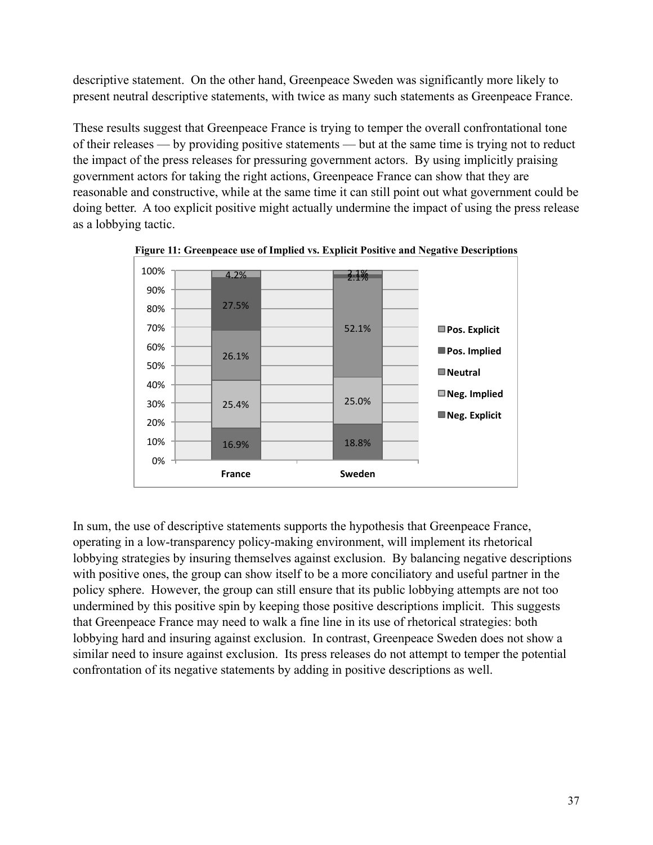descriptive statement. On the other hand, Greenpeace Sweden was significantly more likely to present neutral descriptive statements, with twice as many such statements as Greenpeace France.

These results suggest that Greenpeace France is trying to temper the overall confrontational tone of their releases — by providing positive statements — but at the same time is trying not to reduct the impact of the press releases for pressuring government actors. By using implicitly praising government actors for taking the right actions, Greenpeace France can show that they are reasonable and constructive, while at the same time it can still point out what government could be doing better. A too explicit positive might actually undermine the impact of using the press release as a lobbying tactic.



**Figure 11: Greenpeace use of Implied vs. Explicit Positive and Negative Descriptions**

In sum, the use of descriptive statements supports the hypothesis that Greenpeace France, operating in a low-transparency policy-making environment, will implement its rhetorical lobbying strategies by insuring themselves against exclusion. By balancing negative descriptions with positive ones, the group can show itself to be a more conciliatory and useful partner in the policy sphere. However, the group can still ensure that its public lobbying attempts are not too undermined by this positive spin by keeping those positive descriptions implicit. This suggests that Greenpeace France may need to walk a fine line in its use of rhetorical strategies: both lobbying hard and insuring against exclusion. In contrast, Greenpeace Sweden does not show a similar need to insure against exclusion. Its press releases do not attempt to temper the potential confrontation of its negative statements by adding in positive descriptions as well.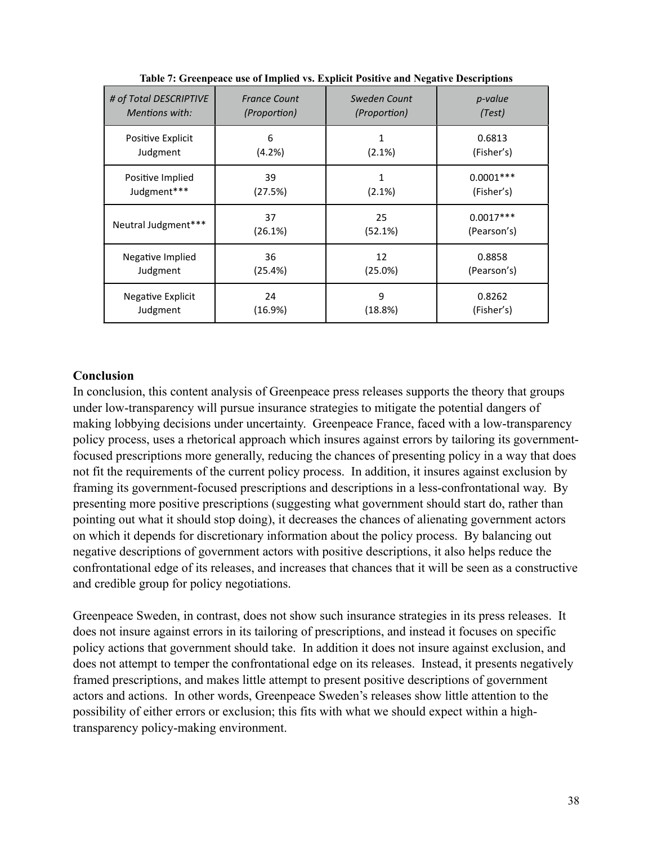| # of Total DESCRIPTIVE | <b>France Count</b> | Sweden Count | p-value     |
|------------------------|---------------------|--------------|-------------|
| <b>Mentions with:</b>  | <i>(Proportion)</i> | (Proportion) | (Test)      |
| Positive Explicit      | 6                   | 1            | 0.6813      |
| Judgment               | (4.2%)              | $(2.1\%)$    | (Fisher's)  |
| Positive Implied       | 39                  | 1            | $0.0001***$ |
| Judgment***            | (27.5%)             | $(2.1\%)$    | (Fisher's)  |
| Neutral Judgment***    | 37                  | 25           | $0.0017***$ |
|                        | (26.1%)             | (52.1%)      | (Pearson's) |
| Negative Implied       | 36                  | 12           | 0.8858      |
| Judgment               | (25.4%)             | (25.0%)      | (Pearson's) |
| Negative Explicit      | 24                  | 9            | 0.8262      |
| Judgment               | (16.9%)             | (18.8%)      | (Fisher's)  |

**Table 7: Greenpeace use of Implied vs. Explicit Positive and Negative Descriptions**

#### **Conclusion**

In conclusion, this content analysis of Greenpeace press releases supports the theory that groups under low-transparency will pursue insurance strategies to mitigate the potential dangers of making lobbying decisions under uncertainty. Greenpeace France, faced with a low-transparency policy process, uses a rhetorical approach which insures against errors by tailoring its governmentfocused prescriptions more generally, reducing the chances of presenting policy in a way that does not fit the requirements of the current policy process. In addition, it insures against exclusion by framing its government-focused prescriptions and descriptions in a less-confrontational way. By presenting more positive prescriptions (suggesting what government should start do, rather than pointing out what it should stop doing), it decreases the chances of alienating government actors on which it depends for discretionary information about the policy process. By balancing out negative descriptions of government actors with positive descriptions, it also helps reduce the confrontational edge of its releases, and increases that chances that it will be seen as a constructive and credible group for policy negotiations.

Greenpeace Sweden, in contrast, does not show such insurance strategies in its press releases. It does not insure against errors in its tailoring of prescriptions, and instead it focuses on specific policy actions that government should take. In addition it does not insure against exclusion, and does not attempt to temper the confrontational edge on its releases. Instead, it presents negatively framed prescriptions, and makes little attempt to present positive descriptions of government actors and actions. In other words, Greenpeace Sweden's releases show little attention to the possibility of either errors or exclusion; this fits with what we should expect within a hightransparency policy-making environment.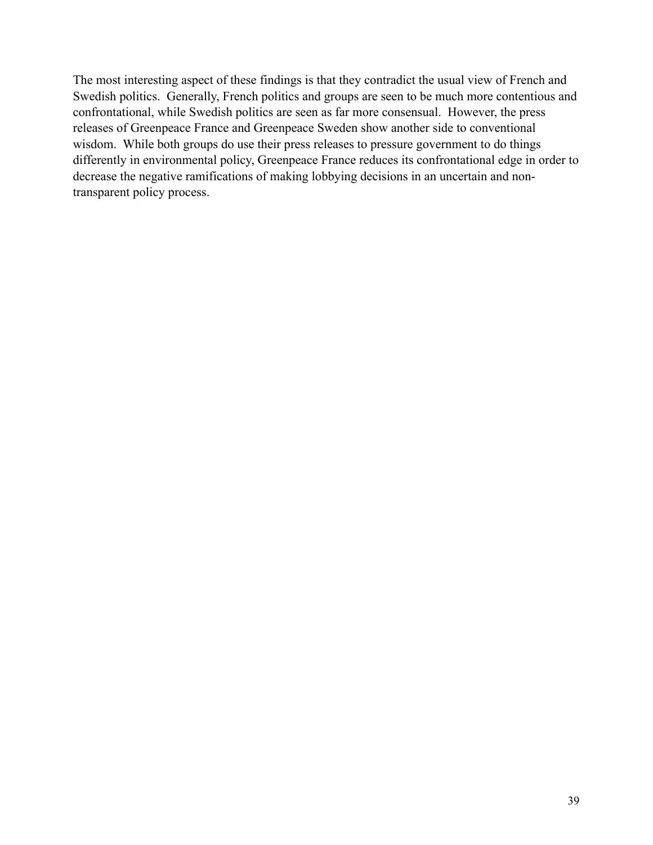The most interesting aspect of these findings is that they contradict the usual view of French and Swedish politics. Generally, French politics and groups are seen to be much more contentious and confrontational, while Swedish politics are seen as far more consensual. However, the press releases of Greenpeace France and Greenpeace Sweden show another side to conventional wisdom. While both groups do use their press releases to pressure government to do things differently in environmental policy, Greenpeace France reduces its confrontational edge in order to decrease the negative ramifications of making lobbying decisions in an uncertain and nontransparent policy process.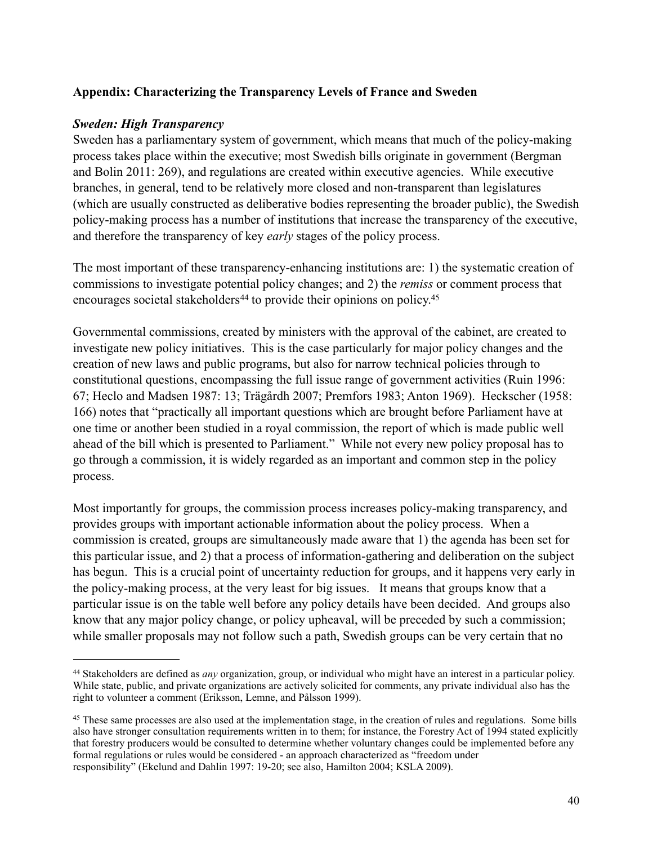#### **Appendix: Characterizing the Transparency Levels of France and Sweden**

#### *Sweden: High Transparency*

Sweden has a parliamentary system of government, which means that much of the policy-making process takes place within the executive; most Swedish bills originate in government (Bergman and Bolin 2011: 269), and regulations are created within executive agencies. While executive branches, in general, tend to be relatively more closed and non-transparent than legislatures (which are usually constructed as deliberative bodies representing the broader public), the Swedish policy-making process has a number of institutions that increase the transparency of the executive, and therefore the transparency of key *early* stages of the policy process.

The most important of these transparency-enhancing institutions are: 1) the systematic creation of commissions to investigate potential policy changes; and 2) the *remiss* or comment process that encourages societal stakeholders<sup>[44](#page-40-0)</sup> to provide their opinions on policy.<sup>45</sup>

Governmental commissions, created by ministers with the approval of the cabinet, are created to investigate new policy initiatives. This is the case particularly for major policy changes and the creation of new laws and public programs, but also for narrow technical policies through to constitutional questions, encompassing the full issue range of government activities (Ruin 1996: 67; Heclo and Madsen 1987: 13; Trägårdh 2007; Premfors 1983; Anton 1969). Heckscher (1958: 166) notes that "practically all important questions which are brought before Parliament have at one time or another been studied in a royal commission, the report of which is made public well ahead of the bill which is presented to Parliament." While not every new policy proposal has to go through a commission, it is widely regarded as an important and common step in the policy process.

Most importantly for groups, the commission process increases policy-making transparency, and provides groups with important actionable information about the policy process. When a commission is created, groups are simultaneously made aware that 1) the agenda has been set for this particular issue, and 2) that a process of information-gathering and deliberation on the subject has begun. This is a crucial point of uncertainty reduction for groups, and it happens very early in the policy-making process, at the very least for big issues. It means that groups know that a particular issue is on the table well before any policy details have been decided. And groups also know that any major policy change, or policy upheaval, will be preceded by such a commission; while smaller proposals may not follow such a path, Swedish groups can be very certain that no

<span id="page-40-0"></span><sup>44</sup> Stakeholders are defined as *any* organization, group, or individual who might have an interest in a particular policy. While state, public, and private organizations are actively solicited for comments, any private individual also has the right to volunteer a comment (Eriksson, Lemne, and Pålsson 1999).

<span id="page-40-1"></span><sup>&</sup>lt;sup>45</sup> These same processes are also used at the implementation stage, in the creation of rules and regulations. Some bills also have stronger consultation requirements written in to them; for instance, the Forestry Act of 1994 stated explicitly that forestry producers would be consulted to determine whether voluntary changes could be implemented before any formal regulations or rules would be considered - an approach characterized as "freedom under responsibility" (Ekelund and Dahlin 1997: 19-20; see also, Hamilton 2004; KSLA 2009).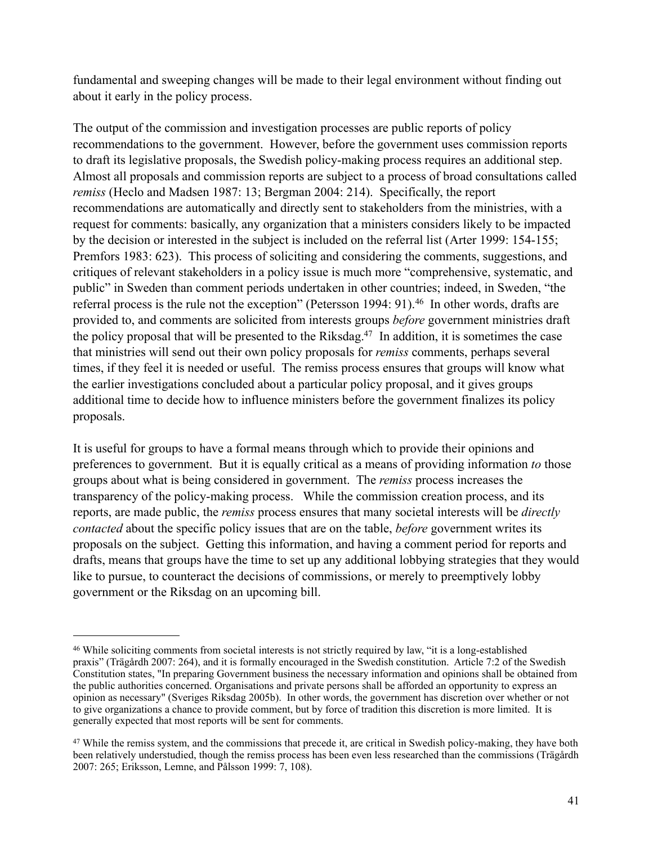fundamental and sweeping changes will be made to their legal environment without finding out about it early in the policy process.

The output of the commission and investigation processes are public reports of policy recommendations to the government. However, before the government uses commission reports to draft its legislative proposals, the Swedish policy-making process requires an additional step. Almost all proposals and commission reports are subject to a process of broad consultations called *remiss* (Heclo and Madsen 1987: 13; Bergman 2004: 214). Specifically, the report recommendations are automatically and directly sent to stakeholders from the ministries, with a request for comments: basically, any organization that a ministers considers likely to be impacted by the decision or interested in the subject is included on the referral list (Arter 1999: 154-155; Premfors 1983: 623). This process of soliciting and considering the comments, suggestions, and critiques of relevant stakeholders in a policy issue is much more "comprehensive, systematic, and public" in Sweden than comment periods undertaken in other countries; indeed, in Sweden, "the referral process is the rule not the exception" (Petersson 1994: 91).<sup>46</sup> In other words, drafts are provided to, and comments are solicited from interests groups *before* government ministries draft the policy proposal that will be presented to the Riksdag.<sup>47</sup> In addition, it is sometimes the case that ministries will send out their own policy proposals for *remiss* comments, perhaps several times, if they feel it is needed or useful. The remiss process ensures that groups will know what the earlier investigations concluded about a particular policy proposal, and it gives groups additional time to decide how to influence ministers before the government finalizes its policy proposals.

It is useful for groups to have a formal means through which to provide their opinions and preferences to government. But it is equally critical as a means of providing information *to* those groups about what is being considered in government. The *remiss* process increases the transparency of the policy-making process. While the commission creation process, and its reports, are made public, the *remiss* process ensures that many societal interests will be *directly contacted* about the specific policy issues that are on the table, *before* government writes its proposals on the subject. Getting this information, and having a comment period for reports and drafts, means that groups have the time to set up any additional lobbying strategies that they would like to pursue, to counteract the decisions of commissions, or merely to preemptively lobby government or the Riksdag on an upcoming bill.

<span id="page-41-0"></span><sup>46</sup> While soliciting comments from societal interests is not strictly required by law, "it is a long-established praxis" (Trägårdh 2007: 264), and it is formally encouraged in the Swedish constitution. Article 7:2 of the Swedish Constitution states, "In preparing Government business the necessary information and opinions shall be obtained from the public authorities concerned. Organisations and private persons shall be afforded an opportunity to express an opinion as necessary" (Sveriges Riksdag 2005b). In other words, the government has discretion over whether or not to give organizations a chance to provide comment, but by force of tradition this discretion is more limited. It is generally expected that most reports will be sent for comments.

<span id="page-41-1"></span><sup>&</sup>lt;sup>47</sup> While the remiss system, and the commissions that precede it, are critical in Swedish policy-making, they have both been relatively understudied, though the remiss process has been even less researched than the commissions (Trägårdh 2007: 265; Eriksson, Lemne, and Pålsson 1999: 7, 108).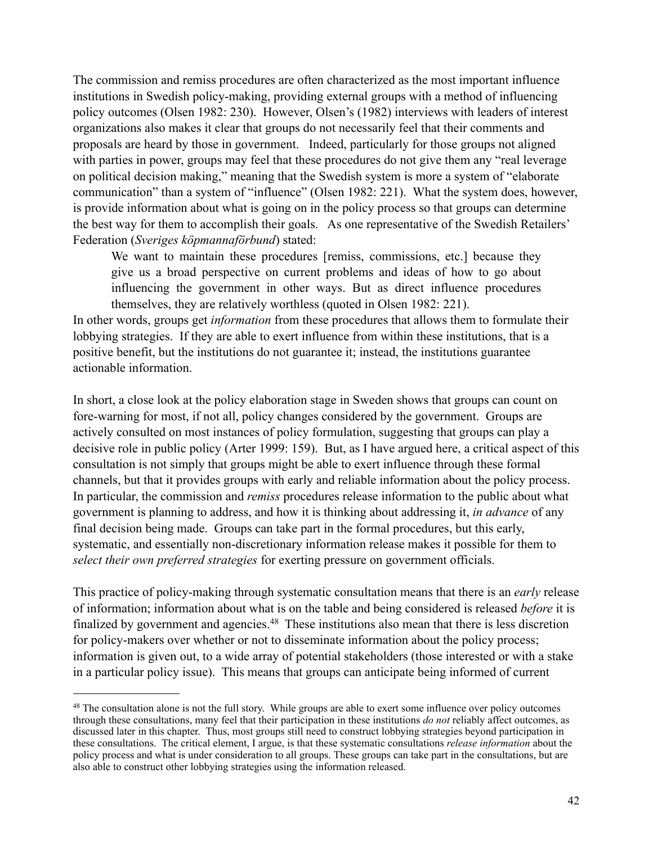The commission and remiss procedures are often characterized as the most important influence institutions in Swedish policy-making, providing external groups with a method of influencing policy outcomes (Olsen 1982: 230). However, Olsen's (1982) interviews with leaders of interest organizations also makes it clear that groups do not necessarily feel that their comments and proposals are heard by those in government. Indeed, particularly for those groups not aligned with parties in power, groups may feel that these procedures do not give them any "real leverage on political decision making," meaning that the Swedish system is more a system of "elaborate communication" than a system of "influence" (Olsen 1982: 221). What the system does, however, is provide information about what is going on in the policy process so that groups can determine the best way for them to accomplish their goals. As one representative of the Swedish Retailers' Federation (*Sveriges köpmannaförbund*) stated:

We want to maintain these procedures [remiss, commissions, etc.] because they give us a broad perspective on current problems and ideas of how to go about influencing the government in other ways. But as direct influence procedures themselves, they are relatively worthless (quoted in Olsen 1982: 221).

In other words, groups get *information* from these procedures that allows them to formulate their lobbying strategies. If they are able to exert influence from within these institutions, that is a positive benefit, but the institutions do not guarantee it; instead, the institutions guarantee actionable information.

In short, a close look at the policy elaboration stage in Sweden shows that groups can count on fore-warning for most, if not all, policy changes considered by the government. Groups are actively consulted on most instances of policy formulation, suggesting that groups can play a decisive role in public policy (Arter 1999: 159). But, as I have argued here, a critical aspect of this consultation is not simply that groups might be able to exert influence through these formal channels, but that it provides groups with early and reliable information about the policy process. In particular, the commission and *remiss* procedures release information to the public about what government is planning to address, and how it is thinking about addressing it, *in advance* of any final decision being made. Groups can take part in the formal procedures, but this early, systematic, and essentially non-discretionary information release makes it possible for them to *select their own preferred strategies* for exerting pressure on government officials.

This practice of policy-making through systematic consultation means that there is an *early* release of information; information about what is on the table and being considered is released *before* it is finalized by government and agencies[.48](#page-42-0) These institutions also mean that there is less discretion for policy-makers over whether or not to disseminate information about the policy process; information is given out, to a wide array of potential stakeholders (those interested or with a stake in a particular policy issue). This means that groups can anticipate being informed of current

<span id="page-42-0"></span><sup>48</sup> The consultation alone is not the full story. While groups are able to exert some influence over policy outcomes through these consultations, many feel that their participation in these institutions *do not* reliably affect outcomes, as discussed later in this chapter. Thus, most groups still need to construct lobbying strategies beyond participation in these consultations. The critical element, I argue, is that these systematic consultations *release information* about the policy process and what is under consideration to all groups. These groups can take part in the consultations, but are also able to construct other lobbying strategies using the information released.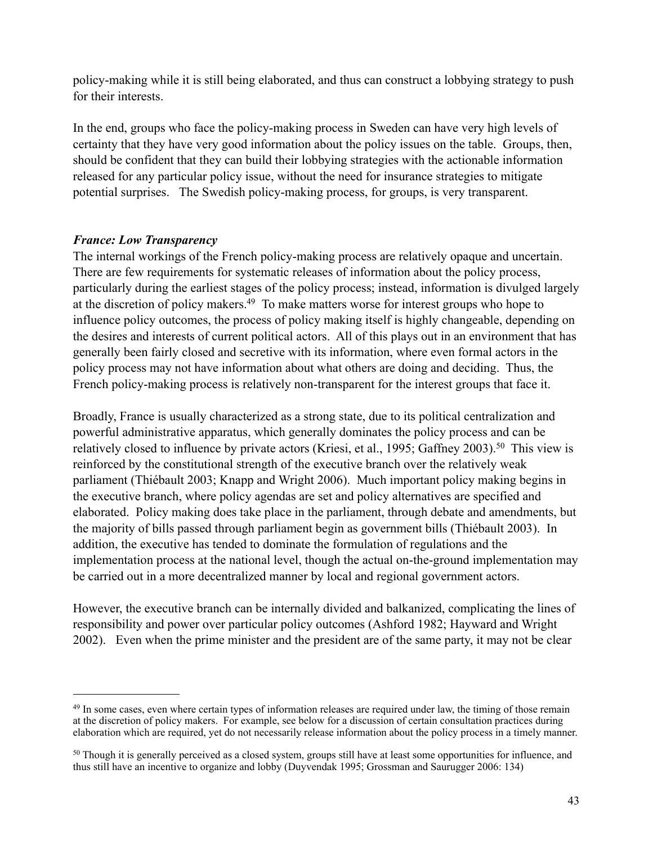policy-making while it is still being elaborated, and thus can construct a lobbying strategy to push for their interests.

In the end, groups who face the policy-making process in Sweden can have very high levels of certainty that they have very good information about the policy issues on the table. Groups, then, should be confident that they can build their lobbying strategies with the actionable information released for any particular policy issue, without the need for insurance strategies to mitigate potential surprises. The Swedish policy-making process, for groups, is very transparent.

## *France: Low Transparency*

The internal workings of the French policy-making process are relatively opaque and uncertain. There are few requirements for systematic releases of information about the policy process, particularly during the earliest stages of the policy process; instead, information is divulged largely at the discretion of policy makers[.49](#page-43-0) To make matters worse for interest groups who hope to influence policy outcomes, the process of policy making itself is highly changeable, depending on the desires and interests of current political actors. All of this plays out in an environment that has generally been fairly closed and secretive with its information, where even formal actors in the policy process may not have information about what others are doing and deciding. Thus, the French policy-making process is relatively non-transparent for the interest groups that face it.

Broadly, France is usually characterized as a strong state, due to its political centralization and powerful administrative apparatus, which generally dominates the policy process and can be relatively closed to influence by private actors (Kriesi, et al., 1995; Gaffney 2003).<sup>50</sup> This view is reinforced by the constitutional strength of the executive branch over the relatively weak parliament (Thiébault 2003; Knapp and Wright 2006). Much important policy making begins in the executive branch, where policy agendas are set and policy alternatives are specified and elaborated. Policy making does take place in the parliament, through debate and amendments, but the majority of bills passed through parliament begin as government bills (Thiébault 2003). In addition, the executive has tended to dominate the formulation of regulations and the implementation process at the national level, though the actual on-the-ground implementation may be carried out in a more decentralized manner by local and regional government actors.

However, the executive branch can be internally divided and balkanized, complicating the lines of responsibility and power over particular policy outcomes (Ashford 1982; Hayward and Wright 2002). Even when the prime minister and the president are of the same party, it may not be clear

<span id="page-43-0"></span><sup>&</sup>lt;sup>49</sup> In some cases, even where certain types of information releases are required under law, the timing of those remain at the discretion of policy makers. For example, see below for a discussion of certain consultation practices during elaboration which are required, yet do not necessarily release information about the policy process in a timely manner.

<span id="page-43-1"></span><sup>&</sup>lt;sup>50</sup> Though it is generally perceived as a closed system, groups still have at least some opportunities for influence, and thus still have an incentive to organize and lobby (Duyvendak 1995; Grossman and Saurugger 2006: 134)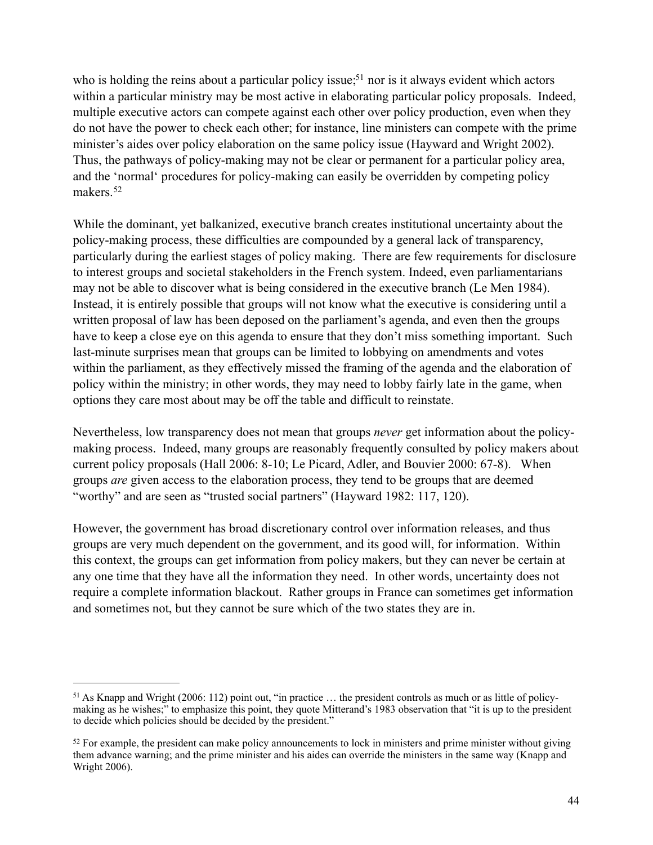who is holding the reins about a particular policy issue;<sup>51</sup> nor is it always evident which actors within a particular ministry may be most active in elaborating particular policy proposals. Indeed, multiple executive actors can compete against each other over policy production, even when they do not have the power to check each other; for instance, line ministers can compete with the prime minister's aides over policy elaboration on the same policy issue (Hayward and Wright 2002). Thus, the pathways of policy-making may not be clear or permanent for a particular policy area, and the 'normal' procedures for policy-making can easily be overridden by competing policy makers[.52](#page-44-1)

While the dominant, yet balkanized, executive branch creates institutional uncertainty about the policy-making process, these difficulties are compounded by a general lack of transparency, particularly during the earliest stages of policy making. There are few requirements for disclosure to interest groups and societal stakeholders in the French system. Indeed, even parliamentarians may not be able to discover what is being considered in the executive branch (Le Men 1984). Instead, it is entirely possible that groups will not know what the executive is considering until a written proposal of law has been deposed on the parliament's agenda, and even then the groups have to keep a close eye on this agenda to ensure that they don't miss something important. Such last-minute surprises mean that groups can be limited to lobbying on amendments and votes within the parliament, as they effectively missed the framing of the agenda and the elaboration of policy within the ministry; in other words, they may need to lobby fairly late in the game, when options they care most about may be off the table and difficult to reinstate.

Nevertheless, low transparency does not mean that groups *never* get information about the policymaking process. Indeed, many groups are reasonably frequently consulted by policy makers about current policy proposals (Hall 2006: 8-10; Le Picard, Adler, and Bouvier 2000: 67-8). When groups *are* given access to the elaboration process, they tend to be groups that are deemed "worthy" and are seen as "trusted social partners" (Hayward 1982: 117, 120).

However, the government has broad discretionary control over information releases, and thus groups are very much dependent on the government, and its good will, for information. Within this context, the groups can get information from policy makers, but they can never be certain at any one time that they have all the information they need. In other words, uncertainty does not require a complete information blackout. Rather groups in France can sometimes get information and sometimes not, but they cannot be sure which of the two states they are in.

<span id="page-44-0"></span><sup>51</sup> As Knapp and Wright (2006: 112) point out, "in practice … the president controls as much or as little of policymaking as he wishes;" to emphasize this point, they quote Mitterand's 1983 observation that "it is up to the president to decide which policies should be decided by the president."

<span id="page-44-1"></span> $52$  For example, the president can make policy announcements to lock in ministers and prime minister without giving them advance warning; and the prime minister and his aides can override the ministers in the same way (Knapp and Wright 2006).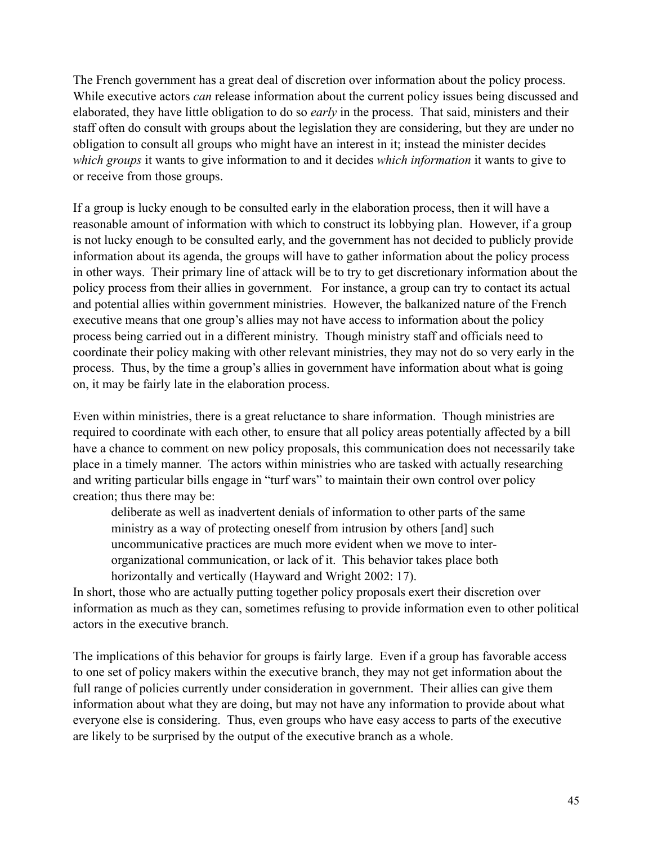The French government has a great deal of discretion over information about the policy process. While executive actors *can* release information about the current policy issues being discussed and elaborated, they have little obligation to do so *early* in the process. That said, ministers and their staff often do consult with groups about the legislation they are considering, but they are under no obligation to consult all groups who might have an interest in it; instead the minister decides *which groups* it wants to give information to and it decides *which information* it wants to give to or receive from those groups.

If a group is lucky enough to be consulted early in the elaboration process, then it will have a reasonable amount of information with which to construct its lobbying plan. However, if a group is not lucky enough to be consulted early, and the government has not decided to publicly provide information about its agenda, the groups will have to gather information about the policy process in other ways. Their primary line of attack will be to try to get discretionary information about the policy process from their allies in government. For instance, a group can try to contact its actual and potential allies within government ministries. However, the balkanized nature of the French executive means that one group's allies may not have access to information about the policy process being carried out in a different ministry. Though ministry staff and officials need to coordinate their policy making with other relevant ministries, they may not do so very early in the process. Thus, by the time a group's allies in government have information about what is going on, it may be fairly late in the elaboration process.

Even within ministries, there is a great reluctance to share information. Though ministries are required to coordinate with each other, to ensure that all policy areas potentially affected by a bill have a chance to comment on new policy proposals, this communication does not necessarily take place in a timely manner. The actors within ministries who are tasked with actually researching and writing particular bills engage in "turf wars" to maintain their own control over policy creation; thus there may be:

deliberate as well as inadvertent denials of information to other parts of the same ministry as a way of protecting oneself from intrusion by others [and] such uncommunicative practices are much more evident when we move to interorganizational communication, or lack of it. This behavior takes place both horizontally and vertically (Hayward and Wright 2002: 17).

In short, those who are actually putting together policy proposals exert their discretion over information as much as they can, sometimes refusing to provide information even to other political actors in the executive branch.

The implications of this behavior for groups is fairly large. Even if a group has favorable access to one set of policy makers within the executive branch, they may not get information about the full range of policies currently under consideration in government. Their allies can give them information about what they are doing, but may not have any information to provide about what everyone else is considering. Thus, even groups who have easy access to parts of the executive are likely to be surprised by the output of the executive branch as a whole.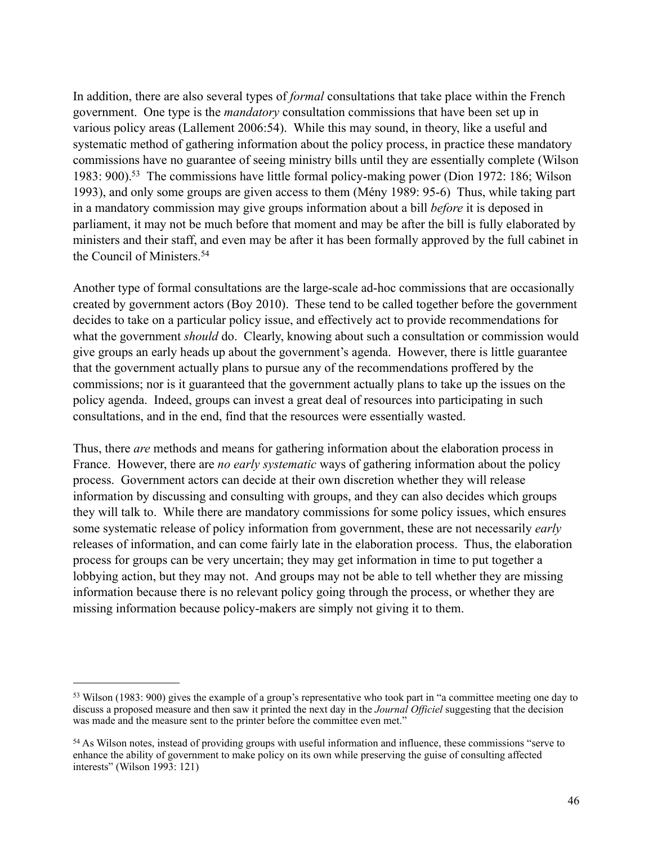In addition, there are also several types of *formal* consultations that take place within the French government. One type is the *mandatory* consultation commissions that have been set up in various policy areas (Lallement 2006:54). While this may sound, in theory, like a useful and systematic method of gathering information about the policy process, in practice these mandatory commissions have no guarantee of seeing ministry bills until they are essentially complete (Wilson 1983: 900).<sup>53</sup> The commissions have little formal policy-making power (Dion 1972: 186; Wilson 1993), and only some groups are given access to them (Mény 1989: 95-6) Thus, while taking part in a mandatory commission may give groups information about a bill *before* it is deposed in parliament, it may not be much before that moment and may be after the bill is fully elaborated by ministers and their staff, and even may be after it has been formally approved by the full cabinet in the Council of Ministers[.54](#page-46-1)

Another type of formal consultations are the large-scale ad-hoc commissions that are occasionally created by government actors (Boy 2010). These tend to be called together before the government decides to take on a particular policy issue, and effectively act to provide recommendations for what the government *should* do. Clearly, knowing about such a consultation or commission would give groups an early heads up about the government's agenda. However, there is little guarantee that the government actually plans to pursue any of the recommendations proffered by the commissions; nor is it guaranteed that the government actually plans to take up the issues on the policy agenda. Indeed, groups can invest a great deal of resources into participating in such consultations, and in the end, find that the resources were essentially wasted.

Thus, there *are* methods and means for gathering information about the elaboration process in France. However, there are *no early systematic* ways of gathering information about the policy process. Government actors can decide at their own discretion whether they will release information by discussing and consulting with groups, and they can also decides which groups they will talk to. While there are mandatory commissions for some policy issues, which ensures some systematic release of policy information from government, these are not necessarily *early* releases of information, and can come fairly late in the elaboration process. Thus, the elaboration process for groups can be very uncertain; they may get information in time to put together a lobbying action, but they may not. And groups may not be able to tell whether they are missing information because there is no relevant policy going through the process, or whether they are missing information because policy-makers are simply not giving it to them.

<span id="page-46-0"></span><sup>53</sup> Wilson (1983: 900) gives the example of a group's representative who took part in "a committee meeting one day to discuss a proposed measure and then saw it printed the next day in the *Journal Officiel* suggesting that the decision was made and the measure sent to the printer before the committee even met."

<span id="page-46-1"></span><sup>54</sup> As Wilson notes, instead of providing groups with useful information and influence, these commissions "serve to enhance the ability of government to make policy on its own while preserving the guise of consulting affected interests" (Wilson 1993: 121)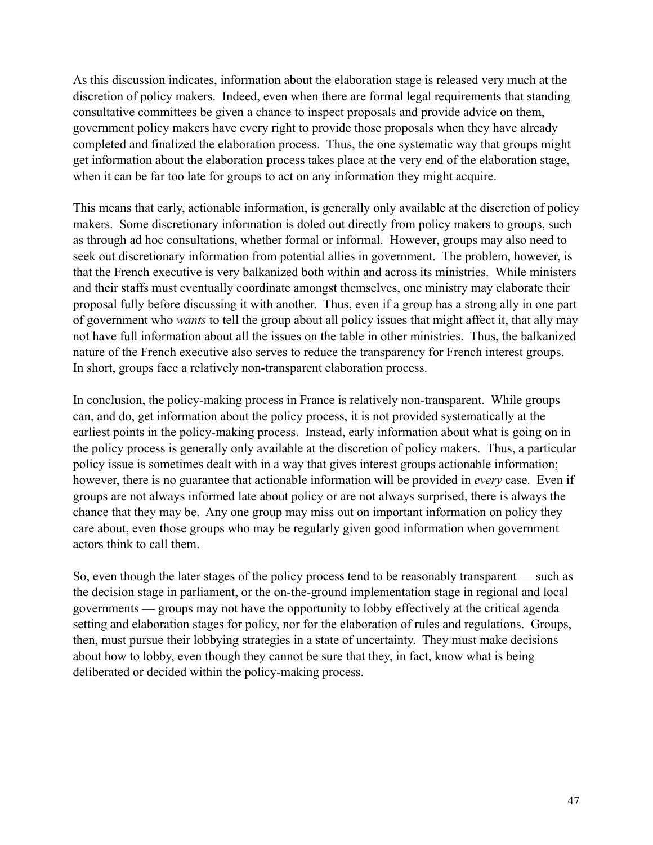As this discussion indicates, information about the elaboration stage is released very much at the discretion of policy makers. Indeed, even when there are formal legal requirements that standing consultative committees be given a chance to inspect proposals and provide advice on them, government policy makers have every right to provide those proposals when they have already completed and finalized the elaboration process. Thus, the one systematic way that groups might get information about the elaboration process takes place at the very end of the elaboration stage, when it can be far too late for groups to act on any information they might acquire.

This means that early, actionable information, is generally only available at the discretion of policy makers. Some discretionary information is doled out directly from policy makers to groups, such as through ad hoc consultations, whether formal or informal. However, groups may also need to seek out discretionary information from potential allies in government. The problem, however, is that the French executive is very balkanized both within and across its ministries. While ministers and their staffs must eventually coordinate amongst themselves, one ministry may elaborate their proposal fully before discussing it with another. Thus, even if a group has a strong ally in one part of government who *wants* to tell the group about all policy issues that might affect it, that ally may not have full information about all the issues on the table in other ministries. Thus, the balkanized nature of the French executive also serves to reduce the transparency for French interest groups. In short, groups face a relatively non-transparent elaboration process.

In conclusion, the policy-making process in France is relatively non-transparent. While groups can, and do, get information about the policy process, it is not provided systematically at the earliest points in the policy-making process. Instead, early information about what is going on in the policy process is generally only available at the discretion of policy makers. Thus, a particular policy issue is sometimes dealt with in a way that gives interest groups actionable information; however, there is no guarantee that actionable information will be provided in *every* case. Even if groups are not always informed late about policy or are not always surprised, there is always the chance that they may be. Any one group may miss out on important information on policy they care about, even those groups who may be regularly given good information when government actors think to call them.

So, even though the later stages of the policy process tend to be reasonably transparent — such as the decision stage in parliament, or the on-the-ground implementation stage in regional and local governments — groups may not have the opportunity to lobby effectively at the critical agenda setting and elaboration stages for policy, nor for the elaboration of rules and regulations. Groups, then, must pursue their lobbying strategies in a state of uncertainty. They must make decisions about how to lobby, even though they cannot be sure that they, in fact, know what is being deliberated or decided within the policy-making process.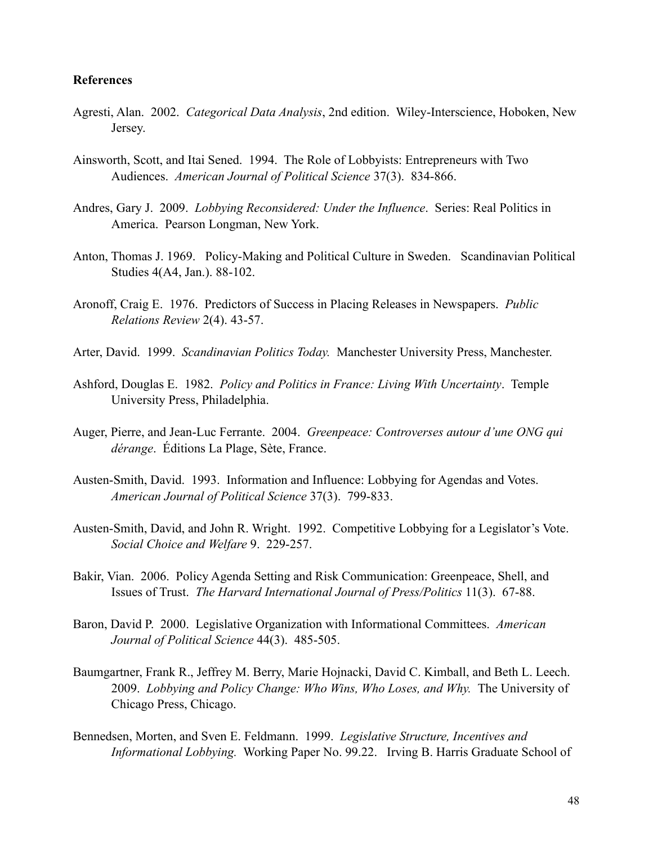#### **References**

- Agresti, Alan. 2002. *Categorical Data Analysis*, 2nd edition. Wiley-Interscience, Hoboken, New Jersey.
- Ainsworth, Scott, and Itai Sened. 1994. The Role of Lobbyists: Entrepreneurs with Two Audiences. *American Journal of Political Science* 37(3). 834-866.
- Andres, Gary J. 2009. *Lobbying Reconsidered: Under the Influence*. Series: Real Politics in America. Pearson Longman, New York.
- Anton, Thomas J. 1969. Policy-Making and Political Culture in Sweden. Scandinavian Political Studies 4(A4, Jan.). 88-102.
- Aronoff, Craig E. 1976. Predictors of Success in Placing Releases in Newspapers. *Public Relations Review* 2(4). 43-57.
- Arter, David. 1999. *Scandinavian Politics Today.* Manchester University Press, Manchester.
- Ashford, Douglas E. 1982. *Policy and Politics in France: Living With Uncertainty*. Temple University Press, Philadelphia.
- Auger, Pierre, and Jean-Luc Ferrante. 2004. *Greenpeace: Controverses autour d'une ONG qui dérange*. Éditions La Plage, Sète, France.
- Austen-Smith, David. 1993. Information and Influence: Lobbying for Agendas and Votes. *American Journal of Political Science* 37(3). 799-833.
- Austen-Smith, David, and John R. Wright. 1992. Competitive Lobbying for a Legislator's Vote. *Social Choice and Welfare* 9. 229-257.
- Bakir, Vian. 2006. Policy Agenda Setting and Risk Communication: Greenpeace, Shell, and Issues of Trust. *The Harvard International Journal of Press/Politics* 11(3). 67-88.
- Baron, David P. 2000. Legislative Organization with Informational Committees. *American Journal of Political Science* 44(3). 485-505.
- Baumgartner, Frank R., Jeffrey M. Berry, Marie Hojnacki, David C. Kimball, and Beth L. Leech. 2009. *Lobbying and Policy Change: Who Wins, Who Loses, and Why.* The University of Chicago Press, Chicago.
- Bennedsen, Morten, and Sven E. Feldmann. 1999. *Legislative Structure, Incentives and Informational Lobbying.* Working Paper No. 99.22. Irving B. Harris Graduate School of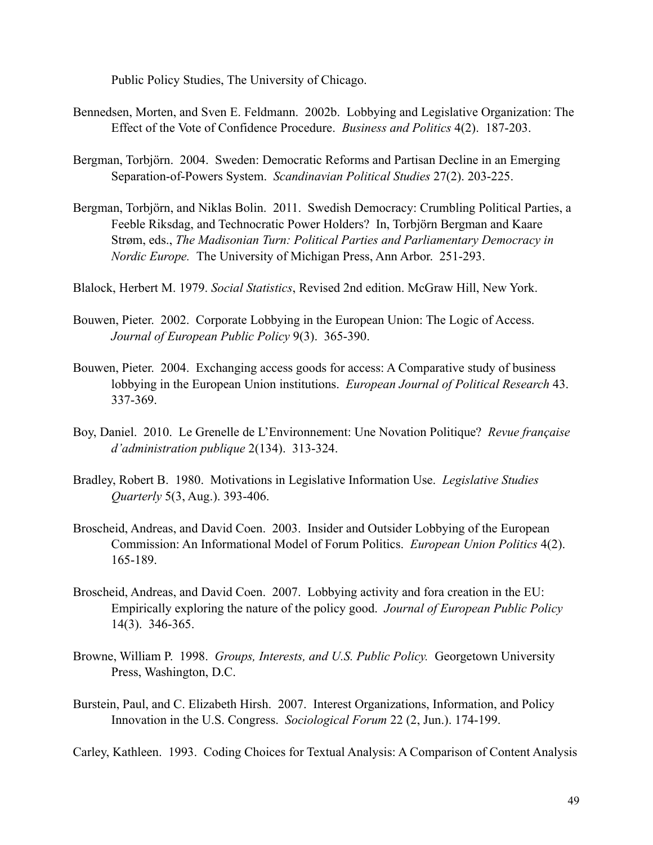Public Policy Studies, The University of Chicago.

- Bennedsen, Morten, and Sven E. Feldmann. 2002b. Lobbying and Legislative Organization: The Effect of the Vote of Confidence Procedure. *Business and Politics* 4(2). 187-203.
- Bergman, Torbjörn. 2004. Sweden: Democratic Reforms and Partisan Decline in an Emerging Separation-of-Powers System. *Scandinavian Political Studies* 27(2). 203-225.
- Bergman, Torbjörn, and Niklas Bolin. 2011. Swedish Democracy: Crumbling Political Parties, a Feeble Riksdag, and Technocratic Power Holders? In, Torbjörn Bergman and Kaare Strøm, eds., *The Madisonian Turn: Political Parties and Parliamentary Democracy in Nordic Europe.* The University of Michigan Press, Ann Arbor. 251-293.

Blalock, Herbert M. 1979. *Social Statistics*, Revised 2nd edition. McGraw Hill, New York.

- Bouwen, Pieter. 2002. Corporate Lobbying in the European Union: The Logic of Access. *Journal of European Public Policy* 9(3). 365-390.
- Bouwen, Pieter. 2004. Exchanging access goods for access: A Comparative study of business lobbying in the European Union institutions. *European Journal of Political Research* 43. 337-369.
- Boy, Daniel. 2010. Le Grenelle de L'Environnement: Une Novation Politique? *Revue française d'administration publique* 2(134). 313-324.
- Bradley, Robert B. 1980. Motivations in Legislative Information Use. *Legislative Studies Quarterly* 5(3, Aug.). 393-406.
- Broscheid, Andreas, and David Coen. 2003. Insider and Outsider Lobbying of the European Commission: An Informational Model of Forum Politics. *European Union Politics* 4(2). 165-189.
- Broscheid, Andreas, and David Coen. 2007. Lobbying activity and fora creation in the EU: Empirically exploring the nature of the policy good. *Journal of European Public Policy* 14(3). 346-365.
- Browne, William P. 1998. *Groups, Interests, and U.S. Public Policy.* Georgetown University Press, Washington, D.C.
- Burstein, Paul, and C. Elizabeth Hirsh. 2007. Interest Organizations, Information, and Policy Innovation in the U.S. Congress. *Sociological Forum* 22 (2, Jun.). 174-199.

Carley, Kathleen. 1993. Coding Choices for Textual Analysis: A Comparison of Content Analysis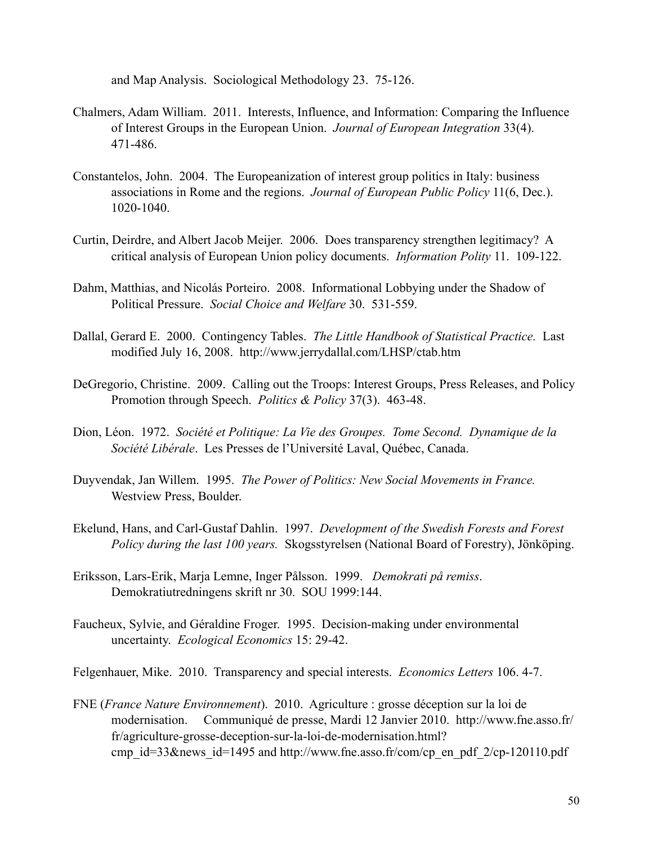and Map Analysis. Sociological Methodology 23. 75-126.

- Chalmers, Adam William. 2011. Interests, Influence, and Information: Comparing the Influence of Interest Groups in the European Union. *Journal of European Integration* 33(4). 471-486.
- Constantelos, John. 2004. The Europeanization of interest group politics in Italy: business associations in Rome and the regions. *Journal of European Public Policy* 11(6, Dec.). 1020-1040.
- Curtin, Deirdre, and Albert Jacob Meijer. 2006. Does transparency strengthen legitimacy? A critical analysis of European Union policy documents. *Information Polity* 11. 109-122.
- Dahm, Matthias, and Nicolás Porteiro. 2008. Informational Lobbying under the Shadow of Political Pressure. *Social Choice and Welfare* 30. 531-559.
- Dallal, Gerard E. 2000. Contingency Tables. *The Little Handbook of Statistical Practice.* Last modified July 16, 2008. <http://www.jerrydallal.com/LHSP/ctab.htm>
- DeGregorio, Christine. 2009. Calling out the Troops: Interest Groups, Press Releases, and Policy Promotion through Speech. *Politics & Policy* 37(3). 463-48.
- Dion, Léon. 1972. *Société et Politique: La Vie des Groupes. Tome Second. Dynamique de la Société Libérale*. Les Presses de l'Université Laval, Québec, Canada.
- Duyvendak, Jan Willem. 1995. *The Power of Politics: New Social Movements in France.*  Westview Press, Boulder.
- Ekelund, Hans, and Carl-Gustaf Dahlin. 1997. *Development of the Swedish Forests and Forest Policy during the last 100 years.* Skogsstyrelsen (National Board of Forestry), Jönköping.
- Eriksson, Lars-Erik, Marja Lemne, Inger Pålsson. 1999. *Demokrati på remiss*. Demokratiutredningens skrift nr 30. SOU 1999:144.
- Faucheux, Sylvie, and Géraldine Froger. 1995. Decision-making under environmental uncertainty. *Ecological Economics* 15: 29-42.

Felgenhauer, Mike. 2010. Transparency and special interests. *Economics Letters* 106. 4-7.

FNE (*France Nature Environnement*). 2010. Agriculture : grosse déception sur la loi de modernisation. Communiqué de presse, Mardi 12 Janvier 2010. [http://www.fne.asso.fr/](http://www.fne.asso.fr/fr/agriculture-grosse-deception-sur-la-loi-de-modernisation.html?cmp_id=33&news_id=1495) [fr/agriculture-grosse-deception-sur-la-loi-de-modernisation.html?](http://www.fne.asso.fr/fr/agriculture-grosse-deception-sur-la-loi-de-modernisation.html?cmp_id=33&news_id=1495) [cmp\\_id=33&news\\_id=1495](http://www.fne.asso.fr/fr/agriculture-grosse-deception-sur-la-loi-de-modernisation.html?cmp_id=33&news_id=1495) and [http://www.fne.asso.fr/com/cp\\_en\\_pdf\\_2/cp-120110.pdf](http://www.fne.asso.fr/com/cp_en_pdf_2/cp-120110.pdf)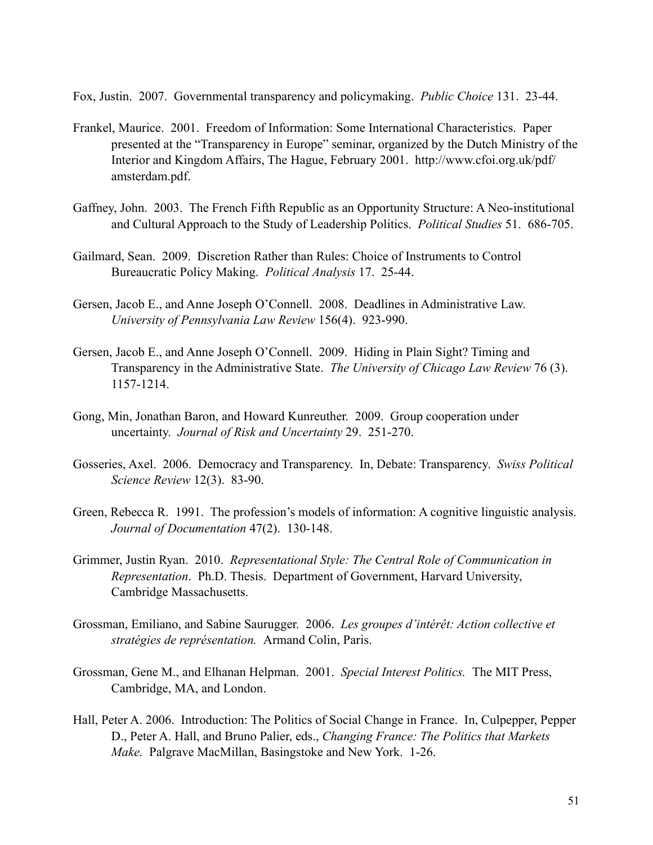Fox, Justin. 2007. Governmental transparency and policymaking. *Public Choice* 131. 23-44.

- Frankel, Maurice. 2001. Freedom of Information: Some International Characteristics. Paper presented at the "Transparency in Europe" seminar, organized by the Dutch Ministry of the Interior and Kingdom Affairs, The Hague, February 2001. [http://www.cfoi.org.uk/pdf/](http://www.cfoi.org.uk/pdf/amsterdam.pdf) [amsterdam.pdf](http://www.cfoi.org.uk/pdf/amsterdam.pdf).
- Gaffney, John. 2003. The French Fifth Republic as an Opportunity Structure: A Neo-institutional and Cultural Approach to the Study of Leadership Politics. *Political Studies* 51. 686-705.
- Gailmard, Sean. 2009. Discretion Rather than Rules: Choice of Instruments to Control Bureaucratic Policy Making. *Political Analysis* 17. 25-44.
- Gersen, Jacob E., and Anne Joseph O'Connell. 2008. Deadlines in Administrative Law. *University of Pennsylvania Law Review* 156(4). 923-990.
- Gersen, Jacob E., and Anne Joseph O'Connell. 2009. Hiding in Plain Sight? Timing and Transparency in the Administrative State. *The University of Chicago Law Review* 76 (3). 1157-1214.
- Gong, Min, Jonathan Baron, and Howard Kunreuther. 2009. Group cooperation under uncertainty. *Journal of Risk and Uncertainty* 29. 251-270.
- Gosseries, Axel. 2006. Democracy and Transparency. In, Debate: Transparency. *Swiss Political Science Review* 12(3). 83-90.
- Green, Rebecca R. 1991. The profession's models of information: A cognitive linguistic analysis. *Journal of Documentation* 47(2). 130-148.
- Grimmer, Justin Ryan. 2010. *Representational Style: The Central Role of Communication in Representation*. Ph.D. Thesis. Department of Government, Harvard University, Cambridge Massachusetts.
- Grossman, Emiliano, and Sabine Saurugger. 2006. *Les groupes d'intérêt: Action collective et stratégies de représentation.* Armand Colin, Paris.
- Grossman, Gene M., and Elhanan Helpman. 2001. *Special Interest Politics.* The MIT Press, Cambridge, MA, and London.
- Hall, Peter A. 2006. Introduction: The Politics of Social Change in France. In, Culpepper, Pepper D., Peter A. Hall, and Bruno Palier, eds., *Changing France: The Politics that Markets Make.* Palgrave MacMillan, Basingstoke and New York. 1-26.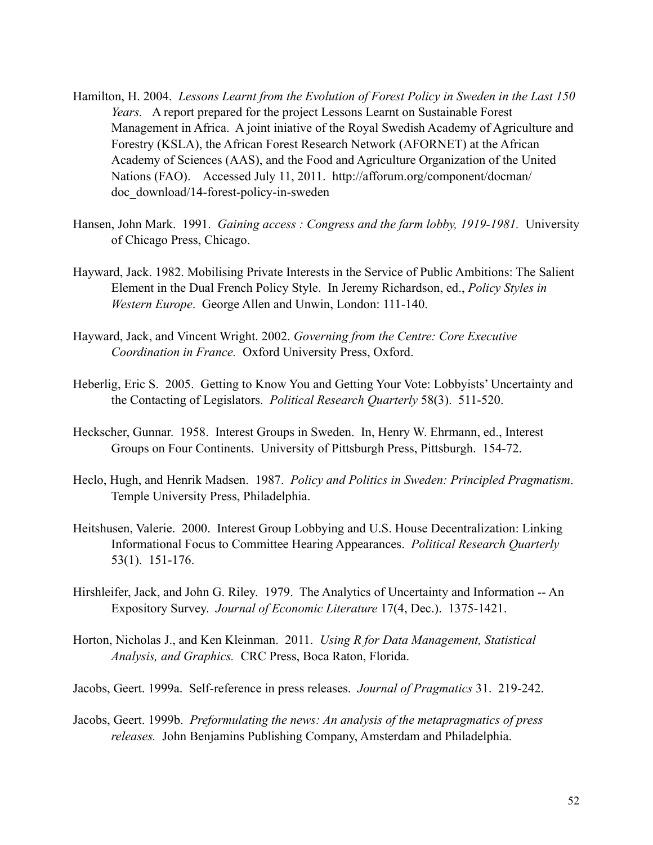- Hamilton, H. 2004. *Lessons Learnt from the Evolution of Forest Policy in Sweden in the Last 150 Years.* A report prepared for the project Lessons Learnt on Sustainable Forest Management in Africa. A joint iniative of the Royal Swedish Academy of Agriculture and Forestry (KSLA), the African Forest Research Network (AFORNET) at the African Academy of Sciences (AAS), and the Food and Agriculture Organization of the United Nations (FAO). Accessed July 11, 2011. [http://afforum.org/component/docman/](http://afforum.org/component/docman/doc_download/14-forest-policy-in-sweden) [doc\\_download/14-forest-policy-in-sweden](http://afforum.org/component/docman/doc_download/14-forest-policy-in-sweden)
- Hansen, John Mark. 1991. *Gaining access : Congress and the farm lobby, 1919-1981.* University of Chicago Press, Chicago.
- Hayward, Jack. 1982. Mobilising Private Interests in the Service of Public Ambitions: The Salient Element in the Dual French Policy Style. In Jeremy Richardson, ed., *Policy Styles in Western Europe*. George Allen and Unwin, London: 111-140.
- Hayward, Jack, and Vincent Wright. 2002. *Governing from the Centre: Core Executive Coordination in France.* Oxford University Press, Oxford.
- Heberlig, Eric S. 2005. Getting to Know You and Getting Your Vote: Lobbyists' Uncertainty and the Contacting of Legislators. *Political Research Quarterly* 58(3). 511-520.
- Heckscher, Gunnar. 1958. Interest Groups in Sweden. In, Henry W. Ehrmann, ed., Interest Groups on Four Continents. University of Pittsburgh Press, Pittsburgh. 154-72.
- Heclo, Hugh, and Henrik Madsen. 1987. *Policy and Politics in Sweden: Principled Pragmatism*. Temple University Press, Philadelphia.
- Heitshusen, Valerie. 2000. Interest Group Lobbying and U.S. House Decentralization: Linking Informational Focus to Committee Hearing Appearances. *Political Research Quarterly* 53(1). 151-176.
- Hirshleifer, Jack, and John G. Riley. 1979. The Analytics of Uncertainty and Information -- An Expository Survey. *Journal of Economic Literature* 17(4, Dec.). 1375-1421.
- Horton, Nicholas J., and Ken Kleinman. 2011. *Using R for Data Management, Statistical Analysis, and Graphics.* CRC Press, Boca Raton, Florida.
- Jacobs, Geert. 1999a. Self-reference in press releases. *Journal of Pragmatics* 31. 219-242.
- Jacobs, Geert. 1999b. *Preformulating the news: An analysis of the metapragmatics of press releases.* John Benjamins Publishing Company, Amsterdam and Philadelphia.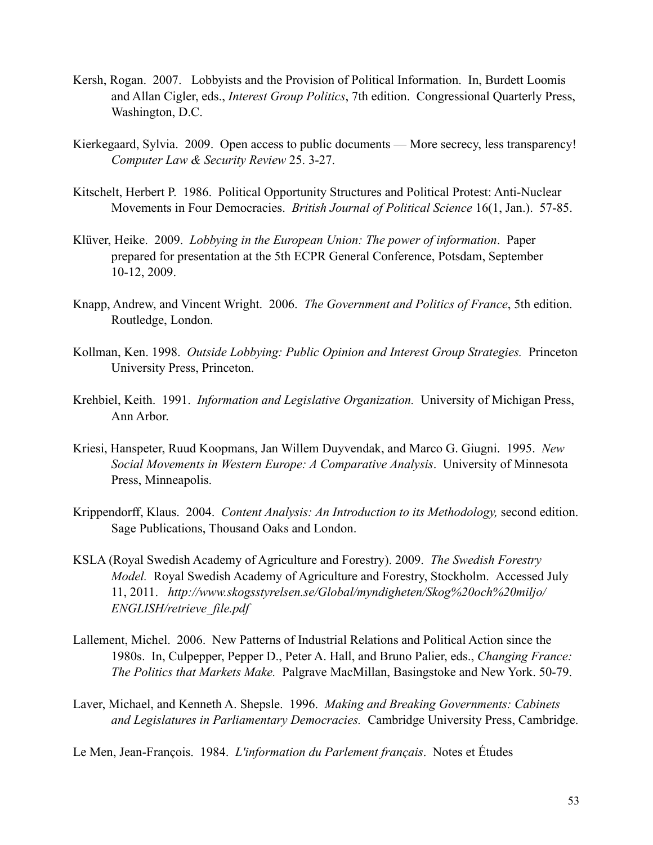- Kersh, Rogan. 2007. Lobbyists and the Provision of Political Information. In, Burdett Loomis and Allan Cigler, eds., *Interest Group Politics*, 7th edition. Congressional Quarterly Press, Washington, D.C.
- Kierkegaard, Sylvia. 2009. Open access to public documents More secrecy, less transparency! *Computer Law & Security Review* 25. 3-27.
- Kitschelt, Herbert P. 1986. Political Opportunity Structures and Political Protest: Anti-Nuclear Movements in Four Democracies. *British Journal of Political Science* 16(1, Jan.). 57-85.
- Klüver, Heike. 2009. *Lobbying in the European Union: The power of information*. Paper prepared for presentation at the 5th ECPR General Conference, Potsdam, September 10-12, 2009.
- Knapp, Andrew, and Vincent Wright. 2006. *The Government and Politics of France*, 5th edition. Routledge, London.
- Kollman, Ken. 1998. *Outside Lobbying: Public Opinion and Interest Group Strategies.* Princeton University Press, Princeton.
- Krehbiel, Keith. 1991. *Information and Legislative Organization.* University of Michigan Press, Ann Arbor.
- Kriesi, Hanspeter, Ruud Koopmans, Jan Willem Duyvendak, and Marco G. Giugni. 1995. *New Social Movements in Western Europe: A Comparative Analysis*. University of Minnesota Press, Minneapolis.
- Krippendorff, Klaus. 2004. *Content Analysis: An Introduction to its Methodology,* second edition. Sage Publications, Thousand Oaks and London.
- KSLA (Royal Swedish Academy of Agriculture and Forestry). 2009. *The Swedish Forestry Model.* Royal Swedish Academy of Agriculture and Forestry, Stockholm. Accessed July 11, 2011. *[http://www.skogsstyrelsen.se/Global/myndigheten/Skog%20och%20miljo/](http://www.skogsstyrelsen.se/Global/myndigheten/Skog%20och%20miljo/ENGLISH/retrieve_file.pdf) [ENGLISH/retrieve\\_file.pdf](http://www.skogsstyrelsen.se/Global/myndigheten/Skog%20och%20miljo/ENGLISH/retrieve_file.pdf)*
- Lallement, Michel. 2006. New Patterns of Industrial Relations and Political Action since the 1980s. In, Culpepper, Pepper D., Peter A. Hall, and Bruno Palier, eds., *Changing France: The Politics that Markets Make.* Palgrave MacMillan, Basingstoke and New York. 50-79.
- Laver, Michael, and Kenneth A. Shepsle. 1996. *Making and Breaking Governments: Cabinets and Legislatures in Parliamentary Democracies.* Cambridge University Press, Cambridge.
- Le Men, Jean-François. 1984. *L'information du Parlement français*. Notes et Études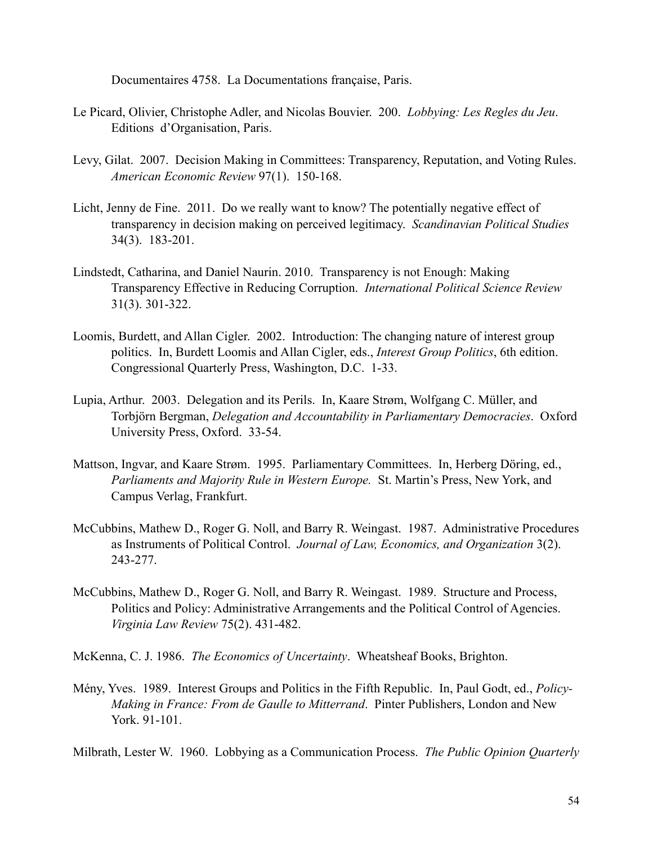Documentaires 4758. La Documentations française, Paris.

- Le Picard, Olivier, Christophe Adler, and Nicolas Bouvier. 200. *Lobbying: Les Regles du Jeu*. Editions d'Organisation, Paris.
- Levy, Gilat. 2007. Decision Making in Committees: Transparency, Reputation, and Voting Rules. *American Economic Review* 97(1). 150-168.
- Licht, Jenny de Fine. 2011. Do we really want to know? The potentially negative effect of transparency in decision making on perceived legitimacy. *Scandinavian Political Studies*  34(3). 183-201.
- Lindstedt, Catharina, and Daniel Naurin. 2010. Transparency is not Enough: Making Transparency Effective in Reducing Corruption. *International Political Science Review* 31(3). 301-322.
- Loomis, Burdett, and Allan Cigler. 2002. Introduction: The changing nature of interest group politics. In, Burdett Loomis and Allan Cigler, eds., *Interest Group Politics*, 6th edition. Congressional Quarterly Press, Washington, D.C. 1-33.
- Lupia, Arthur. 2003. Delegation and its Perils. In, Kaare Strøm, Wolfgang C. Müller, and Torbjörn Bergman, *Delegation and Accountability in Parliamentary Democracies*. Oxford University Press, Oxford. 33-54.
- Mattson, Ingvar, and Kaare Strøm. 1995. Parliamentary Committees. In, Herberg Döring, ed., *Parliaments and Majority Rule in Western Europe.* St. Martin's Press, New York, and Campus Verlag, Frankfurt.
- McCubbins, Mathew D., Roger G. Noll, and Barry R. Weingast. 1987. Administrative Procedures as Instruments of Political Control. *Journal of Law, Economics, and Organization* 3(2). 243-277.
- McCubbins, Mathew D., Roger G. Noll, and Barry R. Weingast. 1989. Structure and Process, Politics and Policy: Administrative Arrangements and the Political Control of Agencies. *Virginia Law Review* 75(2). 431-482.
- McKenna, C. J. 1986. *The Economics of Uncertainty*. Wheatsheaf Books, Brighton.
- Mény, Yves. 1989. Interest Groups and Politics in the Fifth Republic. In, Paul Godt, ed., *Policy-Making in France: From de Gaulle to Mitterrand*. Pinter Publishers, London and New York. 91-101.

Milbrath, Lester W. 1960. Lobbying as a Communication Process. *The Public Opinion Quarterly*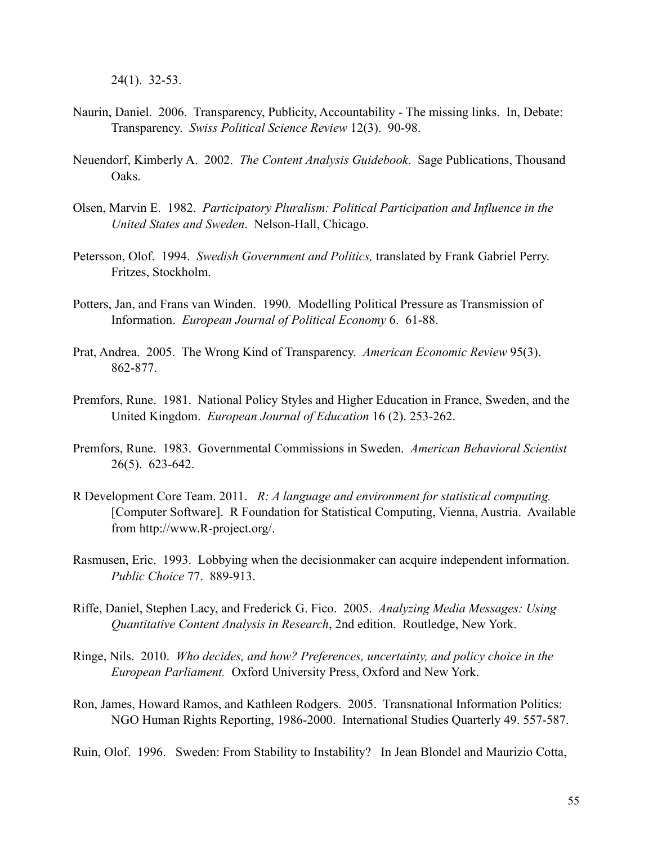24(1). 32-53.

- Naurin, Daniel. 2006. Transparency, Publicity, Accountability The missing links. In, Debate: Transparency. *Swiss Political Science Review* 12(3). 90-98.
- Neuendorf, Kimberly A. 2002. *The Content Analysis Guidebook*. Sage Publications, Thousand Oaks.
- Olsen, Marvin E. 1982. *Participatory Pluralism: Political Participation and Influence in the United States and Sweden*. Nelson-Hall, Chicago.
- Petersson, Olof. 1994. *Swedish Government and Politics,* translated by Frank Gabriel Perry. Fritzes, Stockholm.
- Potters, Jan, and Frans van Winden. 1990. Modelling Political Pressure as Transmission of Information. *European Journal of Political Economy* 6. 61-88.
- Prat, Andrea. 2005. The Wrong Kind of Transparency. *American Economic Review* 95(3). 862-877.
- Premfors, Rune. 1981. National Policy Styles and Higher Education in France, Sweden, and the United Kingdom. *European Journal of Education* 16 (2). 253-262.
- Premfors, Rune. 1983. Governmental Commissions in Sweden. *American Behavioral Scientist* 26(5). 623-642.
- R Development Core Team. 2011. *R: A language and environment for statistical computing.* [Computer Software]. R Foundation for Statistical Computing, Vienna, Austria. Available from [http://www.R-project.org/](http://www.R-project.org).
- Rasmusen, Eric. 1993. Lobbying when the decisionmaker can acquire independent information. *Public Choice* 77. 889-913.
- Riffe, Daniel, Stephen Lacy, and Frederick G. Fico. 2005. *Analyzing Media Messages: Using Quantitative Content Analysis in Research*, 2nd edition. Routledge, New York.
- Ringe, Nils. 2010. *Who decides, and how? Preferences, uncertainty, and policy choice in the European Parliament.* Oxford University Press, Oxford and New York.
- Ron, James, Howard Ramos, and Kathleen Rodgers. 2005. Transnational Information Politics: NGO Human Rights Reporting, 1986-2000. International Studies Quarterly 49. 557-587.

Ruin, Olof. 1996. Sweden: From Stability to Instability? In Jean Blondel and Maurizio Cotta,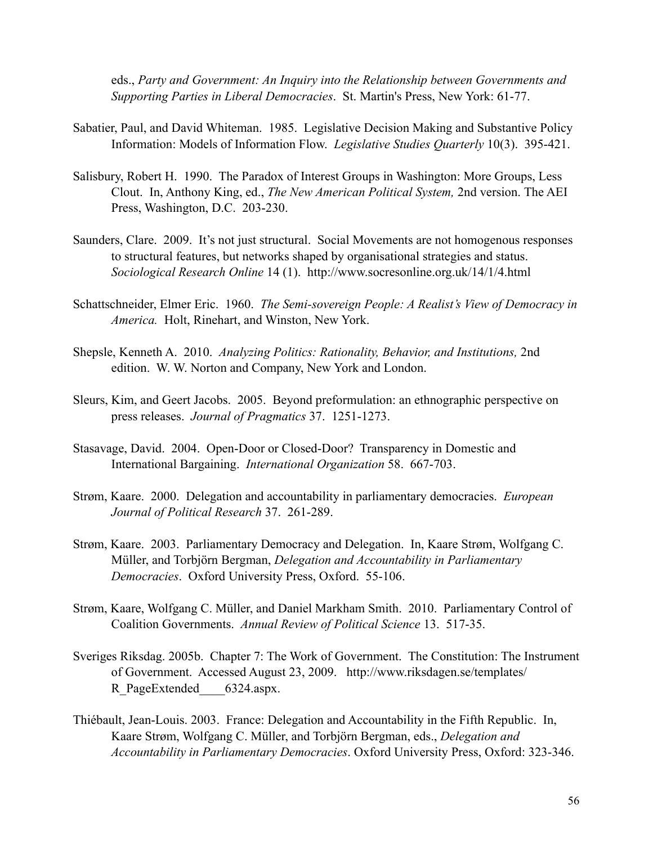eds., *Party and Government: An Inquiry into the Relationship between Governments and Supporting Parties in Liberal Democracies*. St. Martin's Press, New York: 61-77.

- Sabatier, Paul, and David Whiteman. 1985. Legislative Decision Making and Substantive Policy Information: Models of Information Flow. *Legislative Studies Quarterly* 10(3). 395-421.
- Salisbury, Robert H. 1990. The Paradox of Interest Groups in Washington: More Groups, Less Clout. In, Anthony King, ed., *The New American Political System,* 2nd version. The AEI Press, Washington, D.C. 203-230.
- Saunders, Clare. 2009. It's not just structural. Social Movements are not homogenous responses to structural features, but networks shaped by organisational strategies and status. *Sociological Research Online* 14 (1). <http://www.socresonline.org.uk/14/1/4.html>
- Schattschneider, Elmer Eric. 1960. *The Semi-sovereign People: A Realist's View of Democracy in America.* Holt, Rinehart, and Winston, New York.
- Shepsle, Kenneth A. 2010. *Analyzing Politics: Rationality, Behavior, and Institutions,* 2nd edition. W. W. Norton and Company, New York and London.
- Sleurs, Kim, and Geert Jacobs. 2005. Beyond preformulation: an ethnographic perspective on press releases. *Journal of Pragmatics* 37. 1251-1273.
- Stasavage, David. 2004. Open-Door or Closed-Door? Transparency in Domestic and International Bargaining. *International Organization* 58. 667-703.
- Strøm, Kaare. 2000. Delegation and accountability in parliamentary democracies. *European Journal of Political Research* 37. 261-289.
- Strøm, Kaare. 2003. Parliamentary Democracy and Delegation. In, Kaare Strøm, Wolfgang C. Müller, and Torbjörn Bergman, *Delegation and Accountability in Parliamentary Democracies*. Oxford University Press, Oxford. 55-106.
- Strøm, Kaare, Wolfgang C. Müller, and Daniel Markham Smith. 2010. Parliamentary Control of Coalition Governments. *Annual Review of Political Science* 13. 517-35.
- Sveriges Riksdag. 2005b. Chapter 7: The Work of Government. The Constitution: The Instrument of Government. Accessed August 23, 2009. [http://www.riksdagen.se/templates/](http://www.riksdagen.se/templates/R_PageExtended____6324.aspx) R\_PageExtended 6324.aspx.
- Thiébault, Jean-Louis. 2003. France: Delegation and Accountability in the Fifth Republic. In, Kaare Strøm, Wolfgang C. Müller, and Torbjörn Bergman, eds., *Delegation and Accountability in Parliamentary Democracies*. Oxford University Press, Oxford: 323-346.